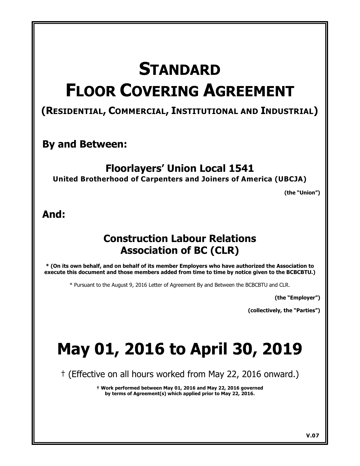# **STANDARD FLOOR COVERING AGREEMENT**

# **(RESIDENTIAL, COMMERCIAL, INSTITUTIONAL AND INDUSTRIAL)**

## **By and Between:**

# **Floorlayers' Union Local 1541**

**United Brotherhood of Carpenters and Joiners of America (UBCJA)**

**(the "Union")** 

## **And:**

# **Construction Labour Relations Association of BC (CLR)**

**\* (On its own behalf, and on behalf of its member Employers who have authorized the Association to execute this document and those members added from time to time by notice given to the BCBCBTU.)**

\* Pursuant to the August 9, 2016 Letter of Agreement By and Between the BCBCBTU and CLR.

**(the "Employer")** 

**(collectively, the "Parties")** 

# **May 01, 2016 to April 30, 2019**

† (Effective on all hours worked from May 22, 2016 onward.)

**† Work performed between May 01, 2016 and May 22, 2016 governed by terms of Agreement(s) which applied prior to May 22, 2016.**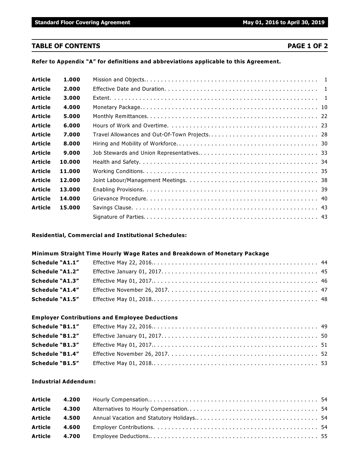**Standard Floor Covering Agreement May 01, 2016 to April 30, 2019** 

#### **TABLE OF CONTENTS PAGE 1 OF 2**

**Refer to Appendix "A" for definitions and abbreviations applicable to this Agreement.**

| Article        | 1.000  |  |
|----------------|--------|--|
| <b>Article</b> | 2.000  |  |
| Article        | 3.000  |  |
| <b>Article</b> | 4.000  |  |
| <b>Article</b> | 5.000  |  |
| Article        | 6.000  |  |
| <b>Article</b> | 7.000  |  |
| Article        | 8.000  |  |
| Article        | 9.000  |  |
| <b>Article</b> | 10.000 |  |
| Article        | 11.000 |  |
| Article        | 12.000 |  |
| Article        | 13.000 |  |
| <b>Article</b> | 14.000 |  |
| <b>Article</b> | 15.000 |  |
|                |        |  |

#### **Residential, Commercial and Institutional Schedules:**

#### **Minimum Straight Time Hourly Wage Rates and Breakdown of Monetary Package**

| Schedule "A1.1"        |  |
|------------------------|--|
| Schedule "A1.2"        |  |
| <b>Schedule "A1.3"</b> |  |
| Schedule "A1.4"        |  |
| <b>Schedule "A1.5"</b> |  |

#### **Employer Contributions and Employee Deductions**

| Schedule "B1.1"        |  |
|------------------------|--|
| <b>Schedule "B1.2"</b> |  |
| <b>Schedule "B1.3"</b> |  |
| <b>Schedule "B1.4"</b> |  |
| <b>Schedule "B1.5"</b> |  |

#### **Industrial Addendum:**

| <b>Article</b> | 4.300 |  |
|----------------|-------|--|
| <b>Article</b> |       |  |
| Article        | 4.600 |  |
| <b>Article</b> | 4.700 |  |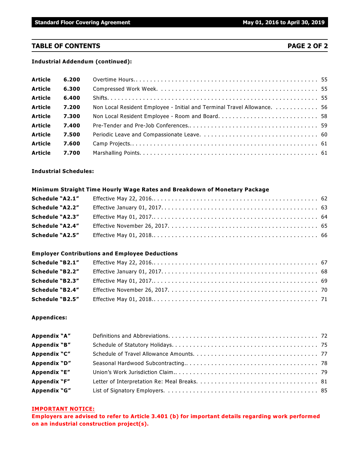#### **TABLE OF CONTENTS PAGE 2 OF 2**

#### **Industrial Addendum (continued):**

| <b>Article</b> | 6.200 |                                                                         |  |
|----------------|-------|-------------------------------------------------------------------------|--|
| <b>Article</b> | 6.300 |                                                                         |  |
| <b>Article</b> | 6.400 |                                                                         |  |
| <b>Article</b> | 7.200 | Non Local Resident Employee - Initial and Terminal Travel Allowance. 56 |  |
| <b>Article</b> | 7.300 |                                                                         |  |
| <b>Article</b> | 7.400 |                                                                         |  |
| <b>Article</b> | 7.500 |                                                                         |  |
| <b>Article</b> | 7.600 |                                                                         |  |
| <b>Article</b> | 7.700 |                                                                         |  |

#### **Industrial Schedules:**

#### **Minimum Straight Time Hourly Wage Rates and Breakdown of Monetary Package**

| <b>Schedule "A2.2"</b> |  |
|------------------------|--|
| Schedule "A2.3"        |  |
| <b>Schedule "A2.4"</b> |  |
| <b>Schedule "A2.5"</b> |  |

#### **Employer Contributions and Employee Deductions**

| <b>Schedule "B2.1"</b> |  |
|------------------------|--|
| <b>Schedule "B2.2"</b> |  |
| <b>Schedule "B2.3"</b> |  |
| <b>Schedule "B2.4"</b> |  |
| <b>Schedule "B2.5"</b> |  |

#### **Appendices:**

| Appendix "A" |  |
|--------------|--|
| Appendix "B" |  |
| Appendix "C" |  |
| Appendix "D" |  |
| Appendix "E" |  |
| Appendix "F" |  |
| Appendix "G" |  |

#### **IMPORTANT NOTICE:**

**Employers are advised to refer to Article 3.401 (b) for important details regarding work performed on an industrial construction project(s).**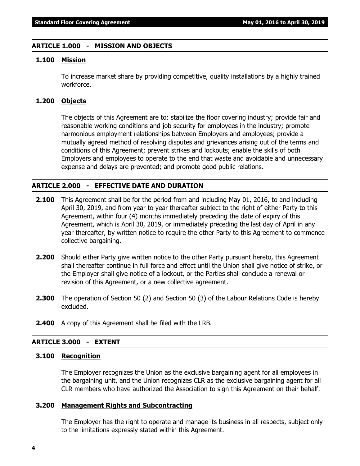#### **ARTICLE 1.000 - MISSION AND OBJECTS**

#### **1.100 Mission**

To increase market share by providing competitive, quality installations by a highly trained workforce.

#### **1.200 Objects**

The objects of this Agreement are to: stabilize the floor covering industry; provide fair and reasonable working conditions and job security for employees in the industry; promote harmonious employment relationships between Employers and employees; provide a mutually agreed method of resolving disputes and grievances arising out of the terms and conditions of this Agreement; prevent strikes and lockouts; enable the skills of both Employers and employees to operate to the end that waste and avoidable and unnecessary expense and delays are prevented; and promote good public relations.

#### **ARTICLE 2.000 - EFFECTIVE DATE AND DURATION**

- **2.100** This Agreement shall be for the period from and including May 01, 2016, to and including April 30, 2019, and from year to year thereafter subject to the right of either Party to this Agreement, within four (4) months immediately preceding the date of expiry of this Agreement, which is April 30, 2019, or immediately preceding the last day of April in any year thereafter, by written notice to require the other Party to this Agreement to commence collective bargaining.
- **2.200** Should either Party give written notice to the other Party pursuant hereto, this Agreement shall thereafter continue in full force and effect until the Union shall give notice of strike, or the Employer shall give notice of a lockout, or the Parties shall conclude a renewal or revision of this Agreement, or a new collective agreement.
- **2.300** The operation of Section 50 (2) and Section 50 (3) of the *Labour Relations Code* is hereby excluded.
- **2.400** A copy of this Agreement shall be filed with the LRB.

#### **ARTICLE 3.000 - EXTENT**

#### **3.100 Recognition**

The Employer recognizes the Union as the exclusive bargaining agent for all employees in the bargaining unit, and the Union recognizes CLR as the exclusive bargaining agent for all CLR members who have authorized the Association to sign this Agreement on their behalf.

#### **3.200 Management Rights and Subcontracting**

The Employer has the right to operate and manage its business in all respects, subject only to the limitations expressly stated within this Agreement.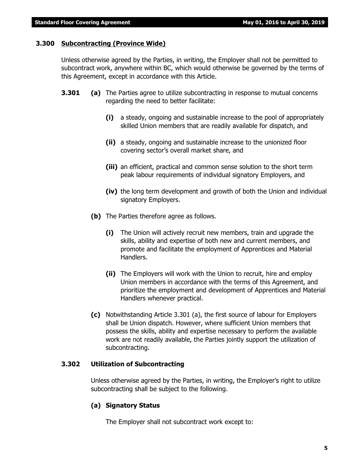#### **3.300 Subcontracting (Province Wide)**

Unless otherwise agreed by the Parties, in writing, the Employer shall not be permitted to subcontract work, anywhere within BC, which would otherwise be governed by the terms of this Agreement, except in accordance with this Article.

- **3.301 (a)** The Parties agree to utilize subcontracting in response to mutual concerns regarding the need to better facilitate:
	- **(i)** a steady, ongoing and sustainable increase to the pool of appropriately skilled Union members that are readily available for dispatch, and
	- **(ii)** a steady, ongoing and sustainable increase to the unionized floor covering sector's overall market share, and
	- **(iii)** an efficient, practical and common sense solution to the short term peak labour requirements of individual signatory Employers, and
	- **(iv)** the long term development and growth of both the Union and individual signatory Employers.
	- **(b)** The Parties therefore agree as follows.
		- **(i)** The Union will actively recruit new members, train and upgrade the skills, ability and expertise of both new and current members, and promote and facilitate the employment of Apprentices and Material Handlers.
		- **(ii)** The Employers will work with the Union to recruit, hire and employ Union members in accordance with the terms of this Agreement, and prioritize the employment and development of Apprentices and Material Handlers whenever practical.
	- **(c)** Notwithstanding Article 3.301 (a), the first source of labour for Employers shall be Union dispatch. However, where sufficient Union members that possess the skills, ability and expertise necessary to perform the available work are not readily available, the Parties jointly support the utilization of subcontracting.

#### **3.302 Utilization of Subcontracting**

Unless otherwise agreed by the Parties, in writing, the Employer's right to utilize subcontracting shall be subject to the following.

#### **(a) Signatory Status**

The Employer shall not subcontract work except to: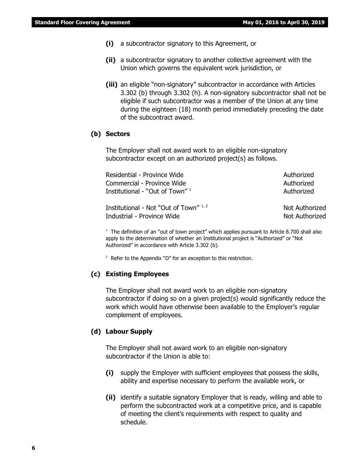- **(i)** a subcontractor signatory to this Agreement, or
- **(ii)** a subcontractor signatory to another collective agreement with the Union which governs the equivalent work jurisdiction, or
- **(iii)** an eligible "non-signatory" subcontractor in accordance with Articles 3.302 (b) through 3.302 (h). A non-signatory subcontractor shall not be eligible if such subcontractor was a member of the Union at any time during the eighteen (18) month period immediately preceding the date of the subcontract award.

#### **(b) Sectors**

The Employer shall not award work to an eligible non-signatory subcontractor except on an authorized project(s) as follows.

| Residential - Province Wide              | Authorized     |
|------------------------------------------|----------------|
| Commercial - Province Wide               | Authorized     |
| Institutional - "Out of Town" $^{\rm 1}$ | Authorized     |
| Institutional - Not "Out of Town" 1, 2   | Not Authorized |
| Industrial - Province Wide               | Not Authorized |

 $1$  The definition of an "out of town project" which applies pursuant to Article 8.700 shall also apply to the determination of whether an Institutional project is "Authorized" or "Not Authorized" in accordance with Article 3.302 (b).

 $2$  Refer to the Appendix "D" for an exception to this restriction.

#### **(c) Existing Employees**

The Employer shall not award work to an eligible non-signatory subcontractor if doing so on a given project(s) would significantly reduce the work which would have otherwise been available to the Employer's regular complement of employees.

#### **(d) Labour Supply**

The Employer shall not award work to an eligible non-signatory subcontractor if the Union is able to:

- **(i)** supply the Employer with sufficient employees that possess the skills, ability and expertise necessary to perform the available work, or
- **(ii)** identify a suitable signatory Employer that is ready, willing and able to perform the subcontracted work at a competitive price, and is capable of meeting the client's requirements with respect to quality and schedule.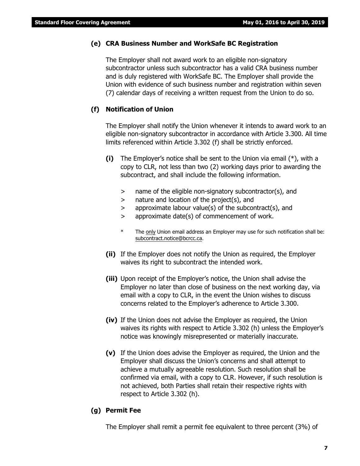#### **(e) CRA Business Number and WorkSafe BC Registration**

The Employer shall not award work to an eligible non-signatory subcontractor unless such subcontractor has a valid CRA business number and is duly registered with WorkSafe BC. The Employer shall provide the Union with evidence of such business number and registration within seven (7) calendar days of receiving a written request from the Union to do so.

#### **(f) Notification of Union**

The Employer shall notify the Union whenever it intends to award work to an eligible non-signatory subcontractor in accordance with Article 3.300. All time limits referenced within Article 3.302 (f) shall be strictly enforced.

- **(i)** The Employer's notice shall be sent to the Union via email (\*), with a copy to CLR, not less than two (2) working days prior to awarding the subcontract, and shall include the following information.
	- > name of the eligible non-signatory subcontractor(s), and
	- > nature and location of the project(s), and
	- > approximate labour value(s) of the subcontract(s), and
	- > approximate date(s) of commencement of work.
	- \* The only Union email address an Employer may use for such notification shall be: subcontract.notice@bcrcc.ca.
- **(ii)** If the Employer does not notify the Union as required, the Employer waives its right to subcontract the intended work.
- **(iii)** Upon receipt of the Employer's notice, the Union shall advise the Employer no later than close of business on the next working day, via email with a copy to CLR, in the event the Union wishes to discuss concerns related to the Employer's adherence to Article 3.300.
- **(iv)** If the Union does not advise the Employer as required, the Union waives its rights with respect to Article 3.302 (h) unless the Employer's notice was knowingly misrepresented or materially inaccurate.
- **(v)** If the Union does advise the Employer as required, the Union and the Employer shall discuss the Union's concerns and shall attempt to achieve a mutually agreeable resolution. Such resolution shall be confirmed via email, with a copy to CLR. However, if such resolution is not achieved, both Parties shall retain their respective rights with respect to Article 3.302 (h).

#### **(g) Permit Fee**

The Employer shall remit a permit fee equivalent to three percent (3%) of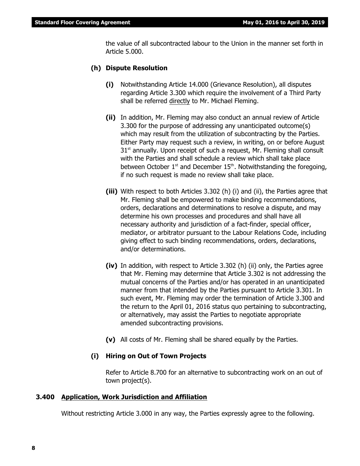the value of all subcontracted labour to the Union in the manner set forth in Article 5.000.

#### **(h) Dispute Resolution**

- **(i)** Notwithstanding Article 14.000 (Grievance Resolution), all disputes regarding Article 3.300 which require the involvement of a Third Party shall be referred directly to Mr. Michael Fleming.
- **(ii)** In addition, Mr. Fleming may also conduct an annual review of Article 3.300 for the purpose of addressing any unanticipated outcome(s) which may result from the utilization of subcontracting by the Parties. Either Party may request such a review, in writing, on or before August  $31<sup>st</sup>$  annually. Upon receipt of such a request, Mr. Fleming shall consult with the Parties and shall schedule a review which shall take place between October  $1<sup>st</sup>$  and December  $15<sup>th</sup>$ . Notwithstanding the foregoing, if no such request is made no review shall take place.
- **(iii)** With respect to both Articles 3.302 (h) (i) and (ii), the Parties agree that Mr. Fleming shall be empowered to make binding recommendations, orders, declarations and determinations to resolve a dispute, and may determine his own processes and procedures and shall have all necessary authority and jurisdiction of a fact-finder, special officer, mediator, or arbitrator pursuant to the Labour Relations Code, including giving effect to such binding recommendations, orders, declarations, and/or determinations.
- **(iv)** In addition, with respect to Article 3.302 (h) (ii) only, the Parties agree that Mr. Fleming may determine that Article 3.302 is not addressing the mutual concerns of the Parties and/or has operated in an unanticipated manner from that intended by the Parties pursuant to Article 3.301. In such event, Mr. Fleming may order the termination of Article 3.300 and the return to the April 01, 2016 status quo pertaining to subcontracting, or alternatively, may assist the Parties to negotiate appropriate amended subcontracting provisions.
- **(v)** All costs of Mr. Fleming shall be shared equally by the Parties.

#### **(i) Hiring on Out of Town Projects**

Refer to Article 8.700 for an alternative to subcontracting work on an out of town project(s).

#### **3.400 Application, Work Jurisdiction and Affiliation**

Without restricting Article 3.000 in any way, the Parties expressly agree to the following.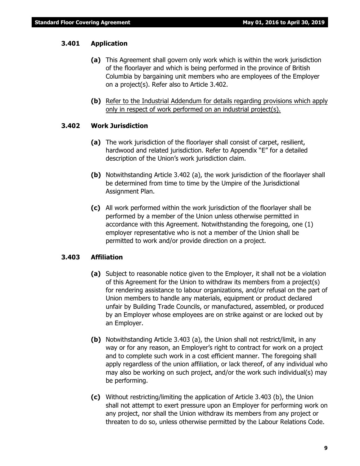#### **3.401 Application**

- **(a)** This Agreement shall govern only work which is within the work jurisdiction of the floorlayer and which is being performed in the province of British Columbia by bargaining unit members who are employees of the Employer on a project(s). Refer also to Article 3.402.
- **(b)** Refer to the Industrial Addendum for details regarding provisions which apply only in respect of work performed on an industrial project(s).

#### **3.402 Work Jurisdiction**

- **(a)** The work jurisdiction of the floorlayer shall consist of carpet, resilient, hardwood and related jurisdiction. Refer to Appendix "E" for a detailed description of the Union's work jurisdiction claim.
- **(b)** Notwithstanding Article 3.402 (a), the work jurisdiction of the floorlayer shall be determined from time to time by the Umpire of the Jurisdictional Assignment Plan.
- **(c)** All work performed within the work jurisdiction of the floorlayer shall be performed by a member of the Union unless otherwise permitted in accordance with this Agreement. Notwithstanding the foregoing, one (1) employer representative who is not a member of the Union shall be permitted to work and/or provide direction on a project.

#### **3.403 Affiliation**

- **(a)** Subject to reasonable notice given to the Employer, it shall not be a violation of this Agreement for the Union to withdraw its members from a project(s) for rendering assistance to labour organizations, and/or refusal on the part of Union members to handle any materials, equipment or product declared unfair by Building Trade Councils, or manufactured, assembled, or produced by an Employer whose employees are on strike against or are locked out by an Employer.
- **(b)** Notwithstanding Article 3.403 (a), the Union shall not restrict/limit, in any way or for any reason, an Employer's right to contract for work on a project and to complete such work in a cost efficient manner. The foregoing shall apply regardless of the union affiliation, or lack thereof, of any individual who may also be working on such project, and/or the work such individual(s) may be performing.
- **(c)** Without restricting/limiting the application of Article 3.403 (b), the Union shall not attempt to exert pressure upon an Employer for performing work on any project, nor shall the Union withdraw its members from any project or threaten to do so, unless otherwise permitted by the *Labour Relations Code*.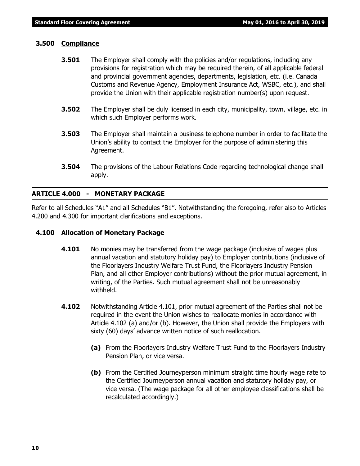#### **3.500 Compliance**

- **3.501** The Employer shall comply with the policies and/or regulations, including any provisions for registration which may be required therein, of all applicable federal and provincial government agencies, departments, legislation, etc. (i.e. Canada Customs and Revenue Agency, Employment Insurance Act, WSBC, etc.), and shall provide the Union with their applicable registration number(s) upon request.
- **3.502** The Employer shall be duly licensed in each city, municipality, town, village, etc. in which such Employer performs work.
- **3.503** The Employer shall maintain a business telephone number in order to facilitate the Union's ability to contact the Employer for the purpose of administering this Agreement.
- **3.504** The provisions of the *Labour Relations Code* regarding technological change shall apply.

#### **ARTICLE 4.000 - MONETARY PACKAGE**

Refer to all Schedules "A1" and all Schedules "B1". Notwithstanding the foregoing, refer also to Articles 4.200 and 4.300 for important clarifications and exceptions.

#### **4.100 Allocation of Monetary Package**

- **4.101** No monies may be transferred from the wage package (inclusive of wages plus annual vacation and statutory holiday pay) to Employer contributions (inclusive of the Floorlayers Industry Welfare Trust Fund, the Floorlayers Industry Pension Plan, and all other Employer contributions) without the prior mutual agreement, in writing, of the Parties. Such mutual agreement shall not be unreasonably withheld.
- **4.102** Notwithstanding Article 4.101, prior mutual agreement of the Parties shall not be required in the event the Union wishes to reallocate monies in accordance with Article 4.102 (a) and/or (b). However, the Union shall provide the Employers with sixty (60) days' advance written notice of such reallocation.
	- **(a)** From the Floorlayers Industry Welfare Trust Fund to the Floorlayers Industry Pension Plan, or vice versa.
	- **(b)** From the Certified Journeyperson minimum straight time hourly wage rate to the Certified Journeyperson annual vacation and statutory holiday pay, or vice versa. (The wage package for all other employee classifications shall be recalculated accordingly.)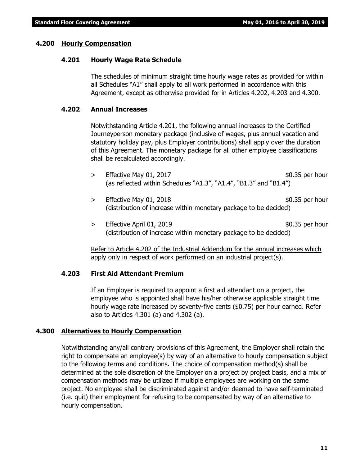#### **4.200 Hourly Compensation**

#### **4.201 Hourly Wage Rate Schedule**

The schedules of minimum straight time hourly wage rates as provided for within all Schedules "A1" shall apply to all work performed in accordance with this Agreement, except as otherwise provided for in Articles 4.202, 4.203 and 4.300.

#### **4.202 Annual Increases**

Notwithstanding Article 4.201, the following annual increases to the Certified Journeyperson monetary package (inclusive of wages, plus annual vacation and statutory holiday pay, plus Employer contributions) shall apply over the duration of this Agreement. The monetary package for all other employee classifications shall be recalculated accordingly.

- $>$  Effective May 01, 2017 **\$0.35 per hour** (as reflected within Schedules "A1.3", "A1.4", "B1.3" and "B1.4")
- > Effective May 01, 2018 (distribution of increase within monetary package to be decided)
- $>$  Effective April 01, 2019 **\$0.35 per hour** (distribution of increase within monetary package to be decided)

Refer to Article 4.202 of the Industrial Addendum for the annual increases which apply only in respect of work performed on an industrial project(s).

#### **4.203 First Aid Attendant Premium**

If an Employer is required to appoint a first aid attendant on a project, the employee who is appointed shall have his/her otherwise applicable straight time hourly wage rate increased by seventy-five cents (\$0.75) per hour earned. Refer also to Articles 4.301 (a) and 4.302 (a).

#### **4.300 Alternatives to Hourly Compensation**

Notwithstanding any/all contrary provisions of this Agreement, the Employer shall retain the right to compensate an employee(s) by way of an alternative to hourly compensation subject to the following terms and conditions. The choice of compensation method(s) shall be determined at the sole discretion of the Employer on a project by project basis, and a mix of compensation methods may be utilized if multiple employees are working on the same project. No employee shall be discriminated against and/or deemed to have self-terminated (i.e. quit) their employment for refusing to be compensated by way of an alternative to hourly compensation.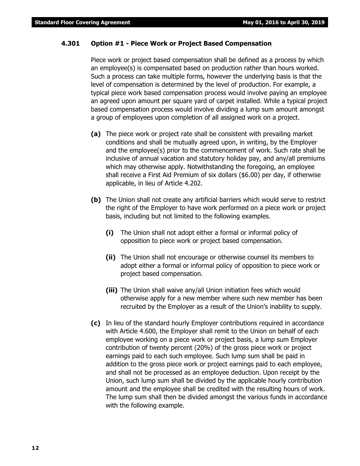#### **4.301 Option #1 - Piece Work or Project Based Compensation**

Piece work or project based compensation shall be defined as a process by which an employee(s) is compensated based on production rather than hours worked. Such a process can take multiple forms, however the underlying basis is that the level of compensation is determined by the level of production. For example, a typical piece work based compensation process would involve paying an employee an agreed upon amount per square yard of carpet installed. While a typical project based compensation process would involve dividing a lump sum amount amongst a group of employees upon completion of all assigned work on a project.

- **(a)** The piece work or project rate shall be consistent with prevailing market conditions and shall be mutually agreed upon, in writing, by the Employer and the employee(s) prior to the commencement of work. Such rate shall be inclusive of annual vacation and statutory holiday pay, and any/all premiums which may otherwise apply. Notwithstanding the foregoing, an employee shall receive a First Aid Premium of six dollars (\$6.00) per day, if otherwise applicable, in lieu of Article 4.202.
- **(b)** The Union shall not create any artificial barriers which would serve to restrict the right of the Employer to have work performed on a piece work or project basis, including but not limited to the following examples.
	- **(i)** The Union shall not adopt either a formal or informal policy of opposition to piece work or project based compensation.
	- **(ii)** The Union shall not encourage or otherwise counsel its members to adopt either a formal or informal policy of opposition to piece work or project based compensation.
	- **(iii)** The Union shall waive any/all Union initiation fees which would otherwise apply for a new member where such new member has been recruited by the Employer as a result of the Union's inability to supply.
- **(c)** In lieu of the standard hourly Employer contributions required in accordance with Article 4.600, the Employer shall remit to the Union on behalf of each employee working on a piece work or project basis, a lump sum Employer contribution of twenty percent (20%) of the gross piece work or project earnings paid to each such employee. Such lump sum shall be paid in addition to the gross piece work or project earnings paid to each employee, and shall not be processed as an employee deduction. Upon receipt by the Union, such lump sum shall be divided by the applicable hourly contribution amount and the employee shall be credited with the resulting hours of work. The lump sum shall then be divided amongst the various funds in accordance with the following example.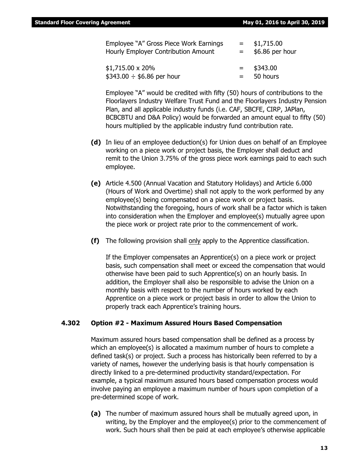| Employee "A" Gross Piece Work Earnings | $=$ | \$1,715.00      |
|----------------------------------------|-----|-----------------|
| Hourly Employer Contribution Amount    | $=$ | \$6.86 per hour |
| $$1,715.00 \times 20\%$                | $=$ | \$343.00        |
| $$343.00 \div $6.86$ per hour          | $=$ | 50 hours        |

Employee "A" would be credited with fifty (50) hours of contributions to the Floorlayers Industry Welfare Trust Fund and the Floorlayers Industry Pension Plan, and all applicable industry funds (i.e. CAF, SBCFE, CIRP, JAPlan, BCBCBTU and D&A Policy) would be forwarded an amount equal to fifty (50) hours multiplied by the applicable industry fund contribution rate.

- **(d)** In lieu of an employee deduction(s) for Union dues on behalf of an Employee working on a piece work or project basis, the Employer shall deduct and remit to the Union 3.75% of the gross piece work earnings paid to each such employee.
- **(e)** Article 4.500 (Annual Vacation and Statutory Holidays) and Article 6.000 (Hours of Work and Overtime) shall not apply to the work performed by any employee(s) being compensated on a piece work or project basis. Notwithstanding the foregoing, hours of work shall be a factor which is taken into consideration when the Employer and employee(s) mutually agree upon the piece work or project rate prior to the commencement of work.
- **(f)** The following provision shall only apply to the Apprentice classification.

If the Employer compensates an Apprentice(s) on a piece work or project basis, such compensation shall meet or exceed the compensation that would otherwise have been paid to such Apprentice(s) on an hourly basis. In addition, the Employer shall also be responsible to advise the Union on a monthly basis with respect to the number of hours worked by each Apprentice on a piece work or project basis in order to allow the Union to properly track each Apprentice's training hours.

#### **4.302 Option #2 - Maximum Assured Hours Based Compensation**

Maximum assured hours based compensation shall be defined as a process by which an employee(s) is allocated a maximum number of hours to complete a defined task(s) or project. Such a process has historically been referred to by a variety of names, however the underlying basis is that hourly compensation is directly linked to a pre-determined productivity standard/expectation. For example, a typical maximum assured hours based compensation process would involve paying an employee a maximum number of hours upon completion of a pre-determined scope of work.

**(a)** The number of maximum assured hours shall be mutually agreed upon, in writing, by the Employer and the employee(s) prior to the commencement of work. Such hours shall then be paid at each employee's otherwise applicable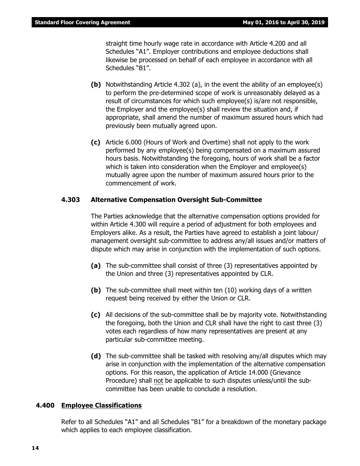straight time hourly wage rate in accordance with Article 4.200 and all Schedules "A1". Employer contributions and employee deductions shall likewise be processed on behalf of each employee in accordance with all Schedules "B1".

- **(b)** Notwithstanding Article 4.302 (a), in the event the ability of an employee(s) to perform the pre-determined scope of work is unreasonably delayed as a result of circumstances for which such employee(s) is/are not responsible, the Employer and the employee(s) shall review the situation and, if appropriate, shall amend the number of maximum assured hours which had previously been mutually agreed upon.
- **(c)** Article 6.000 (Hours of Work and Overtime) shall not apply to the work performed by any employee(s) being compensated on a maximum assured hours basis. Notwithstanding the foregoing, hours of work shall be a factor which is taken into consideration when the Employer and employee(s) mutually agree upon the number of maximum assured hours prior to the commencement of work.

#### **4.303 Alternative Compensation Oversight Sub-Committee**

The Parties acknowledge that the alternative compensation options provided for within Article 4.300 will require a period of adjustment for both employees and Employers alike. As a result, the Parties have agreed to establish a joint labour/ management oversight sub-committee to address any/all issues and/or matters of dispute which may arise in conjunction with the implementation of such options.

- **(a)** The sub-committee shall consist of three (3) representatives appointed by the Union and three (3) representatives appointed by CLR.
- **(b)** The sub-committee shall meet within ten (10) working days of a written request being received by either the Union or CLR.
- **(c)** All decisions of the sub-committee shall be by majority vote. Notwithstanding the foregoing, both the Union and CLR shall have the right to cast three (3) votes each regardless of how many representatives are present at any particular sub-committee meeting.
- **(d)** The sub-committee shall be tasked with resolving any/all disputes which may arise in conjunction with the implementation of the alternative compensation options. For this reason, the application of Article 14.000 (Grievance Procedure) shall not be applicable to such disputes unless/until the subcommittee has been unable to conclude a resolution.

#### **4.400 Employee Classifications**

Refer to all Schedules "A1" and all Schedules "B1" for a breakdown of the monetary package which applies to each employee classification.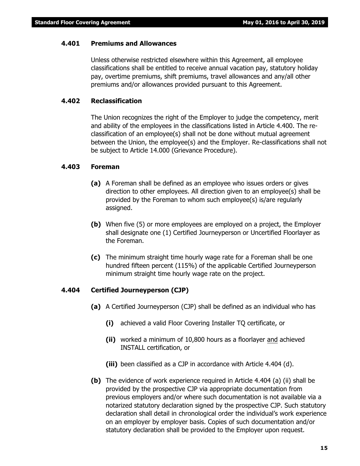#### **4.401 Premiums and Allowances**

Unless otherwise restricted elsewhere within this Agreement, all employee classifications shall be entitled to receive annual vacation pay, statutory holiday pay, overtime premiums, shift premiums, travel allowances and any/all other premiums and/or allowances provided pursuant to this Agreement.

#### **4.402 Reclassification**

The Union recognizes the right of the Employer to judge the competency, merit and ability of the employees in the classifications listed in Article 4.400. The reclassification of an employee(s) shall not be done without mutual agreement between the Union, the employee(s) and the Employer. Re-classifications shall not be subject to Article 14.000 (Grievance Procedure).

#### **4.403 Foreman**

- **(a)** A Foreman shall be defined as an employee who issues orders or gives direction to other employees. All direction given to an employee(s) shall be provided by the Foreman to whom such employee(s) is/are regularly assigned.
- **(b)** When five (5) or more employees are employed on a project, the Employer shall designate one (1) Certified Journeyperson or Uncertified Floorlayer as the Foreman.
- **(c)** The minimum straight time hourly wage rate for a Foreman shall be one hundred fifteen percent (115%) of the applicable Certified Journeyperson minimum straight time hourly wage rate on the project.

#### **4.404 Certified Journeyperson (CJP)**

- **(a)** A Certified Journeyperson (CJP) shall be defined as an individual who has
	- **(i)** achieved a valid Floor Covering Installer TQ certificate, or
	- **(ii)** worked a minimum of 10,800 hours as a floorlayer and achieved INSTALL certification, or
	- **(iii)** been classified as a CJP in accordance with Article 4.404 (d).
- **(b)** The evidence of work experience required in Article 4.404 (a) (ii) shall be provided by the prospective CJP via appropriate documentation from previous employers and/or where such documentation is not available via a notarized statutory declaration signed by the prospective CJP. Such statutory declaration shall detail in chronological order the individual's work experience on an employer by employer basis. Copies of such documentation and/or statutory declaration shall be provided to the Employer upon request.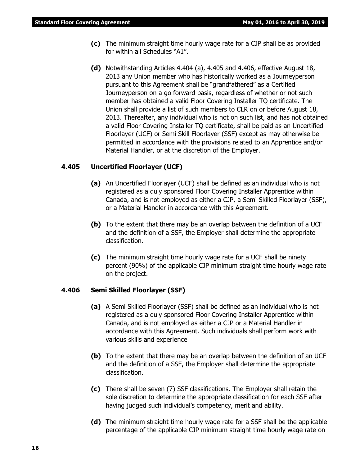- **(c)** The minimum straight time hourly wage rate for a CJP shall be as provided for within all Schedules "A1".
- **(d)** Notwithstanding Articles 4.404 (a), 4.405 and 4.406, effective August 18, 2013 any Union member who has historically worked as a Journeyperson pursuant to this Agreement shall be "grandfathered" as a Certified Journeyperson on a go forward basis, regardless of whether or not such member has obtained a valid Floor Covering Installer TQ certificate. The Union shall provide a list of such members to CLR on or before August 18, 2013. Thereafter, any individual who is not on such list, and has not obtained a valid Floor Covering Installer TQ certificate, shall be paid as an Uncertified Floorlayer (UCF) or Semi Skill Floorlayer (SSF) except as may otherwise be permitted in accordance with the provisions related to an Apprentice and/or Material Handler, or at the discretion of the Employer.

#### **4.405 Uncertified Floorlayer (UCF)**

- **(a)** An Uncertified Floorlayer (UCF) shall be defined as an individual who is not registered as a duly sponsored Floor Covering Installer Apprentice within Canada, and is not employed as either a CJP, a Semi Skilled Floorlayer (SSF), or a Material Handler in accordance with this Agreement.
- **(b)** To the extent that there may be an overlap between the definition of a UCF and the definition of a SSF, the Employer shall determine the appropriate classification.
- **(c)** The minimum straight time hourly wage rate for a UCF shall be ninety percent (90%) of the applicable CJP minimum straight time hourly wage rate on the project.

#### **4.406 Semi Skilled Floorlayer (SSF)**

- **(a)** A Semi Skilled Floorlayer (SSF) shall be defined as an individual who is not registered as a duly sponsored Floor Covering Installer Apprentice within Canada, and is not employed as either a CJP or a Material Handler in accordance with this Agreement. Such individuals shall perform work with various skills and experience
- **(b)** To the extent that there may be an overlap between the definition of an UCF and the definition of a SSF, the Employer shall determine the appropriate classification.
- **(c)** There shall be seven (7) SSF classifications. The Employer shall retain the sole discretion to determine the appropriate classification for each SSF after having judged such individual's competency, merit and ability.
- **(d)** The minimum straight time hourly wage rate for a SSF shall be the applicable percentage of the applicable CJP minimum straight time hourly wage rate on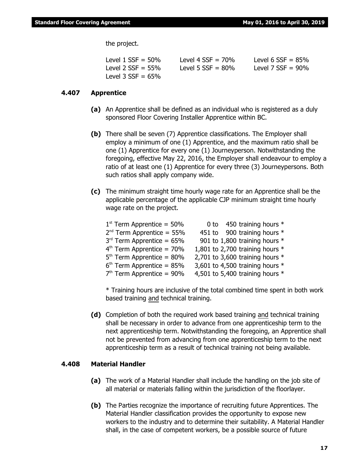the project.

| Level $1$ SSF = 50%  | Level 4 $SSE = 70\%$ | Level 6 $SSF = 85%$  |
|----------------------|----------------------|----------------------|
| Level 2 SSF = 55%    | Level 5 $SSF = 80\%$ | Level 7 $SSF = 90\%$ |
| Level 3 $SSF = 65\%$ |                      |                      |

#### **4.407 Apprentice**

- **(a)** An Apprentice shall be defined as an individual who is registered as a duly sponsored Floor Covering Installer Apprentice within BC.
- **(b)** There shall be seven (7) Apprentice classifications. The Employer shall employ a minimum of one (1) Apprentice, and the maximum ratio shall be one (1) Apprentice for every one (1) Journeyperson. Notwithstanding the foregoing, effective May 22, 2016, the Employer shall endeavour to employ a ratio of at least one (1) Apprentice for every three (3) Journeypersons. Both such ratios shall apply company wide.
- **(c)** The minimum straight time hourly wage rate for an Apprentice shall be the applicable percentage of the applicable CJP minimum straight time hourly wage rate on the project.

| $1st$ Term Apprentice = 50% |                                   | 0 to 450 training hours *     |  |
|-----------------------------|-----------------------------------|-------------------------------|--|
| $2nd$ Term Apprentice = 55% |                                   | 451 to 900 training hours *   |  |
| $3rd$ Term Apprentice = 65% |                                   | 901 to 1,800 training hours * |  |
| $4th$ Term Apprentice = 70% | 1,801 to 2,700 training hours $*$ |                               |  |
| $5th$ Term Apprentice = 80% | 2,701 to 3,600 training hours $*$ |                               |  |
| $6th$ Term Apprentice = 85% | 3,601 to 4,500 training hours $*$ |                               |  |
| $7th$ Term Apprentice = 90% | 4,501 to 5,400 training hours $*$ |                               |  |
|                             |                                   |                               |  |

\* Training hours are inclusive of the total combined time spent in both work based training and technical training.

**(d)** Completion of both the required work based training and technical training shall be necessary in order to advance from one apprenticeship term to the next apprenticeship term. Notwithstanding the foregoing, an Apprentice shall not be prevented from advancing from one apprenticeship term to the next apprenticeship term as a result of technical training not being available.

#### **4.408 Material Handler**

- **(a)** The work of a Material Handler shall include the handling on the job site of all material or materials falling within the jurisdiction of the floorlayer.
- **(b)** The Parties recognize the importance of recruiting future Apprentices. The Material Handler classification provides the opportunity to expose new workers to the industry and to determine their suitability. A Material Handler shall, in the case of competent workers, be a possible source of future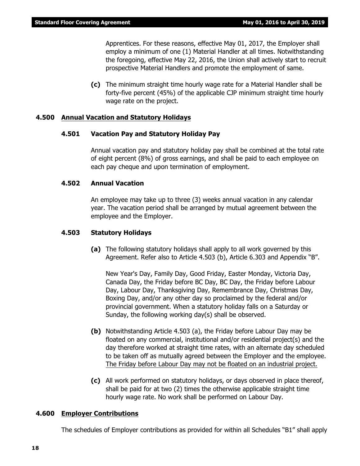Apprentices. For these reasons, effective May 01, 2017, the Employer shall employ a minimum of one (1) Material Handler at all times. Notwithstanding the foregoing, effective May 22, 2016, the Union shall actively start to recruit prospective Material Handlers and promote the employment of same.

**(c)** The minimum straight time hourly wage rate for a Material Handler shall be forty-five percent (45%) of the applicable CJP minimum straight time hourly wage rate on the project.

#### **4.500 Annual Vacation and Statutory Holidays**

#### **4.501 Vacation Pay and Statutory Holiday Pay**

Annual vacation pay and statutory holiday pay shall be combined at the total rate of eight percent (8%) of gross earnings, and shall be paid to each employee on each pay cheque and upon termination of employment.

#### **4.502 Annual Vacation**

An employee may take up to three (3) weeks annual vacation in any calendar year. The vacation period shall be arranged by mutual agreement between the employee and the Employer.

#### **4.503 Statutory Holidays**

**(a)** The following statutory holidays shall apply to all work governed by this Agreement. Refer also to Article 4.503 (b), Article 6.303 and Appendix "B".

New Year's Day, Family Day, Good Friday, Easter Monday, Victoria Day, Canada Day, the Friday before BC Day, BC Day, the Friday before Labour Day, Labour Day, Thanksgiving Day, Remembrance Day, Christmas Day, Boxing Day, and/or any other day so proclaimed by the federal and/or provincial government. When a statutory holiday falls on a Saturday or Sunday, the following working day(s) shall be observed.

- **(b)** Notwithstanding Article 4.503 (a), the Friday before Labour Day may be floated on any commercial, institutional and/or residential project(s) and the day therefore worked at straight time rates, with an alternate day scheduled to be taken off as mutually agreed between the Employer and the employee. The Friday before Labour Day may not be floated on an industrial project.
- **(c)** All work performed on statutory holidays, or days observed in place thereof, shall be paid for at two (2) times the otherwise applicable straight time hourly wage rate. No work shall be performed on Labour Day.

#### **4.600 Employer Contributions**

The schedules of Employer contributions as provided for within all Schedules "B1" shall apply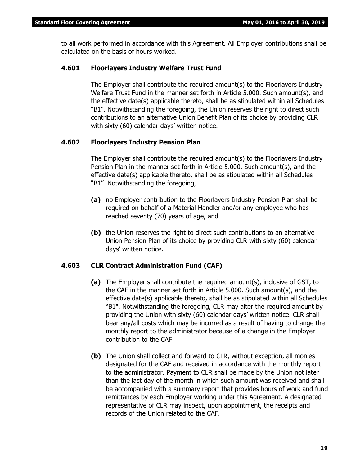to all work performed in accordance with this Agreement. All Employer contributions shall be calculated on the basis of hours worked.

#### **4.601 Floorlayers Industry Welfare Trust Fund**

The Employer shall contribute the required amount(s) to the Floorlayers Industry Welfare Trust Fund in the manner set forth in Article 5.000. Such amount(s), and the effective date(s) applicable thereto, shall be as stipulated within all Schedules "B1". Notwithstanding the foregoing, the Union reserves the right to direct such contributions to an alternative Union Benefit Plan of its choice by providing CLR with sixty (60) calendar days' written notice.

#### **4.602 Floorlayers Industry Pension Plan**

The Employer shall contribute the required amount(s) to the Floorlayers Industry Pension Plan in the manner set forth in Article 5.000. Such amount(s), and the effective date(s) applicable thereto, shall be as stipulated within all Schedules "B1". Notwithstanding the foregoing,

- **(a)** no Employer contribution to the Floorlayers Industry Pension Plan shall be required on behalf of a Material Handler and/or any employee who has reached seventy (70) years of age, and
- **(b)** the Union reserves the right to direct such contributions to an alternative Union Pension Plan of its choice by providing CLR with sixty (60) calendar days' written notice.

#### **4.603 CLR Contract Administration Fund (CAF)**

- **(a)** The Employer shall contribute the required amount(s), inclusive of GST, to the CAF in the manner set forth in Article 5.000. Such amount(s), and the effective date(s) applicable thereto, shall be as stipulated within all Schedules "B1". Notwithstanding the foregoing, CLR may alter the required amount by providing the Union with sixty (60) calendar days' written notice. CLR shall bear any/all costs which may be incurred as a result of having to change the monthly report to the administrator because of a change in the Employer contribution to the CAF.
- **(b)** The Union shall collect and forward to CLR, without exception, all monies designated for the CAF and received in accordance with the monthly report to the administrator. Payment to CLR shall be made by the Union not later than the last day of the month in which such amount was received and shall be accompanied with a summary report that provides hours of work and fund remittances by each Employer working under this Agreement. A designated representative of CLR may inspect, upon appointment, the receipts and records of the Union related to the CAF.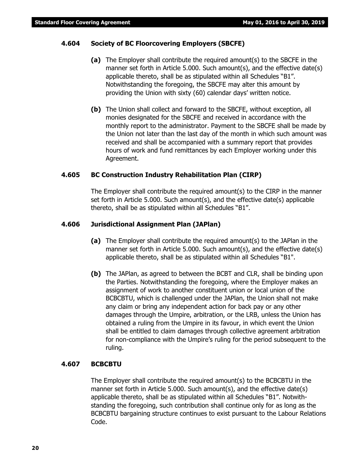#### **4.604 Society of BC Floorcovering Employers (SBCFE)**

- **(a)** The Employer shall contribute the required amount(s) to the SBCFE in the manner set forth in Article 5.000. Such amount(s), and the effective date(s) applicable thereto, shall be as stipulated within all Schedules "B1". Notwithstanding the foregoing, the SBCFE may alter this amount by providing the Union with sixty (60) calendar days' written notice.
- **(b)** The Union shall collect and forward to the SBCFE, without exception, all monies designated for the SBCFE and received in accordance with the monthly report to the administrator. Payment to the SBCFE shall be made by the Union not later than the last day of the month in which such amount was received and shall be accompanied with a summary report that provides hours of work and fund remittances by each Employer working under this Agreement.

#### **4.605 BC Construction Industry Rehabilitation Plan (CIRP)**

The Employer shall contribute the required amount(s) to the CIRP in the manner set forth in Article 5.000. Such amount(s), and the effective date(s) applicable thereto, shall be as stipulated within all Schedules "B1".

#### **4.606 Jurisdictional Assignment Plan (JAPlan)**

- **(a)** The Employer shall contribute the required amount(s) to the JAPlan in the manner set forth in Article 5.000. Such amount(s), and the effective date(s) applicable thereto, shall be as stipulated within all Schedules "B1".
- **(b)** The JAPlan, as agreed to between the BCBT and CLR, shall be binding upon the Parties. Notwithstanding the foregoing, where the Employer makes an assignment of work to another constituent union or local union of the BCBCBTU, which is challenged under the JAPlan, the Union shall not make any claim or bring any independent action for back pay or any other damages through the Umpire, arbitration, or the LRB, unless the Union has obtained a ruling from the Umpire in its favour, in which event the Union shall be entitled to claim damages through collective agreement arbitration for non-compliance with the Umpire's ruling for the period subsequent to the ruling.

#### **4.607 BCBCBTU**

The Employer shall contribute the required amount(s) to the BCBCBTU in the manner set forth in Article 5.000. Such amount(s), and the effective date(s) applicable thereto, shall be as stipulated within all Schedules "B1". Notwithstanding the foregoing, such contribution shall continue only for as long as the BCBCBTU bargaining structure continues to exist pursuant to the *Labour Relations Code*.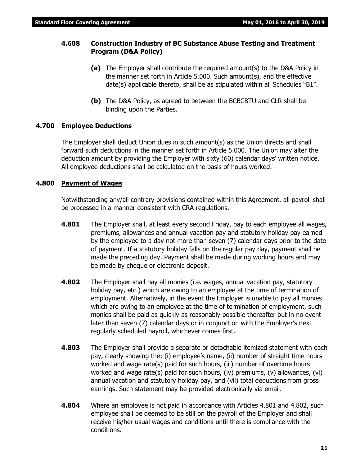#### **4.608 Construction Industry of BC Substance Abuse Testing and Treatment Program (D&A Policy)**

- **(a)** The Employer shall contribute the required amount(s) to the D&A Policy in the manner set forth in Article 5.000. Such amount(s), and the effective date(s) applicable thereto, shall be as stipulated within all Schedules "B1".
- **(b)** The D&A Policy, as agreed to between the BCBCBTU and CLR shall be binding upon the Parties.

#### **4.700 Employee Deductions**

The Employer shall deduct Union dues in such amount(s) as the Union directs and shall forward such deductions in the manner set forth in Article 5.000. The Union may alter the deduction amount by providing the Employer with sixty (60) calendar days' written notice. All employee deductions shall be calculated on the basis of hours worked.

#### **4.800 Payment of Wages**

Notwithstanding any/all contrary provisions contained within this Agreement, all payroll shall be processed in a manner consistent with CRA regulations.

- **4.801** The Employer shall, at least every second Friday, pay to each employee all wages, premiums, allowances and annual vacation pay and statutory holiday pay earned by the employee to a day not more than seven (7) calendar days prior to the date of payment. If a statutory holiday falls on the regular pay day, payment shall be made the preceding day. Payment shall be made during working hours and may be made by cheque or electronic deposit.
- **4.802** The Employer shall pay all monies (i.e. wages, annual vacation pay, statutory holiday pay, etc.) which are owing to an employee at the time of termination of employment. Alternatively, in the event the Employer is unable to pay all monies which are owing to an employee at the time of termination of employment, such monies shall be paid as quickly as reasonably possible thereafter but in no event later than seven (7) calendar days or in conjunction with the Employer's next regularly scheduled payroll, whichever comes first.
- **4.803** The Employer shall provide a separate or detachable itemized statement with each pay, clearly showing the: (i) employee's name, (ii) number of straight time hours worked and wage rate(s) paid for such hours, (iii) number of overtime hours worked and wage rate(s) paid for such hours, (iv) premiums, (v) allowances, (vi) annual vacation and statutory holiday pay, and (vii) total deductions from gross earnings. Such statement may be provided electronically via email.
- **4.804** Where an employee is not paid in accordance with Articles 4.801 and 4.802, such employee shall be deemed to be still on the payroll of the Employer and shall receive his/her usual wages and conditions until there is compliance with the conditions.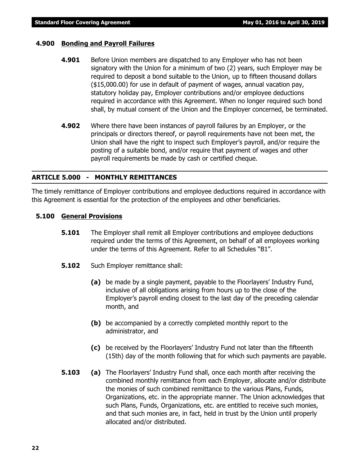#### **4.900 Bonding and Payroll Failures**

- **4.901** Before Union members are dispatched to any Employer who has not been signatory with the Union for a minimum of two (2) years, such Employer may be required to deposit a bond suitable to the Union, up to fifteen thousand dollars (\$15,000.00) for use in default of payment of wages, annual vacation pay, statutory holiday pay, Employer contributions and/or employee deductions required in accordance with this Agreement. When no longer required such bond shall, by mutual consent of the Union and the Employer concerned, be terminated.
- **4.902** Where there have been instances of payroll failures by an Employer, or the principals or directors thereof, or payroll requirements have not been met, the Union shall have the right to inspect such Employer's payroll, and/or require the posting of a suitable bond, and/or require that payment of wages and other payroll requirements be made by cash or certified cheque.

### **ARTICLE 5.000 - MONTHLY REMITTANCES**

The timely remittance of Employer contributions and employee deductions required in accordance with this Agreement is essential for the protection of the employees and other beneficiaries.

### **5.100 General Provisions**

- **5.101** The Employer shall remit all Employer contributions and employee deductions required under the terms of this Agreement, on behalf of all employees working under the terms of this Agreement. Refer to all Schedules "B1".
- **5.102** Such Employer remittance shall:
	- **(a)** be made by a single payment, payable to the Floorlayers' Industry Fund, inclusive of all obligations arising from hours up to the close of the Employer's payroll ending closest to the last day of the preceding calendar month, and
	- **(b)** be accompanied by a correctly completed monthly report to the administrator, and
	- **(c)** be received by the Floorlayers' Industry Fund not later than the fifteenth (15th) day of the month following that for which such payments are payable.
- **5.103 (a)** The Floorlayers' Industry Fund shall, once each month after receiving the combined monthly remittance from each Employer, allocate and/or distribute the monies of such combined remittance to the various Plans, Funds, Organizations, etc. in the appropriate manner. The Union acknowledges that such Plans, Funds, Organizations, etc. are entitled to receive such monies, and that such monies are, in fact, held in trust by the Union until properly allocated and/or distributed.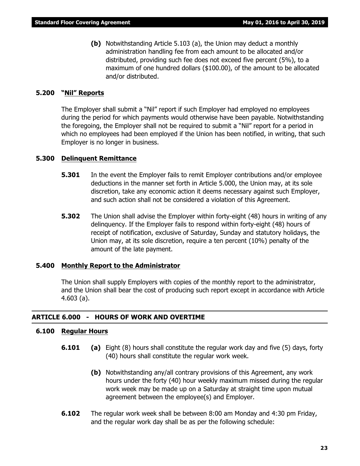**(b)** Notwithstanding Article 5.103 (a), the Union may deduct a monthly administration handling fee from each amount to be allocated and/or distributed, providing such fee does not exceed five percent (5%), to a maximum of one hundred dollars (\$100.00), of the amount to be allocated and/or distributed.

#### **5.200 "Nil" Reports**

The Employer shall submit a "Nil" report if such Employer had employed no employees during the period for which payments would otherwise have been payable. Notwithstanding the foregoing, the Employer shall not be required to submit a "Nil" report for a period in which no employees had been employed if the Union has been notified, in writing, that such Employer is no longer in business.

#### **5.300 Delinquent Remittance**

- **5.301** In the event the Employer fails to remit Employer contributions and/or employee deductions in the manner set forth in Article 5.000, the Union may, at its sole discretion, take any economic action it deems necessary against such Employer, and such action shall not be considered a violation of this Agreement.
- **5.302** The Union shall advise the Employer within forty-eight (48) hours in writing of any delinquency. If the Employer fails to respond within forty-eight (48) hours of receipt of notification, exclusive of Saturday, Sunday and statutory holidays, the Union may, at its sole discretion, require a ten percent (10%) penalty of the amount of the late payment.

#### **5.400 Monthly Report to the Administrator**

The Union shall supply Employers with copies of the monthly report to the administrator, and the Union shall bear the cost of producing such report except in accordance with Article 4.603 (a).

#### **ARTICLE 6.000 - HOURS OF WORK AND OVERTIME**

#### **6.100 Regular Hours**

- **6.101 (a)** Eight (8) hours shall constitute the regular work day and five (5) days, forty (40) hours shall constitute the regular work week.
	- **(b)** Notwithstanding any/all contrary provisions of this Agreement, any work hours under the forty (40) hour weekly maximum missed during the regular work week may be made up on a Saturday at straight time upon mutual agreement between the employee(s) and Employer.
- **6.102** The regular work week shall be between 8:00 am Monday and 4:30 pm Friday, and the regular work day shall be as per the following schedule: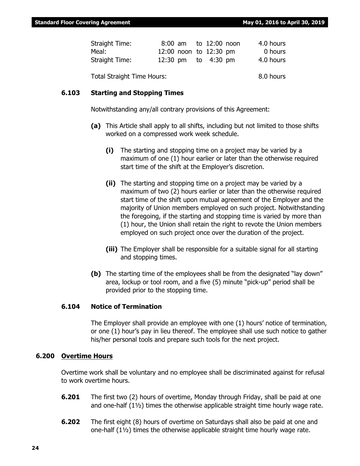| Straight Time: |                        | 8:00 am to 12:00 noon | 4.0 hours |
|----------------|------------------------|-----------------------|-----------|
| Meal:          | 12:00 noon to 12:30 pm |                       | 0 hours   |
| Straight Time: | 12:30 pm to 4:30 pm    |                       | 4.0 hours |
|                |                        |                       |           |

Total Straight Time Hours: 8.0 hours

#### **6.103 Starting and Stopping Times**

Notwithstanding any/all contrary provisions of this Agreement:

- **(a)** This Article shall apply to all shifts, including but not limited to those shifts worked on a compressed work week schedule.
	- **(i)** The starting and stopping time on a project may be varied by a maximum of one (1) hour earlier or later than the otherwise required start time of the shift at the Employer's discretion.
	- **(ii)** The starting and stopping time on a project may be varied by a maximum of two (2) hours earlier or later than the otherwise required start time of the shift upon mutual agreement of the Employer and the majority of Union members employed on such project. Notwithstanding the foregoing, if the starting and stopping time is varied by more than (1) hour, the Union shall retain the right to revote the Union members employed on such project once over the duration of the project.
	- **(iii)** The Employer shall be responsible for a suitable signal for all starting and stopping times.
- **(b)** The starting time of the employees shall be from the designated "lay down" area, lockup or tool room, and a five (5) minute "pick-up" period shall be provided prior to the stopping time.

#### **6.104 Notice of Termination**

The Employer shall provide an employee with one (1) hours' notice of termination, or one (1) hour's pay in lieu thereof. The employee shall use such notice to gather his/her personal tools and prepare such tools for the next project.

#### **6.200 Overtime Hours**

Overtime work shall be voluntary and no employee shall be discriminated against for refusal to work overtime hours.

- **6.201** The first two (2) hours of overtime, Monday through Friday, shall be paid at one and one-half  $(1\frac{1}{2})$  times the otherwise applicable straight time hourly wage rate.
- **6.202** The first eight (8) hours of overtime on Saturdays shall also be paid at one and one-half (1½) times the otherwise applicable straight time hourly wage rate.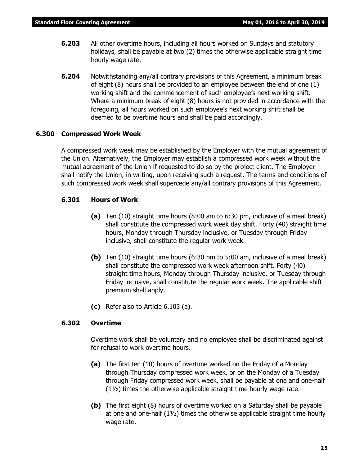- **6.203** All other overtime hours, including all hours worked on Sundays and statutory holidays, shall be payable at two (2) times the otherwise applicable straight time hourly wage rate.
- **6.204** Notwithstanding any/all contrary provisions of this Agreement, a minimum break of eight (8) hours shall be provided to an employee between the end of one (1) working shift and the commencement of such employee's next working shift. Where a minimum break of eight (8) hours is not provided in accordance with the foregoing, all hours worked on such employee's next working shift shall be deemed to be overtime hours and shall be paid accordingly.

#### **6.300 Compressed Work Week**

A compressed work week may be established by the Employer with the mutual agreement of the Union. Alternatively, the Employer may establish a compressed work week without the mutual agreement of the Union if requested to do so by the project client. The Employer shall notify the Union, in writing, upon receiving such a request. The terms and conditions of such compressed work week shall supercede any/all contrary provisions of this Agreement.

#### **6.301 Hours of Work**

- **(a)** Ten (10) straight time hours (8:00 am to 6:30 pm, inclusive of a meal break) shall constitute the compressed work week day shift. Forty (40) straight time hours, Monday through Thursday inclusive, or Tuesday through Friday inclusive, shall constitute the regular work week.
- **(b)** Ten (10) straight time hours (6:30 pm to 5:00 am, inclusive of a meal break) shall constitute the compressed work week afternoon shift. Forty (40) straight time hours, Monday through Thursday inclusive, or Tuesday through Friday inclusive, shall constitute the regular work week. The applicable shift premium shall apply.
- **(c)** Refer also to Article 6.103 (a).

#### **6.302 Overtime**

Overtime work shall be voluntary and no employee shall be discriminated against for refusal to work overtime hours.

- **(a)** The first ten (10) hours of overtime worked on the Friday of a Monday through Thursday compressed work week, or on the Monday of a Tuesday through Friday compressed work week, shall be payable at one and one-half (1½) times the otherwise applicable straight time hourly wage rate.
- **(b)** The first eight (8) hours of overtime worked on a Saturday shall be payable at one and one-half  $(1\frac{1}{2})$  times the otherwise applicable straight time hourly wage rate.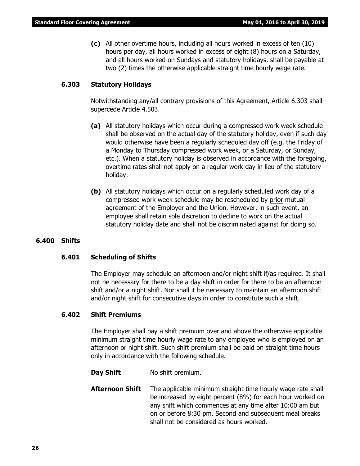**(c)** All other overtime hours, including all hours worked in excess of ten (10) hours per day, all hours worked in excess of eight (8) hours on a Saturday, and all hours worked on Sundays and statutory holidays, shall be payable at two (2) times the otherwise applicable straight time hourly wage rate.

#### **6.303 Statutory Holidays**

Notwithstanding any/all contrary provisions of this Agreement, Article 6.303 shall supercede Article 4.503.

- **(a)** All statutory holidays which occur during a compressed work week schedule shall be observed on the actual day of the statutory holiday, even if such day would otherwise have been a regularly scheduled day off (e.g. the Friday of a Monday to Thursday compressed work week, or a Saturday, or Sunday, etc.). When a statutory holiday is observed in accordance with the foregoing, overtime rates shall not apply on a regular work day in lieu of the statutory holiday.
- **(b)** All statutory holidays which occur on a regularly scheduled work day of a compressed work week schedule may be rescheduled by prior mutual agreement of the Employer and the Union. However, in such event, an employee shall retain sole discretion to decline to work on the actual statutory holiday date and shall not be discriminated against for doing so.

#### **6.400 Shifts**

#### **6.401 Scheduling of Shifts**

The Employer may schedule an afternoon and/or night shift if/as required. It shall not be necessary for there to be a day shift in order for there to be an afternoon shift and/or a night shift. Nor shall it be necessary to maintain an afternoon shift and/or night shift for consecutive days in order to constitute such a shift.

#### **6.402 Shift Premiums**

The Employer shall pay a shift premium over and above the otherwise applicable minimum straight time hourly wage rate to any employee who is employed on an afternoon or night shift. Such shift premium shall be paid on straight time hours only in accordance with the following schedule.

**Day Shift** No shift premium.

**Afternoon Shift** The applicable minimum straight time hourly wage rate shall be increased by eight percent (8%) for each hour worked on any shift which commences at any time after 10:00 am but on or before 8:30 pm. Second and subsequent meal breaks shall not be considered as hours worked.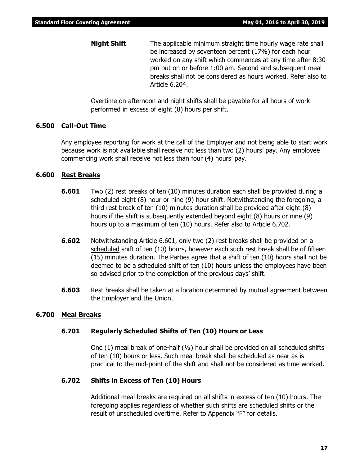**Night Shift** The applicable minimum straight time hourly wage rate shall be increased by seventeen percent (17%) for each hour worked on any shift which commences at any time after 8:30 pm but on or before 1:00 am. Second and subsequent meal breaks shall not be considered as hours worked. Refer also to Article 6.204.

Overtime on afternoon and night shifts shall be payable for all hours of work performed in excess of eight (8) hours per shift.

#### **6.500 Call-Out Time**

Any employee reporting for work at the call of the Employer and not being able to start work because work is not available shall receive not less than two (2) hours' pay. Any employee commencing work shall receive not less than four (4) hours' pay.

#### **6.600 Rest Breaks**

- **6.601** Two (2) rest breaks of ten (10) minutes duration each shall be provided during a scheduled eight (8) hour or nine (9) hour shift. Notwithstanding the foregoing, a third rest break of ten (10) minutes duration shall be provided after eight (8) hours if the shift is subsequently extended beyond eight (8) hours or nine (9) hours up to a maximum of ten (10) hours. Refer also to Article 6.702.
- **6.602** Notwithstanding Article 6.601, only two (2) rest breaks shall be provided on a scheduled shift of ten (10) hours, however each such rest break shall be of fifteen (15) minutes duration. The Parties agree that a shift of ten (10) hours shall not be deemed to be a scheduled shift of ten (10) hours unless the employees have been so advised prior to the completion of the previous days' shift.
- **6.603** Rest breaks shall be taken at a location determined by mutual agreement between the Employer and the Union.

#### **6.700 Meal Breaks**

#### **6.701 Regularly Scheduled Shifts of Ten (10) Hours or Less**

One  $(1)$  meal break of one-half  $(y_2)$  hour shall be provided on all scheduled shifts of ten (10) hours or less. Such meal break shall be scheduled as near as is practical to the mid-point of the shift and shall not be considered as time worked.

#### **6.702 Shifts in Excess of Ten (10) Hours**

Additional meal breaks are required on all shifts in excess of ten (10) hours. The foregoing applies regardless of whether such shifts are scheduled shifts or the result of unscheduled overtime. Refer to Appendix "F" for details.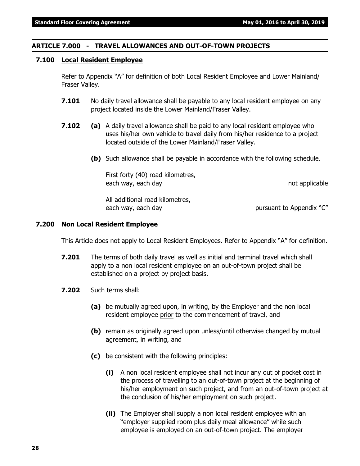#### **ARTICLE 7.000 - TRAVEL ALLOWANCES AND OUT-OF-TOWN PROJECTS**

#### **7.100 Local Resident Employee**

Refer to Appendix "A" for definition of both Local Resident Employee and Lower Mainland/ Fraser Valley.

- **7.101** No daily travel allowance shall be payable to any local resident employee on any project located inside the Lower Mainland/Fraser Valley.
- **7.102 (a)** A daily travel allowance shall be paid to any local resident employee who uses his/her own vehicle to travel daily from his/her residence to a project located outside of the Lower Mainland/Fraser Valley.
	- **(b)** Such allowance shall be payable in accordance with the following schedule.

First forty (40) road kilometres, each way, each day not applicable

All additional road kilometres, each way, each day early pursuant to Appendix "C"

#### **7.200 Non Local Resident Employee**

This Article does not apply to Local Resident Employees. Refer to Appendix "A" for definition.

- **7.201** The terms of both daily travel as well as initial and terminal travel which shall apply to a non local resident employee on an out-of-town project shall be established on a project by project basis.
- **7.202** Such terms shall:
	- **(a)** be mutually agreed upon, in writing, by the Employer and the non local resident employee prior to the commencement of travel, and
	- **(b)** remain as originally agreed upon unless/until otherwise changed by mutual agreement, in writing, and
	- **(c)** be consistent with the following principles:
		- **(i)** A non local resident employee shall not incur any out of pocket cost in the process of travelling to an out-of-town project at the beginning of his/her employment on such project, and from an out-of-town project at the conclusion of his/her employment on such project.
		- **(ii)** The Employer shall supply a non local resident employee with an "employer supplied room plus daily meal allowance" while such employee is employed on an out-of-town project. The employer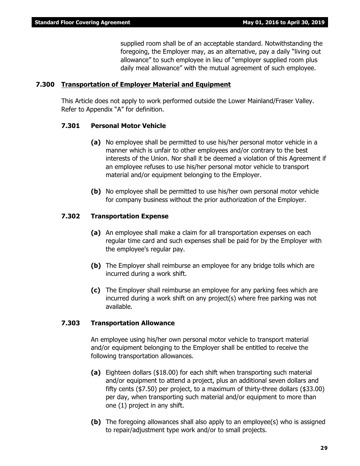supplied room shall be of an acceptable standard. Notwithstanding the foregoing, the Employer may, as an alternative, pay a daily "living out allowance" to such employee in lieu of "employer supplied room plus daily meal allowance" with the mutual agreement of such employee.

#### **7.300 Transportation of Employer Material and Equipment**

This Article does not apply to work performed outside the Lower Mainland/Fraser Valley. Refer to Appendix "A" for definition.

#### **7.301 Personal Motor Vehicle**

- **(a)** No employee shall be permitted to use his/her personal motor vehicle in a manner which is unfair to other employees and/or contrary to the best interests of the Union. Nor shall it be deemed a violation of this Agreement if an employee refuses to use his/her personal motor vehicle to transport material and/or equipment belonging to the Employer.
- **(b)** No employee shall be permitted to use his/her own personal motor vehicle for company business without the prior authorization of the Employer.

#### **7.302 Transportation Expense**

- **(a)** An employee shall make a claim for all transportation expenses on each regular time card and such expenses shall be paid for by the Employer with the employee's regular pay.
- **(b)** The Employer shall reimburse an employee for any bridge tolls which are incurred during a work shift.
- **(c)** The Employer shall reimburse an employee for any parking fees which are incurred during a work shift on any project(s) where free parking was not available.

#### **7.303 Transportation Allowance**

An employee using his/her own personal motor vehicle to transport material and/or equipment belonging to the Employer shall be entitled to receive the following transportation allowances.

- **(a)** Eighteen dollars (\$18.00) for each shift when transporting such material and/or equipment to attend a project, plus an additional seven dollars and fifty cents (\$7.50) per project, to a maximum of thirty-three dollars (\$33.00) per day, when transporting such material and/or equipment to more than one (1) project in any shift.
- **(b)** The foregoing allowances shall also apply to an employee(s) who is assigned to repair/adjustment type work and/or to small projects.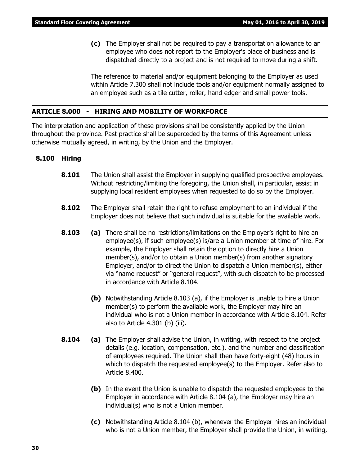**(c)** The Employer shall not be required to pay a transportation allowance to an employee who does not report to the Employer's place of business and is dispatched directly to a project and is not required to move during a shift.

The reference to material and/or equipment belonging to the Employer as used within Article 7.300 shall not include tools and/or equipment normally assigned to an employee such as a tile cutter, roller, hand edger and small power tools.

#### **ARTICLE 8.000 - HIRING AND MOBILITY OF WORKFORCE**

The interpretation and application of these provisions shall be consistently applied by the Union throughout the province. Past practice shall be superceded by the terms of this Agreement unless otherwise mutually agreed, in writing, by the Union and the Employer.

#### **8.100 Hiring**

- **8.101** The Union shall assist the Employer in supplying qualified prospective employees. Without restricting/limiting the foregoing, the Union shall, in particular, assist in supplying local resident employees when requested to do so by the Employer.
- **8.102** The Employer shall retain the right to refuse employment to an individual if the Employer does not believe that such individual is suitable for the available work.
- **8.103 (a)** There shall be no restrictions/limitations on the Employer's right to hire an employee(s), if such employee(s) is/are a Union member at time of hire. For example, the Employer shall retain the option to directly hire a Union member(s), and/or to obtain a Union member(s) from another signatory Employer, and/or to direct the Union to dispatch a Union member(s), either via "name request" or "general request", with such dispatch to be processed in accordance with Article 8.104.
	- **(b)** Notwithstanding Article 8.103 (a), if the Employer is unable to hire a Union member(s) to perform the available work, the Employer may hire an individual who is not a Union member in accordance with Article 8.104. Refer also to Article 4.301 (b) (iii).
- **8.104 (a)** The Employer shall advise the Union, in writing, with respect to the project details (e.g. location, compensation, etc.), and the number and classification of employees required. The Union shall then have forty-eight (48) hours in which to dispatch the requested employee(s) to the Employer. Refer also to Article 8.400.
	- **(b)** In the event the Union is unable to dispatch the requested employees to the Employer in accordance with Article 8.104 (a), the Employer may hire an individual(s) who is not a Union member.
	- **(c)** Notwithstanding Article 8.104 (b), whenever the Employer hires an individual who is not a Union member, the Employer shall provide the Union, in writing,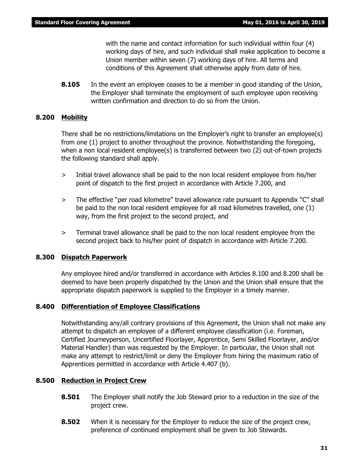with the name and contact information for such individual within four (4) working days of hire, and such individual shall make application to become a Union member within seven (7) working days of hire. All terms and conditions of this Agreement shall otherwise apply from date of hire.

**8.105** In the event an employee ceases to be a member in good standing of the Union, the Employer shall terminate the employment of such employee upon receiving written confirmation and direction to do so from the Union.

#### **8.200 Mobility**

There shall be no restrictions/limitations on the Employer's right to transfer an employee(s) from one (1) project to another throughout the province. Notwithstanding the foregoing, when a non local resident employee(s) is transferred between two (2) out-of-town projects the following standard shall apply.

- > Initial travel allowance shall be paid to the non local resident employee from his/her point of dispatch to the first project in accordance with Article 7.200, and
- > The effective "per road kilometre" travel allowance rate pursuant to Appendix "C" shall be paid to the non local resident employee for all road kilometres travelled, one (1) way, from the first project to the second project, and
- > Terminal travel allowance shall be paid to the non local resident employee from the second project back to his/her point of dispatch in accordance with Article 7.200.

#### **8.300 Dispatch Paperwork**

Any employee hired and/or transferred in accordance with Articles 8.100 and 8.200 shall be deemed to have been properly dispatched by the Union and the Union shall ensure that the appropriate dispatch paperwork is supplied to the Employer in a timely manner.

#### **8.400 Differentiation of Employee Classifications**

Notwithstanding any/all contrary provisions of this Agreement, the Union shall not make any attempt to dispatch an employee of a different employee classification (i.e. Foreman, Certified Journeyperson, Uncertified Floorlayer, Apprentice, Semi Skilled Floorlayer, and/or Material Handler) than was requested by the Employer. In particular, the Union shall not make any attempt to restrict/limit or deny the Employer from hiring the maximum ratio of Apprentices permitted in accordance with Article 4.407 (b).

#### **8.500 Reduction in Project Crew**

- **8.501** The Employer shall notify the Job Steward prior to a reduction in the size of the project crew.
- **8.502** When it is necessary for the Employer to reduce the size of the project crew, preference of continued employment shall be given to Job Stewards.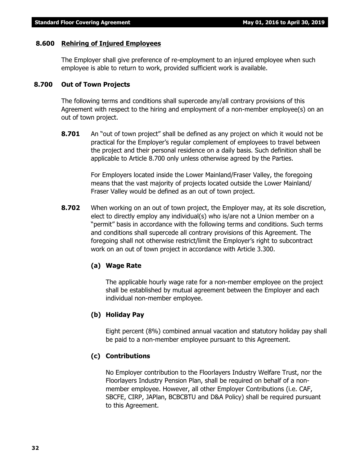#### **8.600 Rehiring of Injured Employees**

The Employer shall give preference of re-employment to an injured employee when such employee is able to return to work, provided sufficient work is available.

#### **8.700 Out of Town Projects**

The following terms and conditions shall supercede any/all contrary provisions of this Agreement with respect to the hiring and employment of a non-member employee(s) on an out of town project.

**8.701** An "out of town project" shall be defined as any project on which it would not be practical for the Employer's regular complement of employees to travel between the project and their personal residence on a daily basis. Such definition shall be applicable to Article 8.700 only unless otherwise agreed by the Parties.

> For Employers located inside the Lower Mainland/Fraser Valley, the foregoing means that the vast majority of projects located outside the Lower Mainland/ Fraser Valley would be defined as an out of town project.

**8.702** When working on an out of town project, the Employer may, at its sole discretion, elect to directly employ any individual(s) who is/are not a Union member on a "permit" basis in accordance with the following terms and conditions. Such terms and conditions shall supercede all contrary provisions of this Agreement. The foregoing shall not otherwise restrict/limit the Employer's right to subcontract work on an out of town project in accordance with Article 3.300.

#### **(a) Wage Rate**

The applicable hourly wage rate for a non-member employee on the project shall be established by mutual agreement between the Employer and each individual non-member employee.

#### **(b) Holiday Pay**

Eight percent (8%) combined annual vacation and statutory holiday pay shall be paid to a non-member employee pursuant to this Agreement.

#### **(c) Contributions**

No Employer contribution to the Floorlayers Industry Welfare Trust, nor the Floorlayers Industry Pension Plan, shall be required on behalf of a nonmember employee. However, all other Employer Contributions (i.e. CAF, SBCFE, CIRP, JAPlan, BCBCBTU and D&A Policy) shall be required pursuant to this Agreement.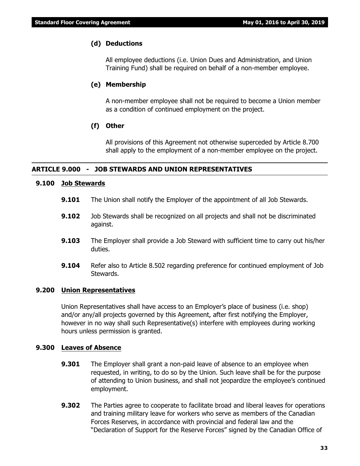#### **(d) Deductions**

All employee deductions (i.e. Union Dues and Administration, and Union Training Fund) shall be required on behalf of a non-member employee.

#### **(e) Membership**

A non-member employee shall not be required to become a Union member as a condition of continued employment on the project.

#### **(f) Other**

All provisions of this Agreement not otherwise superceded by Article 8.700 shall apply to the employment of a non-member employee on the project.

#### **ARTICLE 9.000 - JOB STEWARDS AND UNION REPRESENTATIVES**

#### **9.100 Job Stewards**

- **9.101** The Union shall notify the Employer of the appointment of all Job Stewards.
- **9.102** Job Stewards shall be recognized on all projects and shall not be discriminated against.
- **9.103** The Employer shall provide a Job Steward with sufficient time to carry out his/her duties.
- **9.104** Refer also to Article 8.502 regarding preference for continued employment of Job Stewards.

#### **9.200 Union Representatives**

Union Representatives shall have access to an Employer's place of business (i.e. shop) and/or any/all projects governed by this Agreement, after first notifying the Employer, however in no way shall such Representative(s) interfere with employees during working hours unless permission is granted.

#### **9.300 Leaves of Absence**

- **9.301** The Employer shall grant a non-paid leave of absence to an employee when requested, in writing, to do so by the Union. Such leave shall be for the purpose of attending to Union business, and shall not jeopardize the employee's continued employment.
- **9.302** The Parties agree to cooperate to facilitate broad and liberal leaves for operations and training military leave for workers who serve as members of the Canadian Forces Reserves, in accordance with provincial and federal law and the "Declaration of Support for the Reserve Forces" signed by the Canadian Office of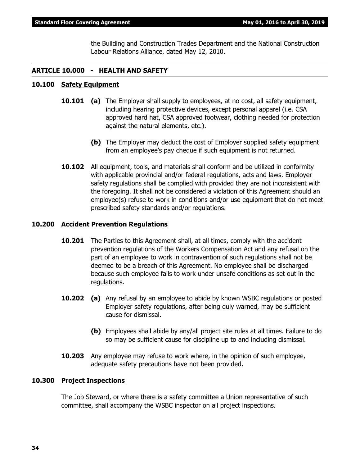the Building and Construction Trades Department and the National Construction Labour Relations Alliance, dated May 12, 2010.

#### **ARTICLE 10.000 - HEALTH AND SAFETY**

#### **10.100 Safety Equipment**

- **10.101 (a)** The Employer shall supply to employees, at no cost, all safety equipment, including hearing protective devices, except personal apparel (i.e. CSA approved hard hat, CSA approved footwear, clothing needed for protection against the natural elements, etc.).
	- **(b)** The Employer may deduct the cost of Employer supplied safety equipment from an employee's pay cheque if such equipment is not returned.
- **10.102** All equipment, tools, and materials shall conform and be utilized in conformity with applicable provincial and/or federal regulations, acts and laws. Employer safety regulations shall be complied with provided they are not inconsistent with the foregoing. It shall not be considered a violation of this Agreement should an employee(s) refuse to work in conditions and/or use equipment that do not meet prescribed safety standards and/or regulations.

#### **10.200 Accident Prevention Regulations**

- **10.201** The Parties to this Agreement shall, at all times, comply with the accident prevention regulations of the *Workers Compensation Act* and any refusal on the part of an employee to work in contravention of such regulations shall not be deemed to be a breach of this Agreement. No employee shall be discharged because such employee fails to work under unsafe conditions as set out in the regulations.
- **10.202 (a)** Any refusal by an employee to abide by known WSBC regulations or posted Employer safety regulations, after being duly warned, may be sufficient cause for dismissal.
	- **(b)** Employees shall abide by any/all project site rules at all times. Failure to do so may be sufficient cause for discipline up to and including dismissal.
- **10.203** Any employee may refuse to work where, in the opinion of such employee, adequate safety precautions have not been provided.

#### **10.300 Project Inspections**

The Job Steward, or where there is a safety committee a Union representative of such committee, shall accompany the WSBC inspector on all project inspections.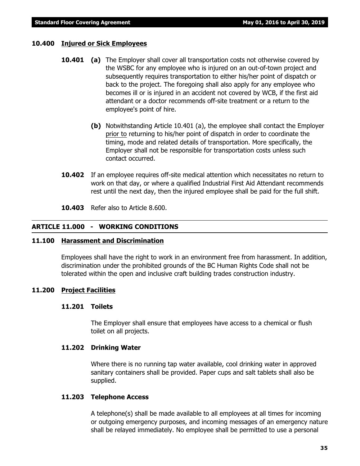#### **10.400 Injured or Sick Employees**

- **10.401 (a)** The Employer shall cover all transportation costs not otherwise covered by the WSBC for any employee who is injured on an out-of-town project and subsequently requires transportation to either his/her point of dispatch or back to the project. The foregoing shall also apply for any employee who becomes ill or is injured in an accident not covered by WCB, if the first aid attendant or a doctor recommends off-site treatment or a return to the employee's point of hire.
	- **(b)** Notwithstanding Article 10.401 (a), the employee shall contact the Employer prior to returning to his/her point of dispatch in order to coordinate the timing, mode and related details of transportation. More specifically, the Employer shall not be responsible for transportation costs unless such contact occurred.
- **10.402** If an employee requires off-site medical attention which necessitates no return to work on that day, or where a qualified Industrial First Aid Attendant recommends rest until the next day, then the injured employee shall be paid for the full shift.
- **10.403** Refer also to Article 8.600.

### **ARTICLE 11.000 - WORKING CONDITIONS**

### **11.100 Harassment and Discrimination**

Employees shall have the right to work in an environment free from harassment. In addition, discrimination under the prohibited grounds of the *BC Human Rights Code* shall not be tolerated within the open and inclusive craft building trades construction industry.

### **11.200 Project Facilities**

### **11.201 Toilets**

The Employer shall ensure that employees have access to a chemical or flush toilet on all projects.

### **11.202 Drinking Water**

Where there is no running tap water available, cool drinking water in approved sanitary containers shall be provided. Paper cups and salt tablets shall also be supplied.

### **11.203 Telephone Access**

A telephone(s) shall be made available to all employees at all times for incoming or outgoing emergency purposes, and incoming messages of an emergency nature shall be relayed immediately. No employee shall be permitted to use a personal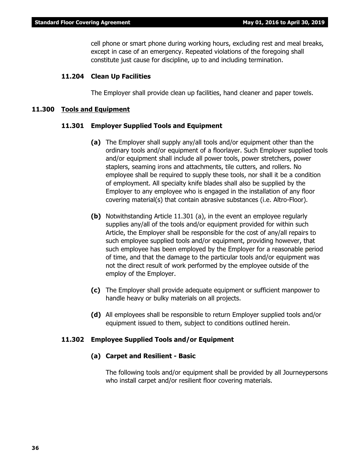cell phone or smart phone during working hours, excluding rest and meal breaks, except in case of an emergency. Repeated violations of the foregoing shall constitute just cause for discipline, up to and including termination.

#### **11.204 Clean Up Facilities**

The Employer shall provide clean up facilities, hand cleaner and paper towels.

#### **11.300 Tools and Equipment**

#### **11.301 Employer Supplied Tools and Equipment**

- **(a)** The Employer shall supply any/all tools and/or equipment other than the ordinary tools and/or equipment of a floorlayer. Such Employer supplied tools and/or equipment shall include all power tools, power stretchers, power staplers, seaming irons and attachments, tile cutters, and rollers. No employee shall be required to supply these tools, nor shall it be a condition of employment. All specialty knife blades shall also be supplied by the Employer to any employee who is engaged in the installation of any floor covering material(s) that contain abrasive substances (i.e. Altro-Floor).
- **(b)** Notwithstanding Article 11.301 (a), in the event an employee regularly supplies any/all of the tools and/or equipment provided for within such Article, the Employer shall be responsible for the cost of any/all repairs to such employee supplied tools and/or equipment, providing however, that such employee has been employed by the Employer for a reasonable period of time, and that the damage to the particular tools and/or equipment was not the direct result of work performed by the employee outside of the employ of the Employer.
- **(c)** The Employer shall provide adequate equipment or sufficient manpower to handle heavy or bulky materials on all projects.
- **(d)** All employees shall be responsible to return Employer supplied tools and/or equipment issued to them, subject to conditions outlined herein.

#### **11.302 Employee Supplied Tools and/or Equipment**

#### **(a) Carpet and Resilient - Basic**

The following tools and/or equipment shall be provided by all Journeypersons who install carpet and/or resilient floor covering materials.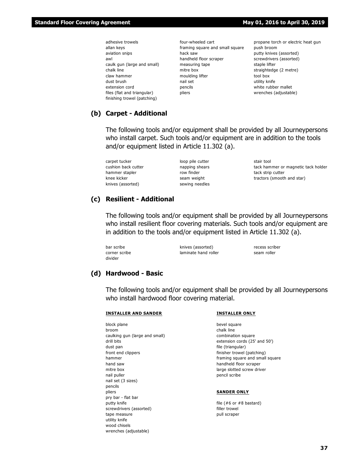- adhesive trowels allan keys aviation snips awl caulk gun (large and small) chalk line claw hammer dust brush extension cord files (flat and triangular) finishing trowel (patching)
- four-wheeled cart framing square and small square hack saw handheld floor scraper measuring tape mitre box moulding lifter nail set pencils pliers

propane torch or electric heat gun push broom putty knives (assorted) screwdrivers (assorted) staple lifter straightedge (2 metre) tool box utility knife white rubber mallet wrenches (adjustable)

#### **(b) Carpet - Additional**

The following tools and/or equipment shall be provided by all Journeypersons who install carpet. Such tools and/or equipment are in addition to the tools and/or equipment listed in Article 11.302 (a).

carpet tucker cushion back cutter hammer stapler knee kicker knives (assorted)

loop pile cutter napping shears row finder seam weight sewing needles

stair tool tack hammer or magnetic tack holder tack strip cutter tractors (smooth and star)

#### **(c) Resilient - Additional**

The following tools and/or equipment shall be provided by all Journeypersons who install resilient floor covering materials. Such tools and/or equipment are in addition to the tools and/or equipment listed in Article 11.302 (a).

bar scribe corner scribe divider

knives (assorted) laminate hand roller

recess scriber seam roller

#### **(d) Hardwood - Basic**

The following tools and/or equipment shall be provided by all Journeypersons who install hardwood floor covering material.

#### **INSTALLER AND SANDER**

block plane broom caulking gun (large and small) drill bits dust pan front end clippers hammer hand saw mitre box nail puller nail set (3 sizes) pencils pliers pry bar - flat bar putty knife screwdrivers (assorted) tape measure utility knife wood chisels wrenches (adjustable)

#### **INSTALLER ONLY**

bevel square chalk line combination square extension cords (25' and 50') file (triangular) finisher trowel (patching) framing square and small square handheld floor scraper large slotted screw driver pencil scribe

#### **SANDER ONLY**

file (#6 or #8 bastard) filler trowel pull scraper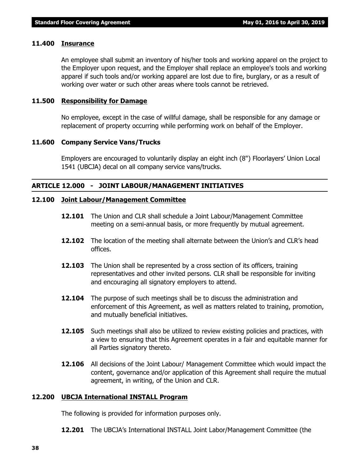#### **11.400 Insurance**

An employee shall submit an inventory of his/her tools and working apparel on the project to the Employer upon request, and the Employer shall replace an employee's tools and working apparel if such tools and/or working apparel are lost due to fire, burglary, or as a result of working over water or such other areas where tools cannot be retrieved.

#### **11.500 Responsibility for Damage**

No employee, except in the case of willful damage, shall be responsible for any damage or replacement of property occurring while performing work on behalf of the Employer.

#### **11.600 Company Service Vans/Trucks**

Employers are encouraged to voluntarily display an eight inch (8") Floorlayers' Union Local 1541 (UBCJA) decal on all company service vans/trucks.

#### **ARTICLE 12.000 - JOINT LABOUR/MANAGEMENT INITIATIVES**

#### **12.100 Joint Labour/Management Committee**

- **12.101** The Union and CLR shall schedule a Joint Labour/Management Committee meeting on a semi-annual basis, or more frequently by mutual agreement.
- **12.102** The location of the meeting shall alternate between the Union's and CLR's head offices.
- **12.103** The Union shall be represented by a cross section of its officers, training representatives and other invited persons. CLR shall be responsible for inviting and encouraging all signatory employers to attend.
- **12.104** The purpose of such meetings shall be to discuss the administration and enforcement of this Agreement, as well as matters related to training, promotion, and mutually beneficial initiatives.
- **12.105** Such meetings shall also be utilized to review existing policies and practices, with a view to ensuring that this Agreement operates in a fair and equitable manner for all Parties signatory thereto.
- **12.106** All decisions of the Joint Labour/ Management Committee which would impact the content, governance and/or application of this Agreement shall require the mutual agreement, in writing, of the Union and CLR.

#### **12.200 UBCJA International INSTALL Program**

The following is provided for information purposes only.

**12.201** The UBCJA's International INSTALL Joint Labor/Management Committee (the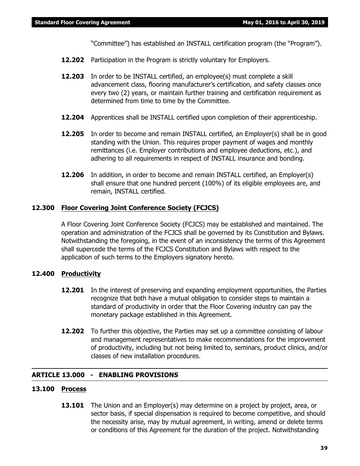"Committee") has established an INSTALL certification program (the "Program").

- **12.202** Participation in the Program is strictly voluntary for Employers.
- **12.203** In order to be INSTALL certified, an employee(s) must complete a skill advancement class, flooring manufacturer's certification, and safety classes once every two (2) years, or maintain further training and certification requirement as determined from time to time by the Committee.
- **12.204** Apprentices shall be INSTALL certified upon completion of their apprenticeship.
- **12.205** In order to become and remain INSTALL certified, an Employer(s) shall be in good standing with the Union. This requires proper payment of wages and monthly remittances (i.e. Employer contributions and employee deductions, etc.), and adhering to all requirements in respect of INSTALL insurance and bonding.
- **12.206** In addition, in order to become and remain INSTALL certified, an Employer(s) shall ensure that one hundred percent (100%) of its eligible employees are, and remain, INSTALL certified.

#### **12.300 Floor Covering Joint Conference Society (FCJCS)**

A Floor Covering Joint Conference Society (FCJCS) may be established and maintained. The operation and administration of the FCJCS shall be governed by its Constitution and Bylaws. Notwithstanding the foregoing, in the event of an inconsistency the terms of this Agreement shall supercede the terms of the FCJCS Constitution and Bylaws with respect to the application of such terms to the Employers signatory hereto.

#### **12.400 Productivity**

- **12.201** In the interest of preserving and expanding employment opportunities, the Parties recognize that both have a mutual obligation to consider steps to maintain a standard of productivity in order that the Floor Covering industry can pay the monetary package established in this Agreement.
- **12.202** To further this objective, the Parties may set up a committee consisting of labour and management representatives to make recommendations for the improvement of productivity, including but not being limited to, seminars, product clinics, and/or classes of new installation procedures.

### **ARTICLE 13.000 - ENABLING PROVISIONS**

### **13.100 Process**

**13.101** The Union and an Employer(s) may determine on a project by project, area, or sector basis, if special dispensation is required to become competitive, and should the necessity arise, may by mutual agreement, in writing, amend or delete terms or conditions of this Agreement for the duration of the project. Notwithstanding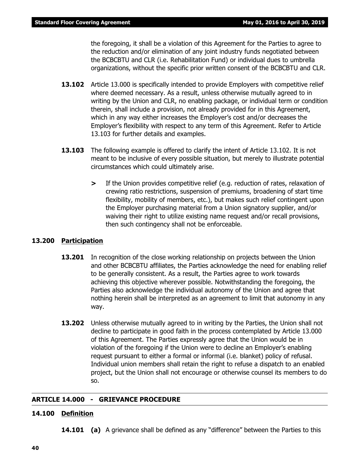the foregoing, it shall be a violation of this Agreement for the Parties to agree to the reduction and/or elimination of any joint industry funds negotiated between the BCBCBTU and CLR (i.e. Rehabilitation Fund) or individual dues to umbrella organizations, without the specific prior written consent of the BCBCBTU and CLR.

- **13.102** Article 13.000 is specifically intended to provide Employers with competitive relief where deemed necessary. As a result, unless otherwise mutually agreed to in writing by the Union and CLR, no enabling package, or individual term or condition therein, shall include a provision, not already provided for in this Agreement, which in any way either increases the Employer's cost and/or decreases the Employer's flexibility with respect to any term of this Agreement. Refer to Article 13.103 for further details and examples.
- **13.103** The following example is offered to clarify the intent of Article 13.102. It is not meant to be inclusive of every possible situation, but merely to illustrate potential circumstances which could ultimately arise.
	- **>** If the Union provides competitive relief (e.g. reduction of rates, relaxation of crewing ratio restrictions, suspension of premiums, broadening of start time flexibility, mobility of members, etc.), but makes such relief contingent upon the Employer purchasing material from a Union signatory supplier, and/or waiving their right to utilize existing name request and/or recall provisions, then such contingency shall not be enforceable.

### **13.200 Participation**

- **13.201** In recognition of the close working relationship on projects between the Union and other BCBCBTU affiliates, the Parties acknowledge the need for enabling relief to be generally consistent. As a result, the Parties agree to work towards achieving this objective wherever possible. Notwithstanding the foregoing, the Parties also acknowledge the individual autonomy of the Union and agree that nothing herein shall be interpreted as an agreement to limit that autonomy in any way.
- **13.202** Unless otherwise mutually agreed to in writing by the Parties, the Union shall not decline to participate in good faith in the process contemplated by Article 13.000 of this Agreement. The Parties expressly agree that the Union would be in violation of the foregoing if the Union were to decline an Employer's enabling request pursuant to either a formal or informal (i.e. blanket) policy of refusal. Individual union members shall retain the right to refuse a dispatch to an enabled project, but the Union shall not encourage or otherwise counsel its members to do so.

### **ARTICLE 14.000 - GRIEVANCE PROCEDURE**

#### **14.100 Definition**

**14.101 (a)** A grievance shall be defined as any "difference" between the Parties to this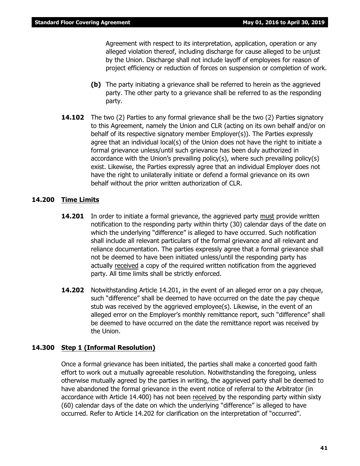Agreement with respect to its interpretation, application, operation or any alleged violation thereof, including discharge for cause alleged to be unjust by the Union. Discharge shall not include layoff of employees for reason of project efficiency or reduction of forces on suspension or completion of work.

- **(b)** The party initiating a grievance shall be referred to herein as the aggrieved party. The other party to a grievance shall be referred to as the responding party.
- **14.102** The two (2) Parties to any formal grievance shall be the two (2) Parties signatory to this Agreement, namely the Union and CLR (acting on its own behalf and/or on behalf of its respective signatory member Employer(s)). The Parties expressly agree that an individual local(s) of the Union does not have the right to initiate a formal grievance unless/until such grievance has been duly authorized in accordance with the Union's prevailing policy(s), where such prevailing policy(s) exist. Likewise, the Parties expressly agree that an individual Employer does not have the right to unilaterally initiate or defend a formal grievance on its own behalf without the prior written authorization of CLR.

#### **14.200 Time Limits**

- **14.201** In order to initiate a formal grievance, the aggrieved party must provide written notification to the responding party within thirty (30) calendar days of the date on which the underlying "difference" is alleged to have occurred. Such notification shall include all relevant particulars of the formal grievance and all relevant and reliance documentation. The parties expressly agree that a formal grievance shall not be deemed to have been initiated unless/until the responding party has actually received a copy of the required written notification from the aggrieved party. All time limits shall be strictly enforced.
- **14.202** Notwithstanding Article 14.201, in the event of an alleged error on a pay cheque, such "difference" shall be deemed to have occurred on the date the pay cheque stub was received by the aggrieved employee(s). Likewise, in the event of an alleged error on the Employer's monthly remittance report, such "difference" shall be deemed to have occurred on the date the remittance report was received by the Union.

### **14.300 Step 1 (Informal Resolution)**

Once a formal grievance has been initiated, the parties shall make a concerted good faith effort to work out a mutually agreeable resolution. Notwithstanding the foregoing, unless otherwise mutually agreed by the parties in writing, the aggrieved party shall be deemed to have abandoned the formal grievance in the event notice of referral to the Arbitrator (in accordance with Article 14.400) has not been received by the responding party within sixty (60) calendar days of the date on which the underlying "difference" is alleged to have occurred. Refer to Article 14.202 for clarification on the interpretation of "occurred".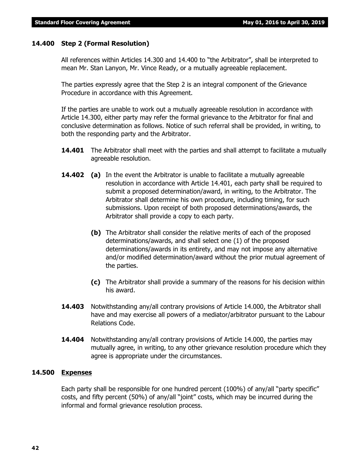### **14.400 Step 2 (Formal Resolution)**

All references within Articles 14.300 and 14.400 to "the Arbitrator", shall be interpreted to mean Mr. Stan Lanyon, Mr. Vince Ready, or a mutually agreeable replacement.

The parties expressly agree that the Step 2 is an integral component of the Grievance Procedure in accordance with this Agreement.

If the parties are unable to work out a mutually agreeable resolution in accordance with Article 14.300, either party may refer the formal grievance to the Arbitrator for final and conclusive determination as follows. Notice of such referral shall be provided, in writing, to both the responding party and the Arbitrator.

- **14.401** The Arbitrator shall meet with the parties and shall attempt to facilitate a mutually agreeable resolution.
- **14.402** (a) In the event the Arbitrator is unable to facilitate a mutually agreeable resolution in accordance with Article 14.401, each party shall be required to submit a proposed determination/award, in writing, to the Arbitrator. The Arbitrator shall determine his own procedure, including timing, for such submissions. Upon receipt of both proposed determinations/awards, the Arbitrator shall provide a copy to each party.
	- **(b)** The Arbitrator shall consider the relative merits of each of the proposed determinations/awards, and shall select one (1) of the proposed determinations/awards in its entirety, and may not impose any alternative and/or modified determination/award without the prior mutual agreement of the parties.
	- **(c)** The Arbitrator shall provide a summary of the reasons for his decision within his award.
- **14.403** Notwithstanding any/all contrary provisions of Article 14.000, the Arbitrator shall have and may exercise all powers of a mediator/arbitrator pursuant to the *Labour Relations Code.*
- **14.404** Notwithstanding any/all contrary provisions of Article 14.000, the parties may mutually agree, in writing, to any other grievance resolution procedure which they agree is appropriate under the circumstances.

### **14.500 Expenses**

Each party shall be responsible for one hundred percent (100%) of any/all "party specific" costs, and fifty percent (50%) of any/all "joint" costs, which may be incurred during the informal and formal grievance resolution process.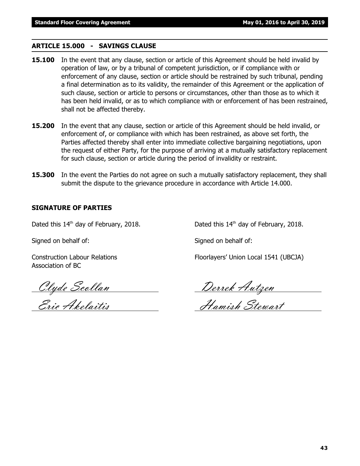#### **ARTICLE 15.000 - SAVINGS CLAUSE**

- **15.100** In the event that any clause, section or article of this Agreement should be held invalid by operation of law, or by a tribunal of competent jurisdiction, or if compliance with or enforcement of any clause, section or article should be restrained by such tribunal, pending a final determination as to its validity, the remainder of this Agreement or the application of such clause, section or article to persons or circumstances, other than those as to which it has been held invalid, or as to which compliance with or enforcement of has been restrained, shall not be affected thereby.
- **15.200** In the event that any clause, section or article of this Agreement should be held invalid, or enforcement of, or compliance with which has been restrained, as above set forth, the Parties affected thereby shall enter into immediate collective bargaining negotiations, upon the request of either Party, for the purpose of arriving at a mutually satisfactory replacement for such clause, section or article during the period of invalidity or restraint.
- **15.300** In the event the Parties do not agree on such a mutually satisfactory replacement, they shall submit the dispute to the grievance procedure in accordance with Article 14.000.

### **SIGNATURE OF PARTIES**

Dated this  $14<sup>th</sup>$  day of February, 2018. Dated this  $14<sup>th</sup>$  day of February, 2018.

Signed on behalf of: Signed on behalf of:

Association of BC

Construction Labour Relations Floorlayers' Union Local 1541 (UBCJA)

Clyde Scollan Derrek Autzen

Eric Akelaitis Hamish Stewart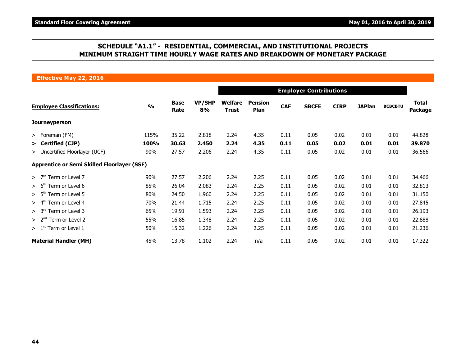### **SCHEDULE "A1.1" - RESIDENTIAL, COMMERCIAL, AND INSTITUTIONAL PROJECTS MINIMUM STRAIGHT TIME HOURLY WAGE RATES AND BREAKDOWN OF MONETARY PACKAGE**

**Effective May 22, 2016**

|                                                    |               |                     | <b>Employer Contributions</b> |                                |                               |            |              |             |               |                |                         |  |
|----------------------------------------------------|---------------|---------------------|-------------------------------|--------------------------------|-------------------------------|------------|--------------|-------------|---------------|----------------|-------------------------|--|
| <b>Employee Classifications:</b>                   | $\frac{0}{0}$ | <b>Base</b><br>Rate | <b>VP/SHP</b><br>8%           | <b>Welfare</b><br><b>Trust</b> | <b>Pension</b><br><b>Plan</b> | <b>CAF</b> | <b>SBCFE</b> | <b>CIRP</b> | <b>JAPlan</b> | <b>BCBCBTU</b> | Total<br><b>Package</b> |  |
| Journeyperson                                      |               |                     |                               |                                |                               |            |              |             |               |                |                         |  |
| > Foreman (FM)                                     | 115%          | 35.22               | 2.818                         | 2.24                           | 4.35                          | 0.11       | 0.05         | 0.02        | 0.01          | 0.01           | 44.828                  |  |
| > Certified (CJP)                                  | 100%          | 30.63               | 2.450                         | 2.24                           | 4.35                          | 0.11       | 0.05         | 0.02        | 0.01          | 0.01           | 39.870                  |  |
| > Uncertified Floorlayer (UCF)                     | 90%           | 27.57               | 2.206                         | 2.24                           | 4.35                          | 0.11       | 0.05         | 0.02        | 0.01          | 0.01           | 36.566                  |  |
| <b>Apprentice or Semi Skilled Floorlayer (SSF)</b> |               |                     |                               |                                |                               |            |              |             |               |                |                         |  |
| $> 7th$ Term or Level 7                            | 90%           | 27.57               | 2.206                         | 2.24                           | 2.25                          | 0.11       | 0.05         | 0.02        | 0.01          | 0.01           | 34.466                  |  |
| > 6 <sup>tn</sup><br>Term or Level 6               | 85%           | 26.04               | 2.083                         | 2.24                           | 2.25                          | 0.11       | 0.05         | 0.02        | 0.01          | 0.01           | 32.813                  |  |
| > 5 <sup>th</sup><br>Term or Level 5               | 80%           | 24.50               | 1.960                         | 2.24                           | 2.25                          | 0.11       | 0.05         | 0.02        | 0.01          | 0.01           | 31.150                  |  |
| Term or Level 4<br>> 4 <sup>tn</sup>               | 70%           | 21.44               | 1.715                         | 2.24                           | 2.25                          | 0.11       | 0.05         | 0.02        | 0.01          | 0.01           | 27.845                  |  |
| > 3 <sup>rd</sup><br>Term or Level 3               | 65%           | 19.91               | 1.593                         | 2.24                           | 2.25                          | 0.11       | 0.05         | 0.02        | 0.01          | 0.01           | 26.193                  |  |
| > 2 <sup>nd</sup><br>Term or Level 2               | 55%           | 16.85               | 1.348                         | 2.24                           | 2.25                          | 0.11       | 0.05         | 0.02        | 0.01          | 0.01           | 22.888                  |  |
| $> 1st$ Term or Level 1                            | 50%           | 15.32               | 1.226                         | 2.24                           | 2.25                          | 0.11       | 0.05         | 0.02        | 0.01          | 0.01           | 21.236                  |  |
| <b>Material Handler (MH)</b>                       | 45%           | 13.78               | 1.102                         | 2.24                           | n/a                           | 0.11       | 0.05         | 0.02        | 0.01          | 0.01           | 17.322                  |  |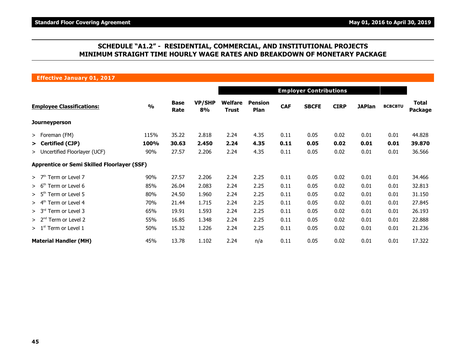### **SCHEDULE "A1.2" - RESIDENTIAL, COMMERCIAL, AND INSTITUTIONAL PROJECTS MINIMUM STRAIGHT TIME HOURLY WAGE RATES AND BREAKDOWN OF MONETARY PACKAGE**

**Effective January 01, 2017**

|                                                    |               |                     | <b>Employer Contributions</b> |                         |                               |            |              |             |               |                |                                |  |
|----------------------------------------------------|---------------|---------------------|-------------------------------|-------------------------|-------------------------------|------------|--------------|-------------|---------------|----------------|--------------------------------|--|
| <b>Employee Classifications:</b>                   | $\frac{0}{0}$ | <b>Base</b><br>Rate | <b>VP/SHP</b><br>8%           | Welfare<br><b>Trust</b> | <b>Pension</b><br><b>Plan</b> | <b>CAF</b> | <b>SBCFE</b> | <b>CIRP</b> | <b>JAPlan</b> | <b>BCBCBTU</b> | <b>Total</b><br><b>Package</b> |  |
| Journeyperson                                      |               |                     |                               |                         |                               |            |              |             |               |                |                                |  |
| $>$ Foreman (FM)                                   | 115%          | 35.22               | 2.818                         | 2.24                    | 4.35                          | 0.11       | 0.05         | 0.02        | 0.01          | 0.01           | 44.828                         |  |
| > Certified (CJP)                                  | 100%          | 30.63               | 2.450                         | 2.24                    | 4.35                          | 0.11       | 0.05         | 0.02        | 0.01          | 0.01           | 39.870                         |  |
| > Uncertified Floorlayer (UCF)                     | 90%           | 27.57               | 2.206                         | 2.24                    | 4.35                          | 0.11       | 0.05         | 0.02        | 0.01          | 0.01           | 36.566                         |  |
| <b>Apprentice or Semi Skilled Floorlayer (SSF)</b> |               |                     |                               |                         |                               |            |              |             |               |                |                                |  |
| $>$ 7 <sup>th</sup> Term or Level 7                | 90%           | 27.57               | 2.206                         | 2.24                    | 2.25                          | 0.11       | 0.05         | 0.02        | 0.01          | 0.01           | 34.466                         |  |
| > 6 <sup>th</sup><br>Term or Level 6               | 85%           | 26.04               | 2.083                         | 2.24                    | 2.25                          | 0.11       | 0.05         | 0.02        | 0.01          | 0.01           | 32.813                         |  |
| > 5 <sup>th</sup><br>Term or Level 5               | 80%           | 24.50               | 1.960                         | 2.24                    | 2.25                          | 0.11       | 0.05         | 0.02        | 0.01          | 0.01           | 31.150                         |  |
| > 4 <sup>th</sup><br>Term or Level 4               | 70%           | 21.44               | 1.715                         | 2.24                    | 2.25                          | 0.11       | 0.05         | 0.02        | 0.01          | 0.01           | 27.845                         |  |
| > 3 <sup>rd</sup><br>Term or Level 3               | 65%           | 19.91               | 1.593                         | 2.24                    | 2.25                          | 0.11       | 0.05         | 0.02        | 0.01          | 0.01           | 26.193                         |  |
| > 2 <sup>nd</sup><br>Term or Level 2               | 55%           | 16.85               | 1.348                         | 2.24                    | 2.25                          | 0.11       | 0.05         | 0.02        | 0.01          | 0.01           | 22.888                         |  |
| $>1st$ Term or Level 1                             | 50%           | 15.32               | 1.226                         | 2.24                    | 2.25                          | 0.11       | 0.05         | 0.02        | 0.01          | 0.01           | 21.236                         |  |
| <b>Material Handler (MH)</b>                       | 45%           | 13.78               | 1.102                         | 2.24                    | n/a                           | 0.11       | 0.05         | 0.02        | 0.01          | 0.01           | 17.322                         |  |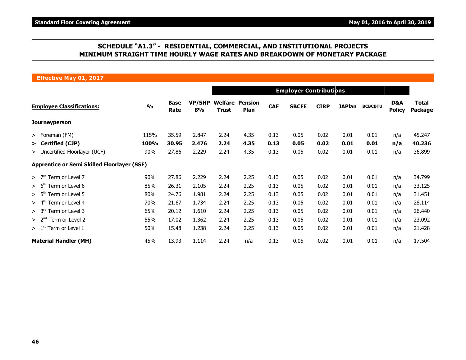### **SCHEDULE "A1.3" - RESIDENTIAL, COMMERCIAL, AND INSTITUTIONAL PROJECTS MINIMUM STRAIGHT TIME HOURLY WAGE RATES AND BREAKDOWN OF MONETARY PACKAGE**

**Effective May 01, 2017**

|                                                    |               |                     | <b>Employer Contributions</b> |              |                                       |            |              |             |               |                |                      |                                |  |
|----------------------------------------------------|---------------|---------------------|-------------------------------|--------------|---------------------------------------|------------|--------------|-------------|---------------|----------------|----------------------|--------------------------------|--|
| <b>Employee Classifications:</b>                   | $\frac{0}{0}$ | <b>Base</b><br>Rate | <b>VP/SHP</b><br>8%           | <b>Trust</b> | <b>Welfare Pension</b><br><b>Plan</b> | <b>CAF</b> | <b>SBCFE</b> | <b>CIRP</b> | <b>JAPlan</b> | <b>BCBCBTU</b> | D&A<br><b>Policy</b> | <b>Total</b><br><b>Package</b> |  |
| <b>Journeyperson</b>                               |               |                     |                               |              |                                       |            |              |             |               |                |                      |                                |  |
| > Foreman (FM)                                     | 115%          | 35.59               | 2.847                         | 2.24         | 4.35                                  | 0.13       | 0.05         | 0.02        | 0.01          | 0.01           | n/a                  | 45.247                         |  |
| > Certified (CJP)                                  | 100%          | 30.95               | 2.476                         | 2.24         | 4.35                                  | 0.13       | 0.05         | 0.02        | 0.01          | 0.01           | n/a                  | 40.236                         |  |
| > Uncertified Floorlayer (UCF)                     | 90%           | 27.86               | 2.229                         | 2.24         | 4.35                                  | 0.13       | 0.05         | 0.02        | 0.01          | 0.01           | n/a                  | 36.899                         |  |
| <b>Apprentice or Semi Skilled Floorlayer (SSF)</b> |               |                     |                               |              |                                       |            |              |             |               |                |                      |                                |  |
| Term or Level 7<br>>7 <sup>th</sup>                | 90%           | 27.86               | 2.229                         | 2.24         | 2.25                                  | 0.13       | 0.05         | 0.02        | 0.01          | 0.01           | n/a                  | 34.799                         |  |
| Term or Level 6<br>> 6 <sup>tn</sup>               | 85%           | 26.31               | 2.105                         | 2.24         | 2.25                                  | 0.13       | 0.05         | 0.02        | 0.01          | 0.01           | n/a                  | 33.125                         |  |
| > 5 <sup>th</sup><br>Term or Level 5               | 80%           | 24.76               | 1.981                         | 2.24         | 2.25                                  | 0.13       | 0.05         | 0.02        | 0.01          | 0.01           | n/a                  | 31.451                         |  |
| Term or Level 4<br>> 4 <sup>tn</sup>               | 70%           | 21.67               | 1.734                         | 2.24         | 2.25                                  | 0.13       | 0.05         | 0.02        | 0.01          | 0.01           | n/a                  | 28.114                         |  |
| > 3 <sup>rd</sup><br>Term or Level 3               | 65%           | 20.12               | 1.610                         | 2.24         | 2.25                                  | 0.13       | 0.05         | 0.02        | 0.01          | 0.01           | n/a                  | 26.440                         |  |
| > 2 <sup>nd</sup><br>Term or Level 2               | 55%           | 17.02               | 1.362                         | 2.24         | 2.25                                  | 0.13       | 0.05         | 0.02        | 0.01          | 0.01           | n/a                  | 23.092                         |  |
| $> 1st$ Term or Level 1                            | 50%           | 15.48               | 1.238                         | 2.24         | 2.25                                  | 0.13       | 0.05         | 0.02        | 0.01          | 0.01           | n/a                  | 21.428                         |  |
| <b>Material Handler (MH)</b>                       | 45%           | 13.93               | 1.114                         | 2.24         | n/a                                   | 0.13       | 0.05         | 0.02        | 0.01          | 0.01           | n/a                  | 17.504                         |  |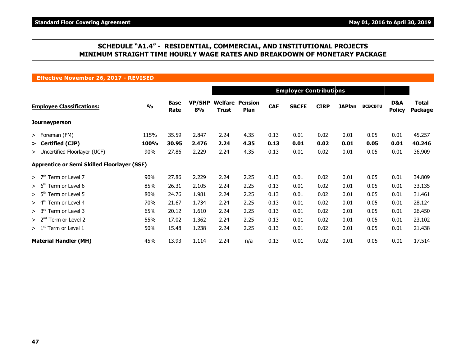### **SCHEDULE "A1.4" - RESIDENTIAL, COMMERCIAL, AND INSTITUTIONAL PROJECTS MINIMUM STRAIGHT TIME HOURLY WAGE RATES AND BREAKDOWN OF MONETARY PACKAGE**

**Effective November 26, 2017 - REVISED**

|                                                    |               |                     | <b>Employer Contributions</b> |              |                                       |            |              |             |               |                |                      |                         |
|----------------------------------------------------|---------------|---------------------|-------------------------------|--------------|---------------------------------------|------------|--------------|-------------|---------------|----------------|----------------------|-------------------------|
| <b>Employee Classifications:</b>                   | $\frac{0}{0}$ | <b>Base</b><br>Rate | <b>VP/SHP</b><br>8%           | <b>Trust</b> | <b>Welfare Pension</b><br><b>Plan</b> | <b>CAF</b> | <b>SBCFE</b> | <b>CIRP</b> | <b>JAPlan</b> | <b>BCBCBTU</b> | D&A<br><b>Policy</b> | <b>Total</b><br>Package |
| Journeyperson                                      |               |                     |                               |              |                                       |            |              |             |               |                |                      |                         |
| > Foreman (FM)                                     | 115%          | 35.59               | 2.847                         | 2.24         | 4.35                                  | 0.13       | 0.01         | 0.02        | 0.01          | 0.05           | 0.01                 | 45.257                  |
| > Certified (CJP)                                  | 100%          | 30.95               | 2.476                         | 2.24         | 4.35                                  | 0.13       | 0.01         | 0.02        | 0.01          | 0.05           | 0.01                 | 40.246                  |
| > Uncertified Floorlayer (UCF)                     | 90%           | 27.86               | 2.229                         | 2.24         | 4.35                                  | 0.13       | 0.01         | 0.02        | 0.01          | 0.05           | 0.01                 | 36.909                  |
| <b>Apprentice or Semi Skilled Floorlayer (SSF)</b> |               |                     |                               |              |                                       |            |              |             |               |                |                      |                         |
| $>$ 7 <sup>th</sup> Term or Level 7                | 90%           | 27.86               | 2.229                         | 2.24         | 2.25                                  | 0.13       | 0.01         | 0.02        | 0.01          | 0.05           | 0.01                 | 34.809                  |
| Term or Level 6<br>> 6 <sup>th</sup>               | 85%           | 26.31               | 2.105                         | 2.24         | 2.25                                  | 0.13       | 0.01         | 0.02        | 0.01          | 0.05           | 0.01                 | 33.135                  |
| $> 5th$ Term or Level 5                            | 80%           | 24.76               | 1.981                         | 2.24         | 2.25                                  | 0.13       | 0.01         | 0.02        | 0.01          | 0.05           | 0.01                 | 31.461                  |
| $> 4th$ Term or Level 4                            | 70%           | 21.67               | 1.734                         | 2.24         | 2.25                                  | 0.13       | 0.01         | 0.02        | 0.01          | 0.05           | 0.01                 | 28.124                  |
| $> 3rd$ Term or Level 3                            | 65%           | 20.12               | 1.610                         | 2.24         | 2.25                                  | 0.13       | 0.01         | 0.02        | 0.01          | 0.05           | 0.01                 | 26.450                  |
| $> 2nd$ Term or Level 2                            | 55%           | 17.02               | 1.362                         | 2.24         | 2.25                                  | 0.13       | 0.01         | 0.02        | 0.01          | 0.05           | 0.01                 | 23.102                  |
| $> 1st$ Term or Level 1                            | 50%           | 15.48               | 1.238                         | 2.24         | 2.25                                  | 0.13       | 0.01         | 0.02        | 0.01          | 0.05           | 0.01                 | 21.438                  |
| <b>Material Handler (MH)</b>                       | 45%           | 13.93               | 1.114                         | 2.24         | n/a                                   | 0.13       | 0.01         | 0.02        | 0.01          | 0.05           | 0.01                 | 17.514                  |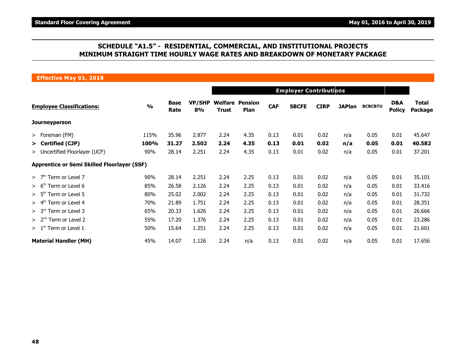### **SCHEDULE "A1.5" - RESIDENTIAL, COMMERCIAL, AND INSTITUTIONAL PROJECTS MINIMUM STRAIGHT TIME HOURLY WAGE RATES AND BREAKDOWN OF MONETARY PACKAGE**

**Effective May 01, 2018**

|                                                    |               |                     | <b>Employer Contributions</b> |              |                                       |            |              |             |               |                |                      |                         |  |
|----------------------------------------------------|---------------|---------------------|-------------------------------|--------------|---------------------------------------|------------|--------------|-------------|---------------|----------------|----------------------|-------------------------|--|
| <b>Employee Classifications:</b>                   | $\frac{0}{0}$ | <b>Base</b><br>Rate | <b>VP/SHP</b><br>8%           | <b>Trust</b> | <b>Welfare Pension</b><br><b>Plan</b> | <b>CAF</b> | <b>SBCFE</b> | <b>CIRP</b> | <b>JAPlan</b> | <b>BCBCBTU</b> | D&A<br><b>Policy</b> | <b>Total</b><br>Package |  |
| <b>Journeyperson</b>                               |               |                     |                               |              |                                       |            |              |             |               |                |                      |                         |  |
| $>$ Foreman (FM)                                   | 115%          | 35.96               | 2.877                         | 2.24         | 4.35                                  | 0.13       | 0.01         | 0.02        | n/a           | 0.05           | 0.01                 | 45.647                  |  |
| > Certified (CJP)                                  | 100%          | 31.27               | 2.502                         | 2.24         | 4.35                                  | 0.13       | 0.01         | 0.02        | n/a           | 0.05           | 0.01                 | 40.582                  |  |
| > Uncertified Floorlayer (UCF)                     | 90%           | 28.14               | 2.251                         | 2.24         | 4.35                                  | 0.13       | 0.01         | 0.02        | n/a           | 0.05           | 0.01                 | 37.201                  |  |
| <b>Apprentice or Semi Skilled Floorlayer (SSF)</b> |               |                     |                               |              |                                       |            |              |             |               |                |                      |                         |  |
| Term or Level 7<br>>7 <sup>th</sup>                | 90%           | 28.14               | 2.251                         | 2.24         | 2.25                                  | 0.13       | 0.01         | 0.02        | n/a           | 0.05           | 0.01                 | 35.101                  |  |
| Term or Level 6<br>> 6 <sup>tn</sup>               | 85%           | 26.58               | 2.126                         | 2.24         | 2.25                                  | 0.13       | 0.01         | 0.02        | n/a           | 0.05           | 0.01                 | 33.416                  |  |
| > 5 <sup>th</sup><br>Term or Level 5               | 80%           | 25.02               | 2.002                         | 2.24         | 2.25                                  | 0.13       | 0.01         | 0.02        | n/a           | 0.05           | 0.01                 | 31.732                  |  |
| Term or Level 4<br>> 4 <sup>tn</sup>               | 70%           | 21.89               | 1.751                         | 2.24         | 2.25                                  | 0.13       | 0.01         | 0.02        | n/a           | 0.05           | 0.01                 | 28.351                  |  |
| > 3 <sup>rd</sup><br>Term or Level 3               | 65%           | 20.33               | 1.626                         | 2.24         | 2.25                                  | 0.13       | 0.01         | 0.02        | n/a           | 0.05           | 0.01                 | 26.666                  |  |
| > 2 <sup>nd</sup><br>Term or Level 2               | 55%           | 17.20               | 1.376                         | 2.24         | 2.25                                  | 0.13       | 0.01         | 0.02        | n/a           | 0.05           | 0.01                 | 23.286                  |  |
| $>1st$ Term or Level 1                             | 50%           | 15.64               | 1.251                         | 2.24         | 2.25                                  | 0.13       | 0.01         | 0.02        | n/a           | 0.05           | 0.01                 | 21.601                  |  |
| <b>Material Handler (MH)</b>                       | 45%           | 14.07               | 1.126                         | 2.24         | n/a                                   | 0.13       | 0.01         | 0.02        | n/a           | 0.05           | 0.01                 | 17.656                  |  |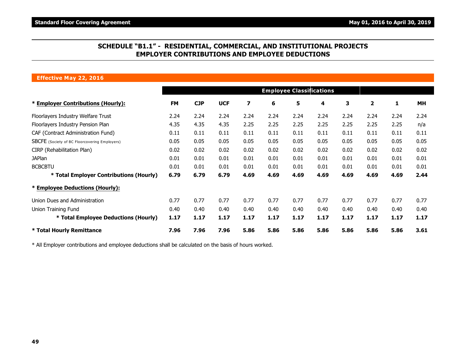### **SCHEDULE "B1.1" - RESIDENTIAL, COMMERCIAL, AND INSTITUTIONAL PROJECTS EMPLOYER CONTRIBUTIONS AND EMPLOYEE DEDUCTIONS**

#### **Effective May 22, 2016**

|                                                      |           |            |            |      |      | <b>Employee Classifications</b> |      |      |                |      |           |
|------------------------------------------------------|-----------|------------|------------|------|------|---------------------------------|------|------|----------------|------|-----------|
| * Employer Contributions (Hourly):                   | <b>FM</b> | <b>CJP</b> | <b>UCF</b> | 7    | 6    | 5                               | 4    | 3    | $\overline{2}$ | 1    | <b>MH</b> |
| Floorlayers Industry Welfare Trust                   | 2.24      | 2.24       | 2.24       | 2.24 | 2.24 | 2.24                            | 2.24 | 2.24 | 2.24           | 2.24 | 2.24      |
| Floorlayers Industry Pension Plan                    | 4.35      | 4.35       | 4.35       | 2.25 | 2.25 | 2.25                            | 2.25 | 2.25 | 2.25           | 2.25 | n/a       |
| CAF (Contract Administration Fund)                   | 0.11      | 0.11       | 0.11       | 0.11 | 0.11 | 0.11                            | 0.11 | 0.11 | 0.11           | 0.11 | 0.11      |
| <b>SBCFE</b> (Society of BC Floorcovering Employers) | 0.05      | 0.05       | 0.05       | 0.05 | 0.05 | 0.05                            | 0.05 | 0.05 | 0.05           | 0.05 | 0.05      |
| CIRP (Rehabilitation Plan)                           | 0.02      | 0.02       | 0.02       | 0.02 | 0.02 | 0.02                            | 0.02 | 0.02 | 0.02           | 0.02 | 0.02      |
| <b>JAPlan</b>                                        | 0.01      | 0.01       | 0.01       | 0.01 | 0.01 | 0.01                            | 0.01 | 0.01 | 0.01           | 0.01 | 0.01      |
| <b>BCBCBTU</b>                                       | 0.01      | 0.01       | 0.01       | 0.01 | 0.01 | 0.01                            | 0.01 | 0.01 | 0.01           | 0.01 | 0.01      |
| * Total Employer Contributions (Hourly)              | 6.79      | 6.79       | 6.79       | 4.69 | 4.69 | 4.69                            | 4.69 | 4.69 | 4.69           | 4.69 | 2.44      |
| * Employee Deductions (Hourly):                      |           |            |            |      |      |                                 |      |      |                |      |           |
| Union Dues and Administration                        | 0.77      | 0.77       | 0.77       | 0.77 | 0.77 | 0.77                            | 0.77 | 0.77 | 0.77           | 0.77 | 0.77      |
| Union Training Fund                                  | 0.40      | 0.40       | 0.40       | 0.40 | 0.40 | 0.40                            | 0.40 | 0.40 | 0.40           | 0.40 | 0.40      |
| * Total Employee Deductions (Hourly)                 | 1.17      | 1.17       | 1.17       | 1.17 | 1.17 | 1.17                            | 1.17 | 1.17 | 1.17           | 1.17 | 1.17      |
| * Total Hourly Remittance                            | 7.96      | 7.96       | 7.96       | 5.86 | 5.86 | 5.86                            | 5.86 | 5.86 | 5.86           | 5.86 | 3.61      |

\* All Employer contributions and employee deductions shall be calculated on the basis of hours worked.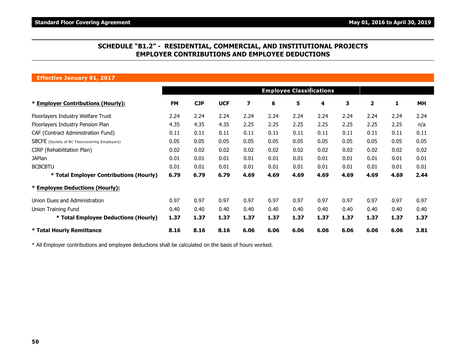### **SCHEDULE "B1.2" - RESIDENTIAL, COMMERCIAL, AND INSTITUTIONAL PROJECTS EMPLOYER CONTRIBUTIONS AND EMPLOYEE DEDUCTIONS**

**Effective January 01, 2017**

|                                               |           |            |            |                         |      | <b>Employee Classifications</b> |      |      |      |      |      |
|-----------------------------------------------|-----------|------------|------------|-------------------------|------|---------------------------------|------|------|------|------|------|
| * Employer Contributions (Hourly):            | <b>FM</b> | <b>CJP</b> | <b>UCF</b> | $\overline{\mathbf{z}}$ | 6    | 5                               | 4    | 3    | 2    | 1    | MН   |
| Floorlayers Industry Welfare Trust            | 2.24      | 2.24       | 2.24       | 2.24                    | 2.24 | 2.24                            | 2.24 | 2.24 | 2.24 | 2.24 | 2.24 |
| Floorlayers Industry Pension Plan             | 4.35      | 4.35       | 4.35       | 2.25                    | 2.25 | 2.25                            | 2.25 | 2.25 | 2.25 | 2.25 | n/a  |
| CAF (Contract Administration Fund)            | 0.11      | 0.11       | 0.11       | 0.11                    | 0.11 | 0.11                            | 0.11 | 0.11 | 0.11 | 0.11 | 0.11 |
| SBCFE (Society of BC Floorcovering Employers) | 0.05      | 0.05       | 0.05       | 0.05                    | 0.05 | 0.05                            | 0.05 | 0.05 | 0.05 | 0.05 | 0.05 |
| CIRP (Rehabilitation Plan)                    | 0.02      | 0.02       | 0.02       | 0.02                    | 0.02 | 0.02                            | 0.02 | 0.02 | 0.02 | 0.02 | 0.02 |
| <b>JAPlan</b>                                 | 0.01      | 0.01       | 0.01       | 0.01                    | 0.01 | 0.01                            | 0.01 | 0.01 | 0.01 | 0.01 | 0.01 |
| <b>BCBCBTU</b>                                | 0.01      | 0.01       | 0.01       | 0.01                    | 0.01 | 0.01                            | 0.01 | 0.01 | 0.01 | 0.01 | 0.01 |
| * Total Employer Contributions (Hourly)       | 6.79      | 6.79       | 6.79       | 4.69                    | 4.69 | 4.69                            | 4.69 | 4.69 | 4.69 | 4.69 | 2.44 |
| * Employee Deductions (Hourly):               |           |            |            |                         |      |                                 |      |      |      |      |      |
| Union Dues and Administration                 | 0.97      | 0.97       | 0.97       | 0.97                    | 0.97 | 0.97                            | 0.97 | 0.97 | 0.97 | 0.97 | 0.97 |
| Union Training Fund                           | 0.40      | 0.40       | 0.40       | 0.40                    | 0.40 | 0.40                            | 0.40 | 0.40 | 0.40 | 0.40 | 0.40 |
| * Total Employee Deductions (Hourly)          | 1.37      | 1.37       | 1.37       | 1.37                    | 1.37 | 1.37                            | 1.37 | 1.37 | 1.37 | 1.37 | 1.37 |
| <b>* Total Hourly Remittance</b>              | 8.16      | 8.16       | 8.16       | 6.06                    | 6.06 | 6.06                            | 6.06 | 6.06 | 6.06 | 6.06 | 3.81 |

\* All Employer contributions and employee deductions shall be calculated on the basis of hours worked.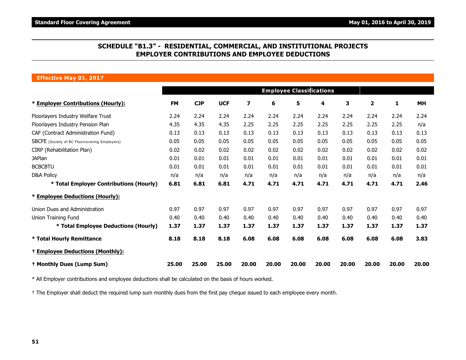### **SCHEDULE "B1.3" - RESIDENTIAL, COMMERCIAL, AND INSTITUTIONAL PROJECTS EMPLOYER CONTRIBUTIONS AND EMPLOYEE DEDUCTIONS**

#### **Effective May 01, 2017**

|                                                      |           |            |            |                         |       | <b>Employee Classifications</b> |       |       |              |       |           |
|------------------------------------------------------|-----------|------------|------------|-------------------------|-------|---------------------------------|-------|-------|--------------|-------|-----------|
| * Employer Contributions (Hourly):                   | <b>FM</b> | <b>CJP</b> | <b>UCF</b> | $\overline{\mathbf{z}}$ | 6     | 5                               | 4     | 3     | $\mathbf{2}$ | 1     | <b>MH</b> |
| Floorlayers Industry Welfare Trust                   | 2.24      | 2.24       | 2.24       | 2.24                    | 2.24  | 2.24                            | 2.24  | 2.24  | 2.24         | 2.24  | 2.24      |
| Floorlayers Industry Pension Plan                    | 4.35      | 4.35       | 4.35       | 2.25                    | 2.25  | 2.25                            | 2.25  | 2.25  | 2.25         | 2.25  | n/a       |
| CAF (Contract Administration Fund)                   | 0.13      | 0.13       | 0.13       | 0.13                    | 0.13  | 0.13                            | 0.13  | 0.13  | 0.13         | 0.13  | 0.13      |
| <b>SBCFE</b> (Society of BC Floorcovering Employers) | 0.05      | 0.05       | 0.05       | 0.05                    | 0.05  | 0.05                            | 0.05  | 0.05  | 0.05         | 0.05  | 0.05      |
| CIRP (Rehabilitation Plan)                           | 0.02      | 0.02       | 0.02       | 0.02                    | 0.02  | 0.02                            | 0.02  | 0.02  | 0.02         | 0.02  | 0.02      |
| <b>JAPlan</b>                                        | 0.01      | 0.01       | 0.01       | 0.01                    | 0.01  | 0.01                            | 0.01  | 0.01  | 0.01         | 0.01  | 0.01      |
| <b>BCBCBTU</b>                                       | 0.01      | 0.01       | 0.01       | 0.01                    | 0.01  | 0.01                            | 0.01  | 0.01  | 0.01         | 0.01  | 0.01      |
| <b>D&amp;A Policy</b>                                | n/a       | n/a        | n/a        | n/a                     | n/a   | n/a                             | n/a   | n/a   | n/a          | n/a   | n/a       |
| * Total Employer Contributions (Hourly)              | 6.81      | 6.81       | 6.81       | 4.71                    | 4.71  | 4.71                            | 4.71  | 4.71  | 4.71         | 4.71  | 2.46      |
| * Employee Deductions (Hourly):                      |           |            |            |                         |       |                                 |       |       |              |       |           |
| Union Dues and Administration                        | 0.97      | 0.97       | 0.97       | 0.97                    | 0.97  | 0.97                            | 0.97  | 0.97  | 0.97         | 0.97  | 0.97      |
| Union Training Fund                                  | 0.40      | 0.40       | 0.40       | 0.40                    | 0.40  | 0.40                            | 0.40  | 0.40  | 0.40         | 0.40  | 0.40      |
| * Total Employee Deductions (Hourly)                 | 1.37      | 1.37       | 1.37       | 1.37                    | 1.37  | 1.37                            | 1.37  | 1.37  | 1.37         | 1.37  | 1.37      |
| * Total Hourly Remittance                            | 8.18      | 8.18       | 8.18       | 6.08                    | 6.08  | 6.08                            | 6.08  | 6.08  | 6.08         | 6.08  | 3.83      |
| <sup>+</sup> Employee Deductions (Monthly):          |           |            |            |                         |       |                                 |       |       |              |       |           |
| <sup>+</sup> Monthly Dues (Lump Sum)                 | 25.00     | 25.00      | 25.00      | 20.00                   | 20.00 | 20.00                           | 20.00 | 20.00 | 20.00        | 20.00 | 20.00     |

\* All Employer contributions and employee deductions shall be calculated on the basis of hours worked.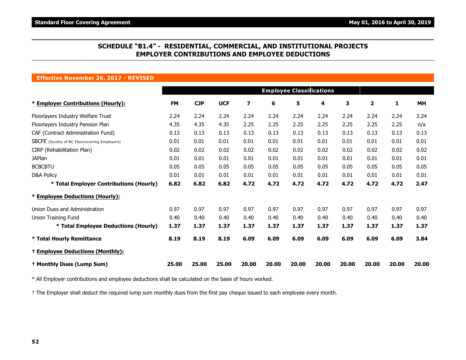### **SCHEDULE "B1.4" - RESIDENTIAL, COMMERCIAL, AND INSTITUTIONAL PROJECTS EMPLOYER CONTRIBUTIONS AND EMPLOYEE DEDUCTIONS**

#### **Effective November 26, 2017 - REVISED**

|                                                      |           |            |            |                         |       |       | <b>Employee Classifications</b> |       |                         |       |           |
|------------------------------------------------------|-----------|------------|------------|-------------------------|-------|-------|---------------------------------|-------|-------------------------|-------|-----------|
| * Employer Contributions (Hourly):                   | <b>FM</b> | <b>CJP</b> | <b>UCF</b> | $\overline{\mathbf{z}}$ | 6     | 5     | 4                               | 3     | $\overline{\mathbf{2}}$ | 1     | <b>MH</b> |
| Floorlayers Industry Welfare Trust                   | 2.24      | 2.24       | 2.24       | 2.24                    | 2.24  | 2.24  | 2.24                            | 2.24  | 2.24                    | 2.24  | 2.24      |
| Floorlayers Industry Pension Plan                    | 4.35      | 4.35       | 4.35       | 2.25                    | 2.25  | 2.25  | 2.25                            | 2.25  | 2.25                    | 2.25  | n/a       |
| CAF (Contract Administration Fund)                   | 0.13      | 0.13       | 0.13       | 0.13                    | 0.13  | 0.13  | 0.13                            | 0.13  | 0.13                    | 0.13  | 0.13      |
| <b>SBCFE</b> (Society of BC Floorcovering Employers) | 0.01      | 0.01       | 0.01       | 0.01                    | 0.01  | 0.01  | 0.01                            | 0.01  | 0.01                    | 0.01  | 0.01      |
| CIRP (Rehabilitation Plan)                           | 0.02      | 0.02       | 0.02       | 0.02                    | 0.02  | 0.02  | 0.02                            | 0.02  | 0.02                    | 0.02  | 0.02      |
| <b>JAPlan</b>                                        | 0.01      | 0.01       | 0.01       | 0.01                    | 0.01  | 0.01  | 0.01                            | 0.01  | 0.01                    | 0.01  | 0.01      |
| <b>BCBCBTU</b>                                       | 0.05      | 0.05       | 0.05       | 0.05                    | 0.05  | 0.05  | 0.05                            | 0.05  | 0.05                    | 0.05  | 0.05      |
| <b>D&amp;A Policy</b>                                | 0.01      | 0.01       | 0.01       | 0.01                    | 0.01  | 0.01  | 0.01                            | 0.01  | 0.01                    | 0.01  | 0.01      |
| * Total Employer Contributions (Hourly)              | 6.82      | 6.82       | 6.82       | 4.72                    | 4.72  | 4.72  | 4.72                            | 4.72  | 4.72                    | 4.72  | 2.47      |
| * Employee Deductions (Hourly):                      |           |            |            |                         |       |       |                                 |       |                         |       |           |
| Union Dues and Administration                        | 0.97      | 0.97       | 0.97       | 0.97                    | 0.97  | 0.97  | 0.97                            | 0.97  | 0.97                    | 0.97  | 0.97      |
| Union Training Fund                                  | 0.40      | 0.40       | 0.40       | 0.40                    | 0.40  | 0.40  | 0.40                            | 0.40  | 0.40                    | 0.40  | 0.40      |
| * Total Employee Deductions (Hourly)                 | 1.37      | 1.37       | 1.37       | 1.37                    | 1.37  | 1.37  | 1.37                            | 1.37  | 1.37                    | 1.37  | 1.37      |
| * Total Hourly Remittance                            | 8.19      | 8.19       | 8.19       | 6.09                    | 6.09  | 6.09  | 6.09                            | 6.09  | 6.09                    | 6.09  | 3.84      |
| <sup>†</sup> Employee Deductions (Monthly):          |           |            |            |                         |       |       |                                 |       |                         |       |           |
| <sup>†</sup> Monthly Dues (Lump Sum)                 | 25.00     | 25.00      | 25.00      | 20.00                   | 20,00 | 20.00 | 20.00                           | 20.00 | 20.00                   | 20.00 | 20.00     |

\* All Employer contributions and employee deductions shall be calculated on the basis of hours worked.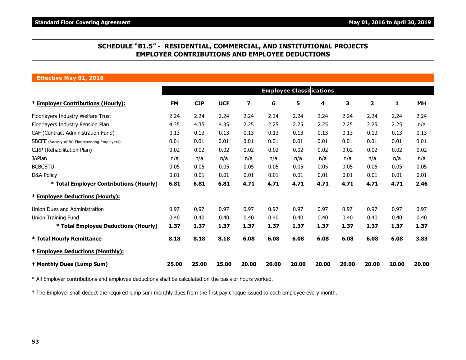### **SCHEDULE "B1.5" - RESIDENTIAL, COMMERCIAL, AND INSTITUTIONAL PROJECTS EMPLOYER CONTRIBUTIONS AND EMPLOYEE DEDUCTIONS**

#### **Effective May 01, 2018**

|                                                      |           |            |            |       |       | <b>Employee Classifications</b> |       |       |              |       |           |
|------------------------------------------------------|-----------|------------|------------|-------|-------|---------------------------------|-------|-------|--------------|-------|-----------|
| * Employer Contributions (Hourly):                   | <b>FM</b> | <b>CJP</b> | <b>UCF</b> | 7     | 6     | 5                               | 4     | 3     | $\mathbf{2}$ | 1     | <b>MH</b> |
| Floorlayers Industry Welfare Trust                   | 2.24      | 2.24       | 2.24       | 2.24  | 2.24  | 2.24                            | 2.24  | 2.24  | 2.24         | 2.24  | 2.24      |
| Floorlayers Industry Pension Plan                    | 4.35      | 4.35       | 4.35       | 2.25  | 2.25  | 2.25                            | 2.25  | 2.25  | 2.25         | 2.25  | n/a       |
| CAF (Contract Administration Fund)                   | 0.13      | 0.13       | 0.13       | 0.13  | 0.13  | 0.13                            | 0.13  | 0.13  | 0.13         | 0.13  | 0.13      |
| <b>SBCFE</b> (Society of BC Floorcovering Employers) | 0.01      | 0.01       | 0.01       | 0.01  | 0.01  | 0.01                            | 0.01  | 0.01  | 0.01         | 0.01  | 0.01      |
| CIRP (Rehabilitation Plan)                           | 0.02      | 0.02       | 0.02       | 0.02  | 0.02  | 0.02                            | 0.02  | 0.02  | 0.02         | 0.02  | 0.02      |
| <b>JAPlan</b>                                        | n/a       | n/a        | n/a        | n/a   | n/a   | n/a                             | n/a   | n/a   | n/a          | n/a   | n/a       |
| <b>BCBCBTU</b>                                       | 0.05      | 0.05       | 0.05       | 0.05  | 0.05  | 0.05                            | 0.05  | 0.05  | 0.05         | 0.05  | 0.05      |
| D&A Policy                                           | 0.01      | 0.01       | 0.01       | 0.01  | 0.01  | 0.01                            | 0.01  | 0.01  | 0.01         | 0.01  | 0.01      |
| * Total Employer Contributions (Hourly)              | 6.81      | 6.81       | 6.81       | 4.71  | 4.71  | 4.71                            | 4.71  | 4.71  | 4.71         | 4.71  | 2.46      |
| * Employee Deductions (Hourly):                      |           |            |            |       |       |                                 |       |       |              |       |           |
| Union Dues and Administration                        | 0.97      | 0.97       | 0.97       | 0.97  | 0.97  | 0.97                            | 0.97  | 0.97  | 0.97         | 0.97  | 0.97      |
| Union Training Fund                                  | 0.40      | 0.40       | 0.40       | 0.40  | 0.40  | 0.40                            | 0.40  | 0.40  | 0.40         | 0.40  | 0.40      |
| * Total Employee Deductions (Hourly)                 | 1.37      | 1.37       | 1.37       | 1.37  | 1.37  | 1.37                            | 1.37  | 1.37  | 1.37         | 1.37  | 1.37      |
| * Total Hourly Remittance                            | 8.18      | 8.18       | 8.18       | 6.08  | 6.08  | 6.08                            | 6.08  | 6.08  | 6.08         | 6.08  | 3.83      |
| <sup>+</sup> Employee Deductions (Monthly):          |           |            |            |       |       |                                 |       |       |              |       |           |
| <sup>†</sup> Monthly Dues (Lump Sum)                 | 25.00     | 25.00      | 25.00      | 20.00 | 20.00 | 20.00                           | 20.00 | 20.00 | 20.00        | 20.00 | 20.00     |

\* All Employer contributions and employee deductions shall be calculated on the basis of hours worked.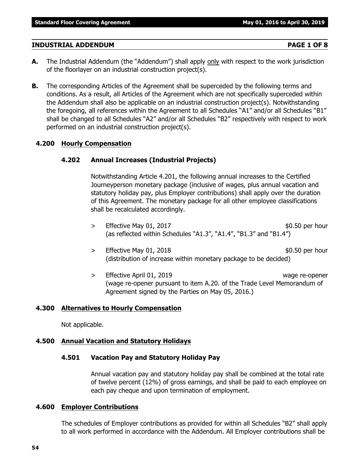### **INDUSTRIAL ADDENDUM PAGE 1 OF 8**

- **A.** The Industrial Addendum (the "Addendum") shall apply only with respect to the work jurisdiction of the floorlayer on an industrial construction project(s).
- **B.** The corresponding Articles of the Agreement shall be superceded by the following terms and conditions. As a result, all Articles of the Agreement which are not specifically superceded within the Addendum shall also be applicable on an industrial construction project(s). Notwithstanding the foregoing, all references within the Agreement to all Schedules "A1" and/or all Schedules "B1" shall be changed to all Schedules "A2" and/or all Schedules "B2" respectively with respect to work performed on an industrial construction project(s).

### **4.200 Hourly Compensation**

### **4.202 Annual Increases (Industrial Projects)**

Notwithstanding Article 4.201, the following annual increases to the Certified Journeyperson monetary package (inclusive of wages, plus annual vacation and statutory holiday pay, plus Employer contributions) shall apply over the duration of this Agreement. The monetary package for all other employee classifications shall be recalculated accordingly.

- $>$  Effective May 01, 2017 **\$0.50 per hour** \$0.50 per hour (as reflected within Schedules "A1.3", "A1.4", "B1.3" and "B1.4")
- $>$  Effective May 01, 2018 **\$0.50 per hour** (distribution of increase within monetary package to be decided)
- > Effective April 01, 2019 wage re-opener (wage re-opener pursuant to item A.20. of the Trade Level Memorandum of Agreement signed by the Parties on May 05, 2016.)

### **4.300 Alternatives to Hourly Compensation**

Not applicable.

### **4.500 Annual Vacation and Statutory Holidays**

### **4.501 Vacation Pay and Statutory Holiday Pay**

Annual vacation pay and statutory holiday pay shall be combined at the total rate of twelve percent (12%) of gross earnings, and shall be paid to each employee on each pay cheque and upon termination of employment.

### **4.600 Employer Contributions**

The schedules of Employer contributions as provided for within all Schedules "B2" shall apply to all work performed in accordance with the Addendum. All Employer contributions shall be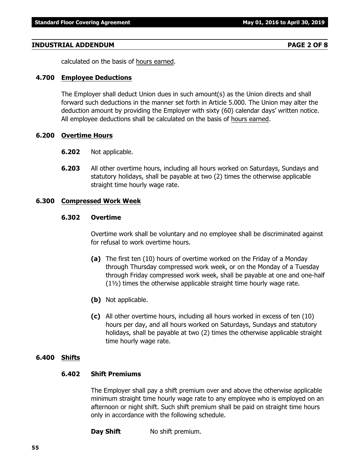#### **INDUSTRIAL ADDENDUM PAGE 2 OF 8**

calculated on the basis of hours earned.

#### **4.700 Employee Deductions**

The Employer shall deduct Union dues in such amount(s) as the Union directs and shall forward such deductions in the manner set forth in Article 5.000. The Union may alter the deduction amount by providing the Employer with sixty (60) calendar days' written notice. All employee deductions shall be calculated on the basis of hours earned.

#### **6.200 Overtime Hours**

- **6.202** Not applicable.
- **6.203** All other overtime hours, including all hours worked on Saturdays, Sundays and statutory holidays, shall be payable at two (2) times the otherwise applicable straight time hourly wage rate.

#### **6.300 Compressed Work Week**

### **6.302 Overtime**

Overtime work shall be voluntary and no employee shall be discriminated against for refusal to work overtime hours.

- **(a)** The first ten (10) hours of overtime worked on the Friday of a Monday through Thursday compressed work week, or on the Monday of a Tuesday through Friday compressed work week, shall be payable at one and one-half (1½) times the otherwise applicable straight time hourly wage rate.
- **(b)** Not applicable.
- **(c)** All other overtime hours, including all hours worked in excess of ten (10) hours per day, and all hours worked on Saturdays, Sundays and statutory holidays, shall be payable at two (2) times the otherwise applicable straight time hourly wage rate.

#### **6.400 Shifts**

#### **6.402 Shift Premiums**

The Employer shall pay a shift premium over and above the otherwise applicable minimum straight time hourly wage rate to any employee who is employed on an afternoon or night shift. Such shift premium shall be paid on straight time hours only in accordance with the following schedule.

**Day Shift** No shift premium.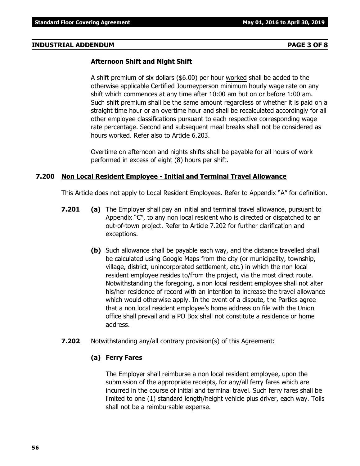#### **INDUSTRIAL ADDENDUM PAGE 3 OF 8**

#### **Afternoon Shift and Night Shift**

A shift premium of six dollars (\$6.00) per hour worked shall be added to the otherwise applicable Certified Journeyperson minimum hourly wage rate on any shift which commences at any time after 10:00 am but on or before 1:00 am. Such shift premium shall be the same amount regardless of whether it is paid on a straight time hour or an overtime hour and shall be recalculated accordingly for all other employee classifications pursuant to each respective corresponding wage rate percentage. Second and subsequent meal breaks shall not be considered as hours worked. Refer also to Article 6.203.

Overtime on afternoon and nights shifts shall be payable for all hours of work performed in excess of eight (8) hours per shift.

### **7.200 Non Local Resident Employee - Initial and Terminal Travel Allowance**

This Article does not apply to Local Resident Employees. Refer to Appendix "A" for definition.

- **7.201 (a)** The Employer shall pay an initial and terminal travel allowance, pursuant to Appendix "C", to any non local resident who is directed or dispatched to an out-of-town project. Refer to Article 7.202 for further clarification and exceptions.
	- **(b)** Such allowance shall be payable each way, and the distance travelled shall be calculated using Google Maps from the city (or municipality, township, village, district, unincorporated settlement, etc.) in which the non local resident employee resides to/from the project, via the most direct route. Notwithstanding the foregoing, a non local resident employee shall not alter his/her residence of record with an intention to increase the travel allowance which would otherwise apply. In the event of a dispute, the Parties agree that a non local resident employee's home address on file with the Union office shall prevail and a PO Box shall not constitute a residence or home address.
- **7.202** Notwithstanding any/all contrary provision(s) of this Agreement:

#### **(a) Ferry Fares**

The Employer shall reimburse a non local resident employee, upon the submission of the appropriate receipts, for any/all ferry fares which are incurred in the course of initial and terminal travel. Such ferry fares shall be limited to one (1) standard length/height vehicle plus driver, each way. Tolls shall not be a reimbursable expense.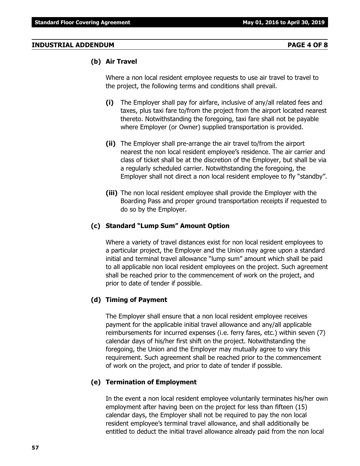#### **INDUSTRIAL ADDENDUM PAGE 4 OF 8**

#### **(b) Air Travel**

Where a non local resident employee requests to use air travel to travel to the project, the following terms and conditions shall prevail.

- **(i)** The Employer shall pay for airfare, inclusive of any/all related fees and taxes, plus taxi fare to/from the project from the airport located nearest thereto. Notwithstanding the foregoing, taxi fare shall not be payable where Employer (or Owner) supplied transportation is provided.
- **(ii)** The Employer shall pre-arrange the air travel to/from the airport nearest the non local resident employee's residence. The air carrier and class of ticket shall be at the discretion of the Employer, but shall be via a regularly scheduled carrier. Notwithstanding the foregoing, the Employer shall not direct a non local resident employee to fly "standby".
- **(iii)** The non local resident employee shall provide the Employer with the Boarding Pass and proper ground transportation receipts if requested to do so by the Employer.

### **(c) Standard "Lump Sum" Amount Option**

Where a variety of travel distances exist for non local resident employees to a particular project, the Employer and the Union may agree upon a standard initial and terminal travel allowance "lump sum" amount which shall be paid to all applicable non local resident employees on the project. Such agreement shall be reached prior to the commencement of work on the project, and prior to date of tender if possible.

#### **(d) Timing of Payment**

The Employer shall ensure that a non local resident employee receives payment for the applicable initial travel allowance and any/all applicable reimbursements for incurred expenses (i.e. ferry fares, etc.) within seven (7) calendar days of his/her first shift on the project. Notwithstanding the foregoing, the Union and the Employer may mutually agree to vary this requirement. Such agreement shall be reached prior to the commencement of work on the project, and prior to date of tender if possible.

### **(e) Termination of Employment**

In the event a non local resident employee voluntarily terminates his/her own employment after having been on the project for less than fifteen (15) calendar days, the Employer shall not be required to pay the non local resident employee's terminal travel allowance, and shall additionally be entitled to deduct the initial travel allowance already paid from the non local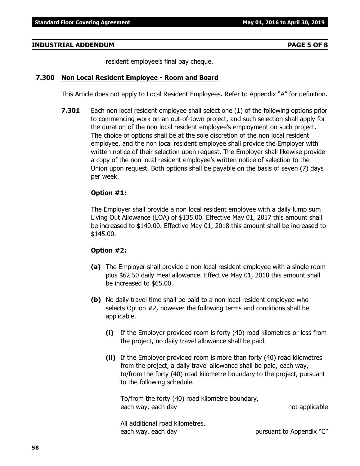#### **INDUSTRIAL ADDENDUM PAGE 5 OF 8**

resident employee's final pay cheque.

#### **7.300 Non Local Resident Employee - Room and Board**

This Article does not apply to Local Resident Employees. Refer to Appendix "A" for definition.

**7.301** Each non local resident employee shall select one (1) of the following options prior to commencing work on an out-of-town project, and such selection shall apply for the duration of the non local resident employee's employment on such project. The choice of options shall be at the sole discretion of the non local resident employee, and the non local resident employee shall provide the Employer with written notice of their selection upon request. The Employer shall likewise provide a copy of the non local resident employee's written notice of selection to the Union upon request. Both options shall be payable on the basis of seven (7) days per week.

### **Option #1:**

The Employer shall provide a non local resident employee with a daily lump sum Living Out Allowance (LOA) of \$135.00. Effective May 01, 2017 this amount shall be increased to \$140.00. Effective May 01, 2018 this amount shall be increased to \$145.00.

#### **Option #2:**

- **(a)** The Employer shall provide a non local resident employee with a single room plus \$62.50 daily meal allowance. Effective May 01, 2018 this amount shall be increased to \$65.00.
- **(b)** No daily travel time shall be paid to a non local resident employee who selects Option #2, however the following terms and conditions shall be applicable.
	- **(i)** If the Employer provided room is forty (40) road kilometres or less from the project, no daily travel allowance shall be paid.
	- **(ii)** If the Employer provided room is more than forty (40) road kilometres from the project, a daily travel allowance shall be paid, each way, to/from the forty (40) road kilometre boundary to the project, pursuant to the following schedule.

To/from the forty (40) road kilometre boundary, each way, each day not applicable

All additional road kilometres, each way, each day each way bursuant to Appendix "C"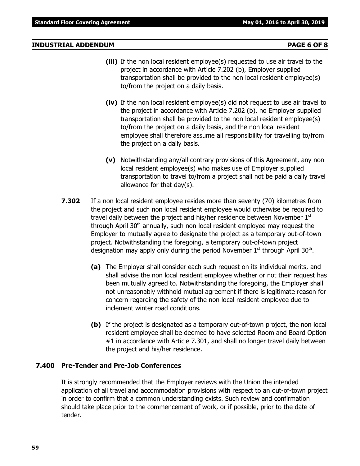#### **INDUSTRIAL ADDENDUM PAGE 6 OF 8**

- **(iii)** If the non local resident employee(s) requested to use air travel to the project in accordance with Article 7.202 (b), Employer supplied transportation shall be provided to the non local resident employee(s) to/from the project on a daily basis.
- **(iv)** If the non local resident employee(s) did not request to use air travel to the project in accordance with Article 7.202 (b), no Employer supplied transportation shall be provided to the non local resident employee(s) to/from the project on a daily basis, and the non local resident employee shall therefore assume all responsibility for travelling to/from the project on a daily basis.
- **(v)** Notwithstanding any/all contrary provisions of this Agreement, any non local resident employee(s) who makes use of Employer supplied transportation to travel to/from a project shall not be paid a daily travel allowance for that day(s).
- **7.302** If a non local resident employee resides more than seventy (70) kilometres from the project and such non local resident employee would otherwise be required to travel daily between the project and his/her residence between November  $1<sup>st</sup>$ through April  $30<sup>th</sup>$  annually, such non local resident employee may request the Employer to mutually agree to designate the project as a temporary out-of-town project. Notwithstanding the foregoing, a temporary out-of-town project designation may apply only during the period November  $1^{st}$  through April 30<sup>th</sup>.
	- **(a)** The Employer shall consider each such request on its individual merits, and shall advise the non local resident employee whether or not their request has been mutually agreed to. Notwithstanding the foregoing, the Employer shall not unreasonably withhold mutual agreement if there is legitimate reason for concern regarding the safety of the non local resident employee due to inclement winter road conditions.
	- **(b)** If the project is designated as a temporary out-of-town project, the non local resident employee shall be deemed to have selected Room and Board Option #1 in accordance with Article 7.301, and shall no longer travel daily between the project and his/her residence.

### **7.400 Pre-Tender and Pre-Job Conferences**

It is strongly recommended that the Employer reviews with the Union the intended application of all travel and accommodation provisions with respect to an out-of-town project in order to confirm that a common understanding exists. Such review and confirmation should take place prior to the commencement of work, or if possible, prior to the date of tender.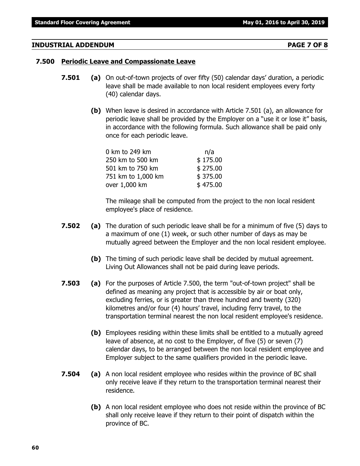### **INDUSTRIAL ADDENDUM PAGE 7 OF 8**

### **7.500 Periodic Leave and Compassionate Leave**

- **7.501 (a)** On out-of-town projects of over fifty (50) calendar days' duration, a periodic leave shall be made available to non local resident employees every forty (40) calendar days.
	- **(b)** When leave is desired in accordance with Article 7.501 (a), an allowance for periodic leave shall be provided by the Employer on a "use it or lose it" basis, in accordance with the following formula. Such allowance shall be paid only once for each periodic leave.

| 0 km to 249 km     | n/a      |
|--------------------|----------|
| 250 km to 500 km   | \$175.00 |
| 501 km to 750 km   | \$275.00 |
| 751 km to 1,000 km | \$375.00 |
| over 1,000 km      | \$475.00 |

The mileage shall be computed from the project to the non local resident employee's place of residence.

- **7.502 (a)** The duration of such periodic leave shall be for a minimum of five (5) days to a maximum of one (1) week, or such other number of days as may be mutually agreed between the Employer and the non local resident employee.
	- **(b)** The timing of such periodic leave shall be decided by mutual agreement. Living Out Allowances shall not be paid during leave periods.
- **7.503 (a)** For the purposes of Article 7.500, the term "out-of-town project" shall be defined as meaning any project that is accessible by air or boat only, excluding ferries, or is greater than three hundred and twenty (320) kilometres and/or four (4) hours' travel, including ferry travel, to the transportation terminal nearest the non local resident employee's residence.
	- **(b)** Employees residing within these limits shall be entitled to a mutually agreed leave of absence, at no cost to the Employer, of five (5) or seven (7) calendar days, to be arranged between the non local resident employee and Employer subject to the same qualifiers provided in the periodic leave.
- **7.504 (a)** A non local resident employee who resides within the province of BC shall only receive leave if they return to the transportation terminal nearest their residence.
	- **(b)** A non local resident employee who does not reside within the province of BC shall only receive leave if they return to their point of dispatch within the province of BC.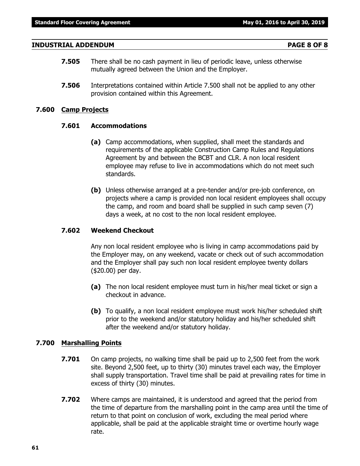#### **INDUSTRIAL ADDENDUM PAGE 8 OF 8**

- **7.505** There shall be no cash payment in lieu of periodic leave, unless otherwise mutually agreed between the Union and the Employer.
- **7.506** Interpretations contained within Article 7.500 shall not be applied to any other provision contained within this Agreement.

#### **7.600 Camp Projects**

#### **7.601 Accommodations**

- **(a)** Camp accommodations, when supplied, shall meet the standards and requirements of the applicable Construction Camp Rules and Regulations Agreement by and between the BCBT and CLR. A non local resident employee may refuse to live in accommodations which do not meet such standards.
- **(b)** Unless otherwise arranged at a pre-tender and/or pre-job conference, on projects where a camp is provided non local resident employees shall occupy the camp, and room and board shall be supplied in such camp seven (7) days a week, at no cost to the non local resident employee.

### **7.602 Weekend Checkout**

Any non local resident employee who is living in camp accommodations paid by the Employer may, on any weekend, vacate or check out of such accommodation and the Employer shall pay such non local resident employee twenty dollars (\$20.00) per day.

- **(a)** The non local resident employee must turn in his/her meal ticket or sign a checkout in advance.
- **(b)** To qualify, a non local resident employee must work his/her scheduled shift prior to the weekend and/or statutory holiday and his/her scheduled shift after the weekend and/or statutory holiday.

#### **7.700 Marshalling Points**

- **7.701** On camp projects, no walking time shall be paid up to 2,500 feet from the work site. Beyond 2,500 feet, up to thirty (30) minutes travel each way, the Employer shall supply transportation. Travel time shall be paid at prevailing rates for time in excess of thirty (30) minutes.
- **7.702** Where camps are maintained, it is understood and agreed that the period from the time of departure from the marshalling point in the camp area until the time of return to that point on conclusion of work, excluding the meal period where applicable, shall be paid at the applicable straight time or overtime hourly wage rate.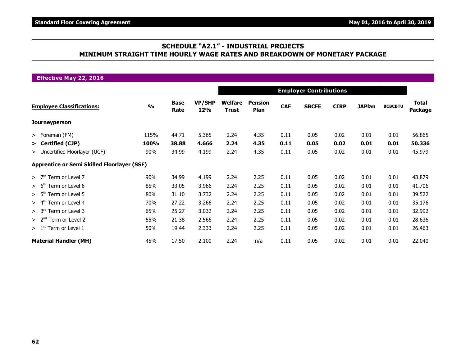### **SCHEDULE "A2.1" - INDUSTRIAL PROJECTS MINIMUM STRAIGHT TIME HOURLY WAGE RATES AND BREAKDOWN OF MONETARY PACKAGE**

| <b>Effective May 22, 2016</b><br><b>Employer Contributions</b><br><b>VP/SHP</b><br>Welfare<br><b>Total</b><br><b>Base</b><br><b>Pension</b><br>$\frac{0}{0}$<br><b>CAF</b><br><b>SBCFE</b><br><b>CIRP</b><br><b>JAPlan</b><br><b>BCBCBTU</b><br>12%<br>Rate<br><b>Plan</b><br><b>Trust</b><br>5.365<br>56.865<br>44.71<br>4.35<br>0.11<br>0.05<br>0.02<br>0.01<br>0.01<br>115%<br>2.24<br>> Foreman (FM) |      |       |       |      |      |      |      |      |      |      |                |  |  |  |
|----------------------------------------------------------------------------------------------------------------------------------------------------------------------------------------------------------------------------------------------------------------------------------------------------------------------------------------------------------------------------------------------------------|------|-------|-------|------|------|------|------|------|------|------|----------------|--|--|--|
|                                                                                                                                                                                                                                                                                                                                                                                                          |      |       |       |      |      |      |      |      |      |      |                |  |  |  |
| <b>Employee Classifications:</b>                                                                                                                                                                                                                                                                                                                                                                         |      |       |       |      |      |      |      |      |      |      | <b>Package</b> |  |  |  |
| <b>Journeyperson</b>                                                                                                                                                                                                                                                                                                                                                                                     |      |       |       |      |      |      |      |      |      |      |                |  |  |  |
|                                                                                                                                                                                                                                                                                                                                                                                                          |      |       |       |      |      |      |      |      |      |      |                |  |  |  |
| > Certified (CJP)                                                                                                                                                                                                                                                                                                                                                                                        | 100% | 38.88 | 4.666 | 2.24 | 4.35 | 0.11 | 0.05 | 0.02 | 0.01 | 0.01 | 50.336         |  |  |  |
| > Uncertified Floorlayer (UCF)                                                                                                                                                                                                                                                                                                                                                                           | 90%  | 34.99 | 4.199 | 2.24 | 4.35 | 0.11 | 0.05 | 0.02 | 0.01 | 0.01 | 45.979         |  |  |  |
| <b>Apprentice or Semi Skilled Floorlayer (SSF)</b>                                                                                                                                                                                                                                                                                                                                                       |      |       |       |      |      |      |      |      |      |      |                |  |  |  |
| $>$ 7 <sup>th</sup> Term or Level 7                                                                                                                                                                                                                                                                                                                                                                      | 90%  | 34.99 | 4.199 | 2.24 | 2.25 | 0.11 | 0.05 | 0.02 | 0.01 | 0.01 | 43.879         |  |  |  |
| > 6 <sup>th</sup><br>Term or Level 6                                                                                                                                                                                                                                                                                                                                                                     | 85%  | 33.05 | 3.966 | 2.24 | 2.25 | 0.11 | 0.05 | 0.02 | 0.01 | 0.01 | 41.706         |  |  |  |
| $> 5th$ Term or Level 5                                                                                                                                                                                                                                                                                                                                                                                  | 80%  | 31.10 | 3.732 | 2.24 | 2.25 | 0.11 | 0.05 | 0.02 | 0.01 | 0.01 | 39.522         |  |  |  |
| $> 4th$ Term or Level 4                                                                                                                                                                                                                                                                                                                                                                                  | 70%  | 27.22 | 3.266 | 2.24 | 2.25 | 0.11 | 0.05 | 0.02 | 0.01 | 0.01 | 35.176         |  |  |  |
| > 3 <sup>rd</sup><br>Term or Level 3                                                                                                                                                                                                                                                                                                                                                                     | 65%  | 25.27 | 3.032 | 2.24 | 2.25 | 0.11 | 0.05 | 0.02 | 0.01 | 0.01 | 32.992         |  |  |  |
| Term or Level 2<br>> 2 <sup>nd</sup>                                                                                                                                                                                                                                                                                                                                                                     | 55%  | 21.38 | 2.566 | 2.24 | 2.25 | 0.11 | 0.05 | 0.02 | 0.01 | 0.01 | 28.636         |  |  |  |
| $> 1st$ Term or Level 1                                                                                                                                                                                                                                                                                                                                                                                  | 50%  | 19.44 | 2.333 | 2.24 | 2.25 | 0.11 | 0.05 | 0.02 | 0.01 | 0.01 | 26.463         |  |  |  |
| <b>Material Handler (MH)</b>                                                                                                                                                                                                                                                                                                                                                                             | 45%  | 17.50 | 2.100 | 2.24 | n/a  | 0.11 | 0.05 | 0.02 | 0.01 | 0.01 | 22.040         |  |  |  |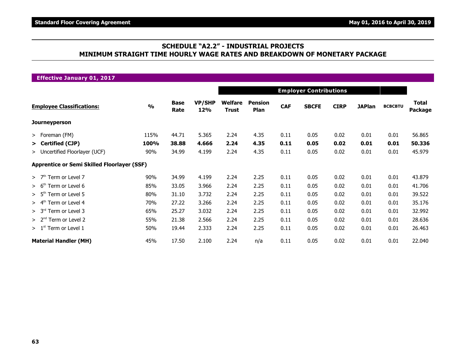### **SCHEDULE "A2.2" - INDUSTRIAL PROJECTS MINIMUM STRAIGHT TIME HOURLY WAGE RATES AND BREAKDOWN OF MONETARY PACKAGE**

| <b>Effective January 01, 2017</b>                  |               |                     |                      |                         |                        |            |                               |             |               |                                                                                                                                                                                                             |        |  |  |  |  |  |  |  |  |  |
|----------------------------------------------------|---------------|---------------------|----------------------|-------------------------|------------------------|------------|-------------------------------|-------------|---------------|-------------------------------------------------------------------------------------------------------------------------------------------------------------------------------------------------------------|--------|--|--|--|--|--|--|--|--|--|
|                                                    |               |                     |                      |                         |                        |            | <b>Employer Contributions</b> |             |               | <b>Total</b><br><b>BCBCBTU</b><br>Package<br>0.01<br>56.865<br>50.336<br>0.01<br>0.01<br>45.979<br>0.01<br>43.879<br>41.706<br>0.01<br>39.522<br>0.01<br>35.176<br>0.01<br>32.992<br>0.01<br>28.636<br>0.01 |        |  |  |  |  |  |  |  |  |  |
| <b>Employee Classifications:</b>                   | $\frac{0}{0}$ | <b>Base</b><br>Rate | VP/SHP<br><b>12%</b> | Welfare<br><b>Trust</b> | <b>Pension</b><br>Plan | <b>CAF</b> | <b>SBCFE</b>                  | <b>CIRP</b> | <b>JAPlan</b> |                                                                                                                                                                                                             |        |  |  |  |  |  |  |  |  |  |
| <b>Journeyperson</b>                               |               |                     |                      |                         |                        |            |                               |             |               |                                                                                                                                                                                                             |        |  |  |  |  |  |  |  |  |  |
| > Foreman (FM)                                     | 115%          | 44.71               | 5.365                | 2.24                    | 4.35                   | 0.11       | 0.05                          | 0.02        | 0.01          |                                                                                                                                                                                                             |        |  |  |  |  |  |  |  |  |  |
| > Certified (CJP)                                  | 100%          | 38.88               | 4.666                | 2.24                    | 4.35                   | 0.11       | 0.05                          | 0.02        | 0.01          |                                                                                                                                                                                                             |        |  |  |  |  |  |  |  |  |  |
| > Uncertified Floorlayer (UCF)                     | 90%           | 34.99               | 4.199                | 2.24                    | 4.35                   | 0.11       | 0.05                          | 0.02        | 0.01          |                                                                                                                                                                                                             |        |  |  |  |  |  |  |  |  |  |
| <b>Apprentice or Semi Skilled Floorlayer (SSF)</b> |               |                     |                      |                         |                        |            |                               |             |               |                                                                                                                                                                                                             |        |  |  |  |  |  |  |  |  |  |
| >7 <sup>th</sup><br>Term or Level 7                | 90%           | 34.99               | 4.199                | 2.24                    | 2.25                   | 0.11       | 0.05                          | 0.02        | 0.01          |                                                                                                                                                                                                             |        |  |  |  |  |  |  |  |  |  |
| > 6 <sup>th</sup><br>Term or Level 6               | 85%           | 33.05               | 3.966                | 2.24                    | 2.25                   | 0.11       | 0.05                          | 0.02        | 0.01          |                                                                                                                                                                                                             |        |  |  |  |  |  |  |  |  |  |
| > 5 <sup>th</sup><br>Term or Level 5               | 80%           | 31.10               | 3.732                | 2.24                    | 2.25                   | 0.11       | 0.05                          | 0.02        | 0.01          |                                                                                                                                                                                                             |        |  |  |  |  |  |  |  |  |  |
| > 4 <sup>th</sup><br>Term or Level 4               | 70%           | 27.22               | 3.266                | 2.24                    | 2.25                   | 0.11       | 0.05                          | 0.02        | 0.01          |                                                                                                                                                                                                             |        |  |  |  |  |  |  |  |  |  |
| > 3 <sup>rd</sup><br>Term or Level 3               | 65%           | 25.27               | 3.032                | 2.24                    | 2.25                   | 0.11       | 0.05                          | 0.02        | 0.01          |                                                                                                                                                                                                             |        |  |  |  |  |  |  |  |  |  |
| > 2 <sup>nd</sup><br>Term or Level 2               | 55%           | 21.38               | 2.566                | 2.24                    | 2.25                   | 0.11       | 0.05                          | 0.02        | 0.01          |                                                                                                                                                                                                             |        |  |  |  |  |  |  |  |  |  |
| $>1st$ Term or Level 1                             | 50%           | 19.44               | 2.333                | 2.24                    | 2.25                   | 0.11       | 0.05                          | 0.02        | 0.01          | 0.01                                                                                                                                                                                                        | 26.463 |  |  |  |  |  |  |  |  |  |
| <b>Material Handler (MH)</b>                       | 45%           | 17.50               | 2.100                | 2.24                    | n/a                    | 0.11       | 0.05                          | 0.02        | 0.01          | 0.01                                                                                                                                                                                                        | 22.040 |  |  |  |  |  |  |  |  |  |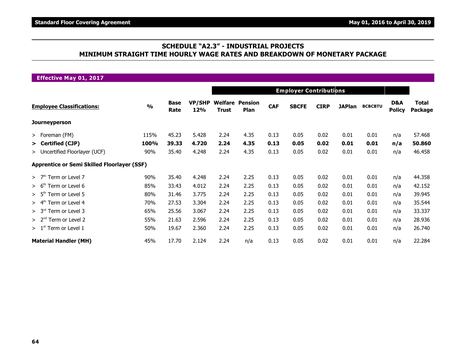### **SCHEDULE "A2.3" - INDUSTRIAL PROJECTS MINIMUM STRAIGHT TIME HOURLY WAGE RATES AND BREAKDOWN OF MONETARY PACKAGE**

| <b>Effective May 01, 2017</b>                      |               |                     |                      |              |                                |            |                               |             |               |                |                      |                         |
|----------------------------------------------------|---------------|---------------------|----------------------|--------------|--------------------------------|------------|-------------------------------|-------------|---------------|----------------|----------------------|-------------------------|
|                                                    |               |                     |                      |              |                                |            | <b>Employer Contributions</b> |             |               |                |                      |                         |
| <b>Employee Classifications:</b>                   | $\frac{9}{0}$ | <b>Base</b><br>Rate | <b>VP/SHP</b><br>12% | <b>Trust</b> | <b>Welfare Pension</b><br>Plan | <b>CAF</b> | <b>SBCFE</b>                  | <b>CIRP</b> | <b>JAPlan</b> | <b>BCBCBTU</b> | D&A<br><b>Policy</b> | <b>Total</b><br>Package |
| <b>Journeyperson</b>                               |               |                     |                      |              |                                |            |                               |             |               |                |                      |                         |
| > Foreman (FM)                                     | 115%          | 45.23               | 5.428                | 2.24         | 4.35                           | 0.13       | 0.05                          | 0.02        | 0.01          | 0.01           | n/a                  | 57.468                  |
| > Certified (CJP)                                  | 100%          | 39.33               | 4.720                | 2.24         | 4.35                           | 0.13       | 0.05                          | 0.02        | 0.01          | 0.01           | n/a                  | 50.860                  |
| > Uncertified Floorlayer (UCF)                     | 90%           | 35.40               | 4.248                | 2.24         | 4.35                           | 0.13       | 0.05                          | 0.02        | 0.01          | 0.01           | n/a                  | 46.458                  |
| <b>Apprentice or Semi Skilled Floorlayer (SSF)</b> |               |                     |                      |              |                                |            |                               |             |               |                |                      |                         |
| $>$ 7 <sup>th</sup> Term or Level 7                | 90%           | 35.40               | 4.248                | 2.24         | 2.25                           | 0.13       | 0.05                          | 0.02        | 0.01          | 0.01           | n/a                  | 44.358                  |
| > 6 <sup>th</sup><br>Term or Level 6               | 85%           | 33.43               | 4.012                | 2.24         | 2.25                           | 0.13       | 0.05                          | 0.02        | 0.01          | 0.01           | n/a                  | 42.152                  |
| > 5 <sup>th</sup><br>Term or Level 5               | 80%           | 31.46               | 3.775                | 2.24         | 2.25                           | 0.13       | 0.05                          | 0.02        | 0.01          | 0.01           | n/a                  | 39.945                  |
| $> 4th$ Term or Level 4                            | 70%           | 27.53               | 3.304                | 2.24         | 2.25                           | 0.13       | 0.05                          | 0.02        | 0.01          | 0.01           | n/a                  | 35.544                  |
| > 3 <sup>rd</sup><br>Term or Level 3               | 65%           | 25.56               | 3.067                | 2.24         | 2.25                           | 0.13       | 0.05                          | 0.02        | 0.01          | 0.01           | n/a                  | 33.337                  |
| > 2 <sup>nd</sup><br>Term or Level 2               | 55%           | 21.63               | 2.596                | 2.24         | 2.25                           | 0.13       | 0.05                          | 0.02        | 0.01          | 0.01           | n/a                  | 28.936                  |
| $> 1st$ Term or Level 1                            | 50%           | 19.67               | 2.360                | 2.24         | 2.25                           | 0.13       | 0.05                          | 0.02        | 0.01          | 0.01           | n/a                  | 26.740                  |
| <b>Material Handler (MH)</b>                       | 45%           | 17.70               | 2.124                | 2.24         | n/a                            | 0.13       | 0.05                          | 0.02        | 0.01          | 0.01           | n/a                  | 22.284                  |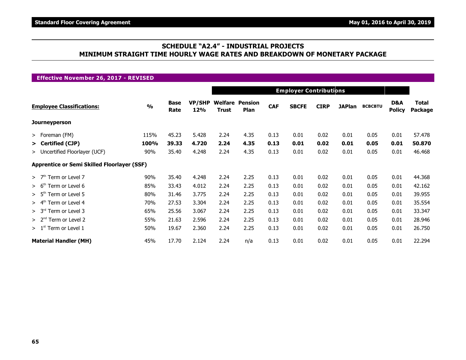### **SCHEDULE "A2.4" - INDUSTRIAL PROJECTS MINIMUM STRAIGHT TIME HOURLY WAGE RATES AND BREAKDOWN OF MONETARY PACKAGE**

| <b>Effective November 26, 2017 - REVISED</b>       |               |                     |                               |              |                                |            |              |             |               |                |                      |                  |  |
|----------------------------------------------------|---------------|---------------------|-------------------------------|--------------|--------------------------------|------------|--------------|-------------|---------------|----------------|----------------------|------------------|--|
|                                                    |               |                     | <b>Employer Contributions</b> |              |                                |            |              |             |               |                |                      |                  |  |
| <b>Employee Classifications:</b>                   | $\frac{1}{2}$ | <b>Base</b><br>Rate | <b>VP/SHP</b><br>12%          | <b>Trust</b> | <b>Welfare Pension</b><br>Plan | <b>CAF</b> | <b>SBCFE</b> | <b>CIRP</b> | <b>JAPlan</b> | <b>BCBCBTU</b> | D&A<br><b>Policy</b> | Total<br>Package |  |
| <b>Journeyperson</b>                               |               |                     |                               |              |                                |            |              |             |               |                |                      |                  |  |
| > Foreman (FM)                                     | 115%          | 45.23               | 5.428                         | 2.24         | 4.35                           | 0.13       | 0.01         | 0.02        | 0.01          | 0.05           | 0.01                 | 57.478           |  |
| > Certified (CJP)                                  | 100%          | 39.33               | 4.720                         | 2.24         | 4.35                           | 0.13       | 0.01         | 0.02        | 0.01          | 0.05           | 0.01                 | 50.870           |  |
| > Uncertified Floorlayer (UCF)                     | 90%           | 35.40               | 4.248                         | 2.24         | 4.35                           | 0.13       | 0.01         | 0.02        | 0.01          | 0.05           | 0.01                 | 46.468           |  |
| <b>Apprentice or Semi Skilled Floorlayer (SSF)</b> |               |                     |                               |              |                                |            |              |             |               |                |                      |                  |  |
| Term or Level 7<br>>7 <sup>th</sup>                | 90%           | 35.40               | 4.248                         | 2.24         | 2.25                           | 0.13       | 0.01         | 0.02        | 0.01          | 0.05           | 0.01                 | 44.368           |  |
| Term or Level 6<br>> 6 <sup>tn</sup>               | 85%           | 33.43               | 4.012                         | 2.24         | 2.25                           | 0.13       | 0.01         | 0.02        | 0.01          | 0.05           | 0.01                 | 42.162           |  |
| Term or Level 5<br>> 5 <sup>th</sup>               | 80%           | 31.46               | 3.775                         | 2.24         | 2.25                           | 0.13       | 0.01         | 0.02        | 0.01          | 0.05           | 0.01                 | 39.955           |  |
| Term or Level 4<br>> 4 <sup>th</sup>               | 70%           | 27.53               | 3.304                         | 2.24         | 2.25                           | 0.13       | 0.01         | 0.02        | 0.01          | 0.05           | 0.01                 | 35.554           |  |
| > 3 <sup>rd</sup><br>Term or Level 3               | 65%           | 25.56               | 3.067                         | 2.24         | 2.25                           | 0.13       | 0.01         | 0.02        | 0.01          | 0.05           | 0.01                 | 33.347           |  |
| $> 2nd$ Term or Level 2                            | 55%           | 21.63               | 2.596                         | 2.24         | 2.25                           | 0.13       | 0.01         | 0.02        | 0.01          | 0.05           | 0.01                 | 28.946           |  |
| > 1 <sup>st</sup><br>Term or Level 1               | 50%           | 19.67               | 2.360                         | 2.24         | 2.25                           | 0.13       | 0.01         | 0.02        | 0.01          | 0.05           | 0.01                 | 26.750           |  |
| <b>Material Handler (MH)</b>                       | 45%           | 17.70               | 2.124                         | 2.24         | n/a                            | 0.13       | 0.01         | 0.02        | 0.01          | 0.05           | 0.01                 | 22.294           |  |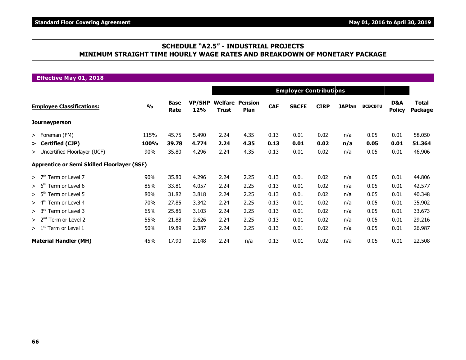### **SCHEDULE "A2.5" - INDUSTRIAL PROJECTS MINIMUM STRAIGHT TIME HOURLY WAGE RATES AND BREAKDOWN OF MONETARY PACKAGE**

| <b>Effective May 01, 2018</b>                      |               |                     |                      |              |                                |            |                               |             |               |                |                      |                         |
|----------------------------------------------------|---------------|---------------------|----------------------|--------------|--------------------------------|------------|-------------------------------|-------------|---------------|----------------|----------------------|-------------------------|
|                                                    |               |                     |                      |              |                                |            | <b>Employer Contributions</b> |             |               |                |                      |                         |
| <b>Employee Classifications:</b>                   | $\frac{9}{0}$ | <b>Base</b><br>Rate | <b>VP/SHP</b><br>12% | <b>Trust</b> | <b>Welfare Pension</b><br>Plan | <b>CAF</b> | <b>SBCFE</b>                  | <b>CIRP</b> | <b>JAPlan</b> | <b>BCBCBTU</b> | D&A<br><b>Policy</b> | <b>Total</b><br>Package |
| <b>Journeyperson</b>                               |               |                     |                      |              |                                |            |                               |             |               |                |                      |                         |
| > Foreman (FM)                                     | 115%          | 45.75               | 5.490                | 2.24         | 4.35                           | 0.13       | 0.01                          | 0.02        | n/a           | 0.05           | 0.01                 | 58.050                  |
| > Certified (CJP)                                  | 100%          | 39.78               | 4.774                | 2.24         | 4.35                           | 0.13       | 0.01                          | 0.02        | n/a           | 0.05           | 0.01                 | 51.364                  |
| > Uncertified Floorlayer (UCF)                     | 90%           | 35.80               | 4.296                | 2.24         | 4.35                           | 0.13       | 0.01                          | 0.02        | n/a           | 0.05           | 0.01                 | 46.906                  |
| <b>Apprentice or Semi Skilled Floorlayer (SSF)</b> |               |                     |                      |              |                                |            |                               |             |               |                |                      |                         |
| $>$ 7 <sup>th</sup> Term or Level 7                | 90%           | 35.80               | 4.296                | 2.24         | 2.25                           | 0.13       | 0.01                          | 0.02        | n/a           | 0.05           | 0.01                 | 44.806                  |
| > 6 <sup>th</sup><br>Term or Level 6               | 85%           | 33.81               | 4.057                | 2.24         | 2.25                           | 0.13       | 0.01                          | 0.02        | n/a           | 0.05           | 0.01                 | 42.577                  |
| > 5 <sup>th</sup><br>Term or Level 5               | 80%           | 31.82               | 3.818                | 2.24         | 2.25                           | 0.13       | 0.01                          | 0.02        | n/a           | 0.05           | 0.01                 | 40.348                  |
| $> 4th$ Term or Level 4                            | 70%           | 27.85               | 3.342                | 2.24         | 2.25                           | 0.13       | 0.01                          | 0.02        | n/a           | 0.05           | 0.01                 | 35.902                  |
| > 3 <sup>rd</sup><br>Term or Level 3               | 65%           | 25.86               | 3.103                | 2.24         | 2.25                           | 0.13       | 0.01                          | 0.02        | n/a           | 0.05           | 0.01                 | 33.673                  |
| > 2 <sup>nd</sup><br>Term or Level 2               | 55%           | 21.88               | 2.626                | 2.24         | 2.25                           | 0.13       | 0.01                          | 0.02        | n/a           | 0.05           | 0.01                 | 29.216                  |
| $> 1st$ Term or Level 1                            | 50%           | 19.89               | 2.387                | 2.24         | 2.25                           | 0.13       | 0.01                          | 0.02        | n/a           | 0.05           | 0.01                 | 26.987                  |
| <b>Material Handler (MH)</b>                       | 45%           | 17.90               | 2.148                | 2.24         | n/a                            | 0.13       | 0.01                          | 0.02        | n/a           | 0.05           | 0.01                 | 22.508                  |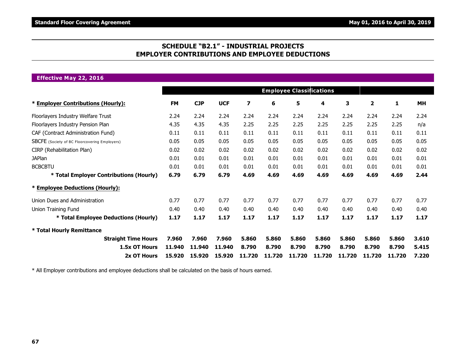### **SCHEDULE "B2.1" - INDUSTRIAL PROJECTS EMPLOYER CONTRIBUTIONS AND EMPLOYEE DEDUCTIONS**

**Effective May 22, 2016**

|                                               | <b>Employee Classifications</b> |            |            |                         |        |        |        |        |              |        |       |
|-----------------------------------------------|---------------------------------|------------|------------|-------------------------|--------|--------|--------|--------|--------------|--------|-------|
| * Employer Contributions (Hourly):            | <b>FM</b>                       | <b>CJP</b> | <b>UCF</b> | $\overline{\mathbf{z}}$ | 6      | 5      | 4      | 3      | $\mathbf{2}$ | 1      | MH    |
| Floorlayers Industry Welfare Trust            | 2.24                            | 2.24       | 2.24       | 2.24                    | 2.24   | 2.24   | 2.24   | 2.24   | 2.24         | 2.24   | 2.24  |
| Floorlayers Industry Pension Plan             | 4.35                            | 4.35       | 4.35       | 2.25                    | 2.25   | 2.25   | 2.25   | 2.25   | 2.25         | 2.25   | n/a   |
| CAF (Contract Administration Fund)            | 0.11                            | 0.11       | 0.11       | 0.11                    | 0.11   | 0.11   | 0.11   | 0.11   | 0.11         | 0.11   | 0.11  |
| SBCFE (Society of BC Floorcovering Employers) | 0.05                            | 0.05       | 0.05       | 0.05                    | 0.05   | 0.05   | 0.05   | 0.05   | 0.05         | 0.05   | 0.05  |
| CIRP (Rehabilitation Plan)                    | 0.02                            | 0.02       | 0.02       | 0.02                    | 0.02   | 0.02   | 0.02   | 0.02   | 0.02         | 0.02   | 0.02  |
| <b>JAPlan</b>                                 | 0.01                            | 0.01       | 0.01       | 0.01                    | 0.01   | 0.01   | 0.01   | 0.01   | 0.01         | 0.01   | 0.01  |
| <b>BCBCBTU</b>                                | 0.01                            | 0.01       | 0.01       | 0.01                    | 0.01   | 0.01   | 0.01   | 0.01   | 0.01         | 0.01   | 0.01  |
| * Total Employer Contributions (Hourly)       | 6.79                            | 6.79       | 6.79       | 4.69                    | 4.69   | 4.69   | 4.69   | 4.69   | 4.69         | 4.69   | 2.44  |
| * Employee Deductions (Hourly):               |                                 |            |            |                         |        |        |        |        |              |        |       |
| Union Dues and Administration                 | 0.77                            | 0.77       | 0.77       | 0.77                    | 0.77   | 0.77   | 0.77   | 0.77   | 0.77         | 0.77   | 0.77  |
| Union Training Fund                           | 0.40                            | 0.40       | 0.40       | 0.40                    | 0.40   | 0.40   | 0.40   | 0.40   | 0.40         | 0.40   | 0.40  |
| * Total Employee Deductions (Hourly)          | 1.17                            | 1.17       | 1.17       | 1.17                    | 1.17   | 1.17   | 1.17   | 1.17   | 1.17         | 1.17   | 1.17  |
| * Total Hourly Remittance                     |                                 |            |            |                         |        |        |        |        |              |        |       |
| <b>Straight Time Hours</b>                    | 7.960                           | 7.960      | 7.960      | 5.860                   | 5.860  | 5.860  | 5.860  | 5.860  | 5.860        | 5.860  | 3.610 |
| 1.5x OT Hours                                 | 11.940                          | 11,940     | 11,940     | 8.790                   | 8.790  | 8.790  | 8.790  | 8.790  | 8.790        | 8.790  | 5.415 |
| 2x OT Hours                                   | 15.920                          | 15.920     | 15.920     | 11.720                  | 11.720 | 11.720 | 11.720 | 11.720 | 11.720       | 11.720 | 7.220 |

\* All Employer contributions and employee deductions shall be calculated on the basis of hours earned.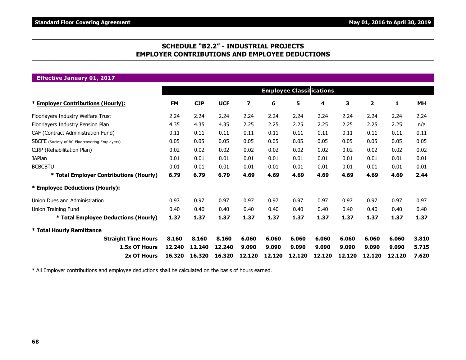### **SCHEDULE "B2.2" - INDUSTRIAL PROJECTS EMPLOYER CONTRIBUTIONS AND EMPLOYEE DEDUCTIONS**

**Effective January 01, 2017**

|                                               |           |            |            |                         |        | <b>Employee Classifications</b> |        |        |        |        |       |
|-----------------------------------------------|-----------|------------|------------|-------------------------|--------|---------------------------------|--------|--------|--------|--------|-------|
| * Employer Contributions (Hourly):            | <b>FM</b> | <b>CJP</b> | <b>UCF</b> | $\overline{\mathbf{z}}$ | 6      | 5                               | 4      | 3      | 2      | 1      | MH    |
| Floorlayers Industry Welfare Trust            | 2.24      | 2.24       | 2.24       | 2.24                    | 2.24   | 2.24                            | 2.24   | 2.24   | 2.24   | 2.24   | 2.24  |
| Floorlayers Industry Pension Plan             | 4.35      | 4.35       | 4.35       | 2.25                    | 2.25   | 2.25                            | 2.25   | 2.25   | 2.25   | 2.25   | n/a   |
| CAF (Contract Administration Fund)            | 0.11      | 0.11       | 0.11       | 0.11                    | 0.11   | 0.11                            | 0.11   | 0.11   | 0.11   | 0.11   | 0.11  |
| SBCFE (Society of BC Floorcovering Employers) | 0.05      | 0.05       | 0.05       | 0.05                    | 0.05   | 0.05                            | 0.05   | 0.05   | 0.05   | 0.05   | 0.05  |
| CIRP (Rehabilitation Plan)                    | 0.02      | 0.02       | 0.02       | 0.02                    | 0.02   | 0.02                            | 0.02   | 0.02   | 0.02   | 0.02   | 0.02  |
| <b>JAPlan</b>                                 | 0.01      | 0.01       | 0.01       | 0.01                    | 0.01   | 0.01                            | 0.01   | 0.01   | 0.01   | 0.01   | 0.01  |
| <b>BCBCBTU</b>                                | 0.01      | 0.01       | 0.01       | 0.01                    | 0.01   | 0.01                            | 0.01   | 0.01   | 0.01   | 0.01   | 0.01  |
| * Total Employer Contributions (Hourly)       | 6.79      | 6.79       | 6.79       | 4.69                    | 4.69   | 4.69                            | 4.69   | 4.69   | 4.69   | 4.69   | 2.44  |
| * Employee Deductions (Hourly):               |           |            |            |                         |        |                                 |        |        |        |        |       |
| Union Dues and Administration                 | 0.97      | 0.97       | 0.97       | 0.97                    | 0.97   | 0.97                            | 0.97   | 0.97   | 0.97   | 0.97   | 0.97  |
| Union Training Fund                           | 0.40      | 0.40       | 0.40       | 0.40                    | 0.40   | 0.40                            | 0.40   | 0.40   | 0.40   | 0.40   | 0.40  |
| * Total Employee Deductions (Hourly)          | 1.37      | 1.37       | 1.37       | 1.37                    | 1.37   | 1.37                            | 1.37   | 1.37   | 1.37   | 1.37   | 1.37  |
| * Total Hourly Remittance                     |           |            |            |                         |        |                                 |        |        |        |        |       |
| <b>Straight Time Hours</b>                    | 8.160     | 8.160      | 8.160      | 6.060                   | 6.060  | 6.060                           | 6.060  | 6.060  | 6.060  | 6.060  | 3.810 |
| 1.5x OT Hours                                 | 12.240    | 12.240     | 12.240     | 9.090                   | 9.090  | 9.090                           | 9.090  | 9.090  | 9.090  | 9.090  | 5.715 |
| 2x OT Hours                                   | 16.320    | 16.320     | 16.320     | 12.120                  | 12.120 | 12.120                          | 12.120 | 12.120 | 12.120 | 12.120 | 7.620 |

\* All Employer contributions and employee deductions shall be calculated on the basis of hours earned.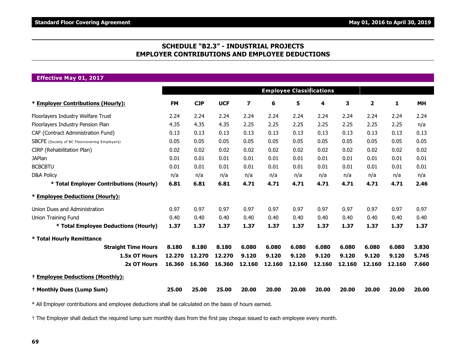### **SCHEDULE "B2.3" - INDUSTRIAL PROJECTS EMPLOYER CONTRIBUTIONS AND EMPLOYEE DEDUCTIONS**

**Effective May 01, 2017**

|                                                      |           |            |            |                         |        | <b>Employee Classifications</b> |        |        |              |        |           |
|------------------------------------------------------|-----------|------------|------------|-------------------------|--------|---------------------------------|--------|--------|--------------|--------|-----------|
| * Employer Contributions (Hourly):                   | <b>FM</b> | <b>CJP</b> | <b>UCF</b> | $\overline{\mathbf{z}}$ | 6      | 5                               | 4      | 3      | $\mathbf{2}$ | 1      | <b>MH</b> |
| Floorlayers Industry Welfare Trust                   | 2.24      | 2.24       | 2.24       | 2.24                    | 2.24   | 2.24                            | 2.24   | 2.24   | 2.24         | 2.24   | 2.24      |
| Floorlayers Industry Pension Plan                    | 4.35      | 4.35       | 4.35       | 2.25                    | 2.25   | 2.25                            | 2.25   | 2.25   | 2.25         | 2.25   | n/a       |
| CAF (Contract Administration Fund)                   | 0.13      | 0.13       | 0.13       | 0.13                    | 0.13   | 0.13                            | 0.13   | 0.13   | 0.13         | 0.13   | 0.13      |
| <b>SBCFE</b> (Society of BC Floorcovering Employers) | 0.05      | 0.05       | 0.05       | 0.05                    | 0.05   | 0.05                            | 0.05   | 0.05   | 0.05         | 0.05   | 0.05      |
| CIRP (Rehabilitation Plan)                           | 0.02      | 0.02       | 0.02       | 0.02                    | 0.02   | 0.02                            | 0.02   | 0.02   | 0.02         | 0.02   | 0.02      |
| <b>JAPlan</b>                                        | 0.01      | 0.01       | 0.01       | 0.01                    | 0.01   | 0.01                            | 0.01   | 0.01   | 0.01         | 0.01   | 0.01      |
| <b>BCBCBTU</b>                                       | 0.01      | 0.01       | 0.01       | 0.01                    | 0.01   | 0.01                            | 0.01   | 0.01   | 0.01         | 0.01   | 0.01      |
| <b>D&amp;A Policy</b>                                | n/a       | n/a        | n/a        | n/a                     | n/a    | n/a                             | n/a    | n/a    | n/a          | n/a    | n/a       |
| * Total Employer Contributions (Hourly)              | 6.81      | 6.81       | 6.81       | 4.71                    | 4.71   | 4.71                            | 4.71   | 4.71   | 4.71         | 4.71   | 2.46      |
| * Employee Deductions (Hourly):                      |           |            |            |                         |        |                                 |        |        |              |        |           |
| Union Dues and Administration                        | 0.97      | 0.97       | 0.97       | 0.97                    | 0.97   | 0.97                            | 0.97   | 0.97   | 0.97         | 0.97   | 0.97      |
| <b>Union Training Fund</b>                           | 0.40      | 0.40       | 0.40       | 0.40                    | 0.40   | 0.40                            | 0.40   | 0.40   | 0.40         | 0.40   | 0.40      |
| * Total Employee Deductions (Hourly)                 | 1.37      | 1.37       | 1.37       | 1.37                    | 1.37   | 1.37                            | 1.37   | 1.37   | 1.37         | 1.37   | 1.37      |
| * Total Hourly Remittance                            |           |            |            |                         |        |                                 |        |        |              |        |           |
| <b>Straight Time Hours</b>                           | 8.180     | 8.180      | 8.180      | 6.080                   | 6.080  | 6.080                           | 6.080  | 6.080  | 6.080        | 6.080  | 3.830     |
| 1.5x OT Hours                                        | 12.270    | 12.270     | 12.270     | 9.120                   | 9.120  | 9.120                           | 9.120  | 9.120  | 9.120        | 9.120  | 5.745     |
| 2x OT Hours                                          | 16.360    | 16.360     | 16,360     | 12.160                  | 12.160 | 12.160                          | 12.160 | 12.160 | 12.160       | 12.160 | 7.660     |
| <sup>+</sup> Employee Deductions (Monthly):          |           |            |            |                         |        |                                 |        |        |              |        |           |
| <sup>†</sup> Monthly Dues (Lump Sum)                 | 25.00     | 25.00      | 25.00      | 20.00                   | 20.00  | 20.00                           | 20.00  | 20.00  | 20.00        | 20.00  | 20.00     |

\* All Employer contributions and employee deductions shall be calculated on the basis of hours earned.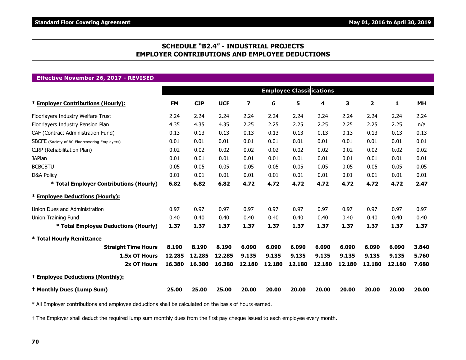### **SCHEDULE "B2.4" - INDUSTRIAL PROJECTS EMPLOYER CONTRIBUTIONS AND EMPLOYEE DEDUCTIONS**

#### **Effective November 26, 2017 - REVISED**

|                                                      |           |            |            |        |        | <b>Employee Classifications</b> |        |        |        |        |           |
|------------------------------------------------------|-----------|------------|------------|--------|--------|---------------------------------|--------|--------|--------|--------|-----------|
| * Employer Contributions (Hourly):                   | <b>FM</b> | <b>CJP</b> | <b>UCF</b> | 7      | 6      | 5                               | 4      | 3      | 2      | 1      | <b>MH</b> |
| Floorlayers Industry Welfare Trust                   | 2.24      | 2.24       | 2.24       | 2.24   | 2.24   | 2.24                            | 2.24   | 2.24   | 2.24   | 2.24   | 2.24      |
| Floorlayers Industry Pension Plan                    | 4.35      | 4.35       | 4.35       | 2.25   | 2.25   | 2.25                            | 2.25   | 2.25   | 2.25   | 2.25   | n/a       |
| CAF (Contract Administration Fund)                   | 0.13      | 0.13       | 0.13       | 0.13   | 0.13   | 0.13                            | 0.13   | 0.13   | 0.13   | 0.13   | 0.13      |
| <b>SBCFE</b> (Society of BC Floorcovering Employers) | 0.01      | 0.01       | 0.01       | 0.01   | 0.01   | 0.01                            | 0.01   | 0.01   | 0.01   | 0.01   | 0.01      |
| CIRP (Rehabilitation Plan)                           | 0.02      | 0.02       | 0.02       | 0.02   | 0.02   | 0.02                            | 0.02   | 0.02   | 0.02   | 0.02   | 0.02      |
| <b>JAPlan</b>                                        | 0.01      | 0.01       | 0.01       | 0.01   | 0.01   | 0.01                            | 0.01   | 0.01   | 0.01   | 0.01   | 0.01      |
| <b>BCBCBTU</b>                                       | 0.05      | 0.05       | 0.05       | 0.05   | 0.05   | 0.05                            | 0.05   | 0.05   | 0.05   | 0.05   | 0.05      |
| <b>D&amp;A Policy</b>                                | 0.01      | 0.01       | 0.01       | 0.01   | 0.01   | 0.01                            | 0.01   | 0.01   | 0.01   | 0.01   | 0.01      |
| * Total Employer Contributions (Hourly)              | 6.82      | 6.82       | 6.82       | 4.72   | 4.72   | 4.72                            | 4.72   | 4.72   | 4.72   | 4.72   | 2.47      |
| * Employee Deductions (Hourly):                      |           |            |            |        |        |                                 |        |        |        |        |           |
| Union Dues and Administration                        | 0.97      | 0.97       | 0.97       | 0.97   | 0.97   | 0.97                            | 0.97   | 0.97   | 0.97   | 0.97   | 0.97      |
| <b>Union Training Fund</b>                           | 0.40      | 0.40       | 0.40       | 0.40   | 0.40   | 0.40                            | 0.40   | 0.40   | 0.40   | 0.40   | 0.40      |
| * Total Employee Deductions (Hourly)                 | 1.37      | 1.37       | 1.37       | 1.37   | 1.37   | 1.37                            | 1.37   | 1.37   | 1.37   | 1.37   | 1.37      |
| * Total Hourly Remittance                            |           |            |            |        |        |                                 |        |        |        |        |           |
| <b>Straight Time Hours</b>                           | 8.190     | 8.190      | 8.190      | 6.090  | 6.090  | 6.090                           | 6.090  | 6.090  | 6.090  | 6.090  | 3.840     |
| 1.5x OT Hours                                        | 12.285    | 12.285     | 12.285     | 9.135  | 9.135  | 9.135                           | 9.135  | 9.135  | 9.135  | 9.135  | 5.760     |
| 2x OT Hours                                          | 16,380    | 16,380     | 16,380     | 12.180 | 12.180 | 12.180                          | 12.180 | 12.180 | 12.180 | 12.180 | 7.680     |
| <sup>+</sup> Employee Deductions (Monthly):          |           |            |            |        |        |                                 |        |        |        |        |           |
| <sup>†</sup> Monthly Dues (Lump Sum)                 | 25.00     | 25.00      | 25.00      | 20.00  | 20.00  | 20.00                           | 20.00  | 20.00  | 20.00  | 20.00  | 20.00     |

\* All Employer contributions and employee deductions shall be calculated on the basis of hours earned.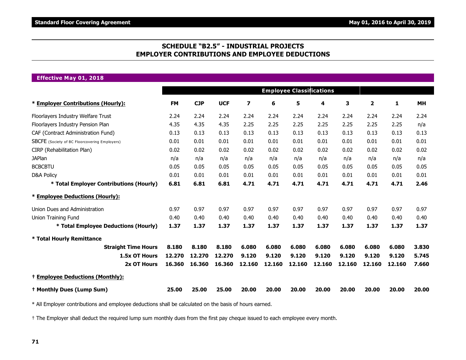### **SCHEDULE "B2.5" - INDUSTRIAL PROJECTS EMPLOYER CONTRIBUTIONS AND EMPLOYEE DEDUCTIONS**

**Effective May 01, 2018**

|                                               |           |            |            |                         |        | <b>Employee Classifications</b> |        |        |        |        |           |
|-----------------------------------------------|-----------|------------|------------|-------------------------|--------|---------------------------------|--------|--------|--------|--------|-----------|
| * Employer Contributions (Hourly):            | <b>FM</b> | <b>CJP</b> | <b>UCF</b> | $\overline{\mathbf{z}}$ | 6      | 5                               | 4      | 3      | 2      | 1      | <b>MH</b> |
| Floorlayers Industry Welfare Trust            | 2.24      | 2.24       | 2.24       | 2.24                    | 2.24   | 2.24                            | 2.24   | 2.24   | 2.24   | 2.24   | 2.24      |
| Floorlayers Industry Pension Plan             | 4.35      | 4.35       | 4.35       | 2.25                    | 2.25   | 2.25                            | 2.25   | 2.25   | 2.25   | 2.25   | n/a       |
| CAF (Contract Administration Fund)            | 0.13      | 0.13       | 0.13       | 0.13                    | 0.13   | 0.13                            | 0.13   | 0.13   | 0.13   | 0.13   | 0.13      |
| SBCFE (Society of BC Floorcovering Employers) | 0.01      | 0.01       | 0.01       | 0.01                    | 0.01   | 0.01                            | 0.01   | 0.01   | 0.01   | 0.01   | 0.01      |
| CIRP (Rehabilitation Plan)                    | 0.02      | 0.02       | 0.02       | 0.02                    | 0.02   | 0.02                            | 0.02   | 0.02   | 0.02   | 0.02   | 0.02      |
| <b>JAPlan</b>                                 | n/a       | n/a        | n/a        | n/a                     | n/a    | n/a                             | n/a    | n/a    | n/a    | n/a    | n/a       |
| <b>BCBCBTU</b>                                | 0.05      | 0.05       | 0.05       | 0.05                    | 0.05   | 0.05                            | 0.05   | 0.05   | 0.05   | 0.05   | 0.05      |
| <b>D&amp;A Policy</b>                         | 0.01      | 0.01       | 0.01       | 0.01                    | 0.01   | 0.01                            | 0.01   | 0.01   | 0.01   | 0.01   | 0.01      |
| * Total Employer Contributions (Hourly)       | 6.81      | 6.81       | 6.81       | 4.71                    | 4.71   | 4.71                            | 4.71   | 4.71   | 4.71   | 4.71   | 2.46      |
| * Employee Deductions (Hourly):               |           |            |            |                         |        |                                 |        |        |        |        |           |
| Union Dues and Administration                 | 0.97      | 0.97       | 0.97       | 0.97                    | 0.97   | 0.97                            | 0.97   | 0.97   | 0.97   | 0.97   | 0.97      |
| Union Training Fund                           | 0.40      | 0.40       | 0.40       | 0.40                    | 0.40   | 0.40                            | 0.40   | 0.40   | 0.40   | 0.40   | 0.40      |
| * Total Employee Deductions (Hourly)          | 1.37      | 1.37       | 1.37       | 1.37                    | 1.37   | 1.37                            | 1.37   | 1.37   | 1.37   | 1.37   | 1.37      |
| * Total Hourly Remittance                     |           |            |            |                         |        |                                 |        |        |        |        |           |
| <b>Straight Time Hours</b>                    | 8.180     | 8.180      | 8.180      | 6.080                   | 6.080  | 6.080                           | 6.080  | 6.080  | 6.080  | 6.080  | 3.830     |
| 1.5x OT Hours                                 | 12.270    | 12.270     | 12.270     | 9.120                   | 9.120  | 9.120                           | 9.120  | 9.120  | 9.120  | 9.120  | 5.745     |
| 2x OT Hours                                   | 16,360    | 16.360     | 16.360     | 12.160                  | 12.160 | 12.160                          | 12.160 | 12.160 | 12.160 | 12.160 | 7.660     |
| <sup>+</sup> Employee Deductions (Monthly):   |           |            |            |                         |        |                                 |        |        |        |        |           |
| <sup>†</sup> Monthly Dues (Lump Sum)          | 25.00     | 25.00      | 25.00      | 20,00                   | 20.00  | 20.00                           | 20.00  | 20,00  | 20.00  | 20.00  | 20.00     |

\* All Employer contributions and employee deductions shall be calculated on the basis of hours earned.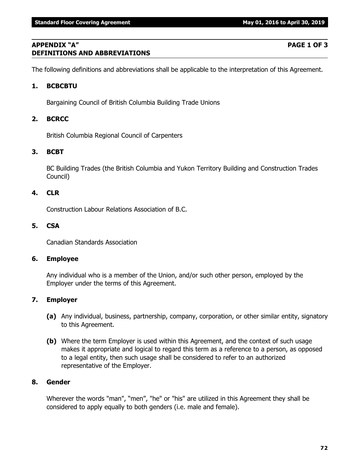**DEFINITIONS AND ABBREVIATIONS**

# **APPENDIX "A" PAGE 1 OF 3**

## The following definitions and abbreviations shall be applicable to the interpretation of this Agreement.

### **1. BCBCBTU**

Bargaining Council of British Columbia Building Trade Unions

## **2. BCRCC**

British Columbia Regional Council of Carpenters

## **3. BCBT**

BC Building Trades (the British Columbia and Yukon Territory Building and Construction Trades Council)

### **4. CLR**

Construction Labour Relations Association of B.C.

### **5. CSA**

Canadian Standards Association

### **6. Employee**

Any individual who is a member of the Union, and/or such other person, employed by the Employer under the terms of this Agreement.

### **7. Employer**

- **(a)** Any individual, business, partnership, company, corporation, or other similar entity, signatory to this Agreement.
- **(b)** Where the term Employer is used within this Agreement, and the context of such usage makes it appropriate and logical to regard this term as a reference to a person, as opposed to a legal entity, then such usage shall be considered to refer to an authorized representative of the Employer.

### **8. Gender**

Wherever the words "man", "men", "he" or "his" are utilized in this Agreement they shall be considered to apply equally to both genders (i.e. male and female).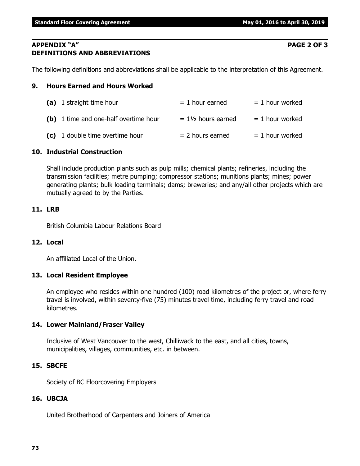**Standard Floor Covering Agreement May 01, 2016 to April 30, 2019** 

### **APPENDIX "A" PAGE 2 OF 3 DEFINITIONS AND ABBREVIATIONS**

The following definitions and abbreviations shall be applicable to the interpretation of this Agreement.

## **9. Hours Earned and Hours Worked**

| (a) 1 straight time hour              | $= 1$ hour earned             | $= 1$ hour worked |
|---------------------------------------|-------------------------------|-------------------|
| (b) 1 time and one-half overtime hour | $= 1\frac{1}{2}$ hours earned | $= 1$ hour worked |
| (c) 1 double time overtime hour       | $= 2$ hours earned            | $= 1$ hour worked |

## **10. Industrial Construction**

Shall include production plants such as pulp mills; chemical plants; refineries, including the transmission facilities; metre pumping; compressor stations; munitions plants; mines; power generating plants; bulk loading terminals; dams; breweries; and any/all other projects which are mutually agreed to by the Parties.

## **11. LRB**

British Columbia Labour Relations Board

## **12. Local**

An affiliated Local of the Union.

## **13. Local Resident Employee**

An employee who resides within one hundred (100) road kilometres of the project or, where ferry travel is involved, within seventy-five (75) minutes travel time, including ferry travel and road kilometres.

## **14. Lower Mainland/Fraser Valley**

Inclusive of West Vancouver to the west, Chilliwack to the east, and all cities, towns, municipalities, villages, communities, etc. in between.

## **15. SBCFE**

Society of BC Floorcovering Employers

## **16. UBCJA**

United Brotherhood of Carpenters and Joiners of America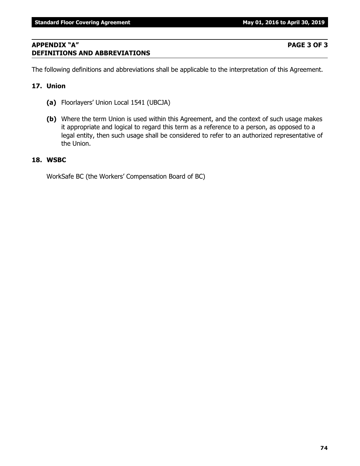# **APPENDIX "A" PAGE 3 OF 3 DEFINITIONS AND ABBREVIATIONS**

The following definitions and abbreviations shall be applicable to the interpretation of this Agreement.

## **17. Union**

- **(a)** Floorlayers' Union Local 1541 (UBCJA)
- **(b)** Where the term Union is used within this Agreement, and the context of such usage makes it appropriate and logical to regard this term as a reference to a person, as opposed to a legal entity, then such usage shall be considered to refer to an authorized representative of the Union.

## **18. WSBC**

WorkSafe BC (the Workers' Compensation Board of BC)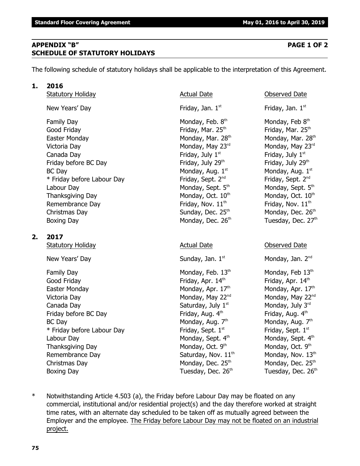# **APPENDIX "B" PAGE 1 OF 2 SCHEDULE OF STATUTORY HOLIDAYS**

The following schedule of statutory holidays shall be applicable to the interpretation of this Agreement.

## **1. 2016**

| New Years' Day       |
|----------------------|
| <b>Family Day</b>    |
| Good Friday          |
| Easter Monday        |
| Victoria Day         |
| Canada Day           |
| Friday before BC Day |
|                      |

 $BC$  Day Monday, Aug.  $1<sup>st</sup>$  $*$  Friday before Labour Day Friday, Sept.  $2^{nd}$ Labour Day Monday, Sept. 5<sup>th</sup> Monday, Sept. 5<sup>th</sup> Monday, Sept. 5<sup>th</sup> Thanksgiving Day Monday, Oct.  $10<sup>th</sup>$  Monday, Oct.  $10<sup>th</sup>$ Remembrance Day **Friday, Nov.** 11<sup>th</sup> Friday, Nov. 11<sup>th</sup> Friday, Nov. 11<sup>th</sup> Christmas Day **Sunday, Dec. 25<sup>th</sup> Monday, Dec. 26<sup>th</sup>** Monday, Dec. 26<sup>th</sup> Boxing Day **Monday, Dec. 26<sup>th</sup> Tuesday, Dec. 27<sup>th</sup>** 

# **2. 2017**

Statutory Holiday **Actual Date** Actual Date **Conserved Date** Observed Date

New Years' Day  $Sunday, Jan. 1<sup>st</sup>$  Monday, Jan.  $2<sup>nd</sup>$ 

Family Day **Monday, Feb. 13<sup>th</sup> Monday, Feb 13<sup>th</sup>** Monday, Feb 13<sup>th</sup> Good Friday **Friday**, Apr. 14<sup>th</sup> Friday, Apr. 14<sup>th</sup> Friday, Apr. 14<sup>th</sup> Easter Monday **Monday, Apr. 17th** Monday, Apr. 17th Monday, Apr. 17th Victoria Day  $N$ onday, May 22<sup>nd</sup> Monday, May 22<sup>nd</sup> Monday, May 22<sup>nd</sup> Canada Day  $\qquad \qquad \qquad \qquad$  Saturday, July 1<sup>st</sup>  $\qquad \qquad \qquad$  Monday, July 3<sup>rd</sup> Friday before BC Day **Friday, Aug. 4<sup>th</sup> Friday, Aug. 4<sup>th</sup> Friday, Aug. 4<sup>th</sup>**  $BC$  Day Monday, Aug. 7<sup>th</sup>  $*$  Friday before Labour Day Friday, Sept.  $1<sup>st</sup>$ Labour Day Monday, Sept. 4<sup>th</sup> Monday, Sept. 4<sup>th</sup> Monday, Sept. 4<sup>th</sup> Thanksgiving Day Monday, Oct. 9th Remembrance Day  $S$  Saturday, Nov.  $11<sup>th</sup>$  Monday, Nov.  $13<sup>th</sup>$ Christmas Day  $\sim$  Monday, Dec. 25<sup>th</sup> Monday, Dec. 25<sup>th</sup> Monday, Dec. 25<sup>th</sup> Boxing Day Tuesday, Dec. 26<sup>th</sup> Tuesday, Dec. 26<sup>th</sup> Tuesday, Dec. 26<sup>th</sup>

Friday, Jan.  $1<sup>st</sup>$ Monday, Feb.  $8<sup>th</sup>$ Friday, Mar.  $25<sup>th</sup>$  Friday, Mar.  $25<sup>th</sup>$ Monday, Mar.  $28<sup>th</sup>$  Monday, Mar.  $28<sup>th</sup>$ Monday, May  $23<sup>rd</sup>$  Monday, May  $23<sup>rd</sup>$ Friday, July  $1^{st}$  Friday, July  $1^{st}$ Friday, July  $29<sup>th</sup>$  Friday, July  $29<sup>th</sup>$ 

### Statutory Holiday **Actual Date** Actual Date **Conserved Date** Observed Date

Friday, Jan.  $1<sup>st</sup>$ 

Monday, Feb 8th Monday, Aug. 1st Friday, Sept. 2<sup>nd</sup>

- Monday, Aug. 7th Friday, Sept. 1st Monday, Oct. 9th
- \* Notwithstanding Article 4.503 (a), the Friday before Labour Day may be floated on any commercial, institutional and/or residential project(s) and the day therefore worked at straight time rates, with an alternate day scheduled to be taken off as mutually agreed between the Employer and the employee. The Friday before Labour Day may not be floated on an industrial project.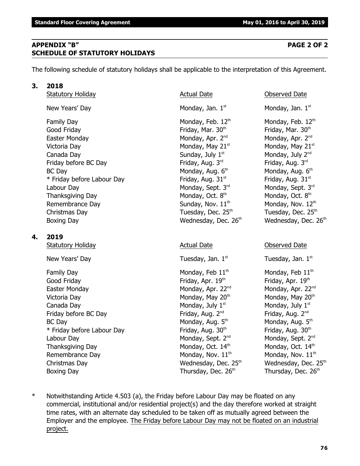# **APPENDIX "B" PAGE 2 OF 2 SCHEDULE OF STATUTORY HOLIDAYS**

The following schedule of statutory holidays shall be applicable to the interpretation of this Agreement.

# **3. 2018**

Statutory Holiday **Actual Date Actual Date Consumersi** Observed Date

Family Day **Monday, Feb. 12<sup>th</sup>** Monday, Feb. 12<sup>th</sup> Monday, Feb. 12<sup>th</sup> Good Friday **Friday** Friday, Mar. 30<sup>th</sup> Friday, Mar. 30<sup>th</sup> Friday, Mar. 30<sup>th</sup> Easter Monday **Monday, Apr. 2<sup>nd</sup> Monday, Apr. 2<sup>nd</sup> Monday, Apr. 2<sup>nd</sup> Monday, Apr. 2<sup>nd</sup>** Victoria Day  $\blacksquare$  Monday, May 21st  $\blacksquare$  Monday, May 21st  $\blacksquare$  Monday, May 21st Canada Day  $\qquad \qquad \qquad \qquad$  Sunday, July 1st  $\qquad \qquad \qquad$  Monday, July 2<sup>nd</sup> Friday before BC Day **Friday, Aug. 3<sup>rd</sup> Friday, Aug. 3<sup>rd</sup> Friday, Aug. 3<sup>rd</sup> Friday, Aug. 3<sup>rd</sup>** BC Day Monday, Aug. 6th \* Friday before Labour Day Friday, Aug. 31 $^{\rm st}$  Friday, Aug. 31 $^{\rm st}$  Friday, Aug. 31 $^{\rm st}$ Labour Day Monday, Sept. 3rd Monday, Sept. 3rd Monday, Sept. 3rd Thanksgiving Day  $M$ onday, Oct.  $8<sup>th</sup>$ Remembrance Day  $Sunday$ , Nov.  $11<sup>th</sup>$  Monday, Nov.  $12<sup>th</sup>$ Christmas Day **Tuesday, Dec. 25<sup>th</sup> Tuesday, Dec. 25<sup>th</sup> Tuesday, Dec. 25<sup>th</sup>** Boxing Day **Bridge Community Community** Wednesday, Dec. 26<sup>th</sup> Wednesday, Dec. 26<sup>th</sup>

# **4. 2019**

Statutory Holiday **Actual Date** Actual Date **Conserved Date** Observed Date

New Years' Day  $\qquad \qquad$  Tuesday, Jan.  $1^{st}$  Tuesday, Jan.  $1^{st}$ 

Family Day **Monday, Feb 11<sup>th</sup>** Monday, Feb 11<sup>th</sup> Monday, Feb 11<sup>th</sup> Good Friday **Friday**, Apr. 19<sup>th</sup> Friday, Apr. 19<sup>th</sup> Friday, Apr. 19<sup>th</sup> Easter Monday **Monday, Apr. 22<sup>nd</sup> Monday, Apr. 22**<sup>nd</sup> Monday, Apr. 22<sup>nd</sup> Victoria Day  $V$ ictoria Day  $M$ onday, May 20<sup>th</sup>  $M$ onday, May 20<sup>th</sup> Canada Day **Monday, July 1<sup>st</sup> Monday, July 1** Monday, July 1<sup>st</sup> Friday before BC Day **Friday, Aug. 2<sup>nd</sup> Friday, Aug. 2<sup>nd</sup> Friday, Aug. 2<sup>nd</sup> Riday, Aug. 2<sup>nd</sup>** BC Day Monday, Aug. 5th  $*$  Friday before Labour Day Friday, Aug. 30<sup>th</sup> Friday, Aug. 30<sup>th</sup> Labour Day Monday, Sept. 2<sup>nd</sup> Monday, Sept. 2<sup>nd</sup> Monday, Sept. 2<sup>nd</sup> Monday, Sept. 2<sup>nd</sup> Thanksgiving Day Monday, Oct.  $14<sup>th</sup>$  Monday, Oct.  $14<sup>th</sup>$  Monday, Oct.  $14<sup>th</sup>$ Remembrance Day Monday, Nov.  $11<sup>th</sup>$  Monday, Nov.  $11<sup>th</sup>$ Christmas Day **Mathem Christmas Day Christmas Day Christmas Day Area** Wednesday, Dec. 25<sup>th</sup> Wednesday, Dec. 25<sup>th</sup> Boxing Day Thursday, Dec. 26<sup>th</sup> Thursday, Dec. 26<sup>th</sup> Thursday, Dec. 26<sup>th</sup>

New Years' Day  $\blacksquare$  Monday, Jan. 1st  $\blacksquare$  Monday, Jan. 1st structure  $\blacksquare$  Monday, Jan. 1st

Monday, Aug. 6<sup>th</sup> Monday, Oct. 8<sup>th</sup>

- Monday, Aug. 5th
- \* Notwithstanding Article 4.503 (a), the Friday before Labour Day may be floated on any commercial, institutional and/or residential project(s) and the day therefore worked at straight time rates, with an alternate day scheduled to be taken off as mutually agreed between the Employer and the employee. The Friday before Labour Day may not be floated on an industrial project.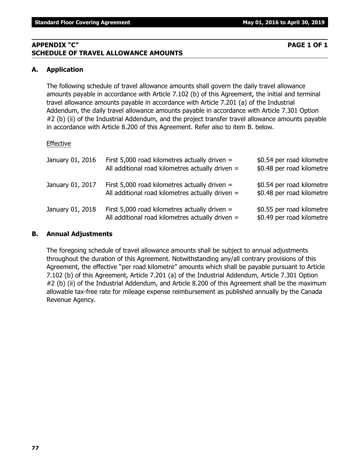# **APPENDIX "C" PAGE 1 OF 1 SCHEDULE OF TRAVEL ALLOWANCE AMOUNTS**

# **A. Application**

The following schedule of travel allowance amounts shall govern the daily travel allowance amounts payable in accordance with Article 7.102 (b) of this Agreement, the initial and terminal travel allowance amounts payable in accordance with Article 7.201 (a) of the Industrial Addendum, the daily travel allowance amounts payable in accordance with Article 7.301 Option #2 (b) (ii) of the Industrial Addendum, and the project transfer travel allowance amounts payable in accordance with Article 8.200 of this Agreement. Refer also to item B. below.

# Effective

| January 01, 2016 | First 5,000 road kilometres actually driven $=$<br>All additional road kilometres actually driven = | \$0.54 per road kilometre<br>\$0.48 per road kilometre |
|------------------|-----------------------------------------------------------------------------------------------------|--------------------------------------------------------|
| January 01, 2017 | First 5,000 road kilometres actually driven $=$<br>All additional road kilometres actually driven = | \$0.54 per road kilometre<br>\$0.48 per road kilometre |
| January 01, 2018 | First 5,000 road kilometres actually driven $=$<br>All additional road kilometres actually driven = | \$0.55 per road kilometre<br>\$0.49 per road kilometre |

### **B. Annual Adjustments**

The foregoing schedule of travel allowance amounts shall be subject to annual adjustments throughout the duration of this Agreement. Notwithstanding any/all contrary provisions of this Agreement, the effective "per road kilometre" amounts which shall be payable pursuant to Article 7.102 (b) of this Agreement, Article 7.201 (a) of the Industrial Addendum, Article 7.301 Option #2 (b) (ii) of the Industrial Addendum, and Article 8.200 of this Agreement shall be the maximum allowable tax-free rate for mileage expense reimbursement as published annually by the Canada Revenue Agency.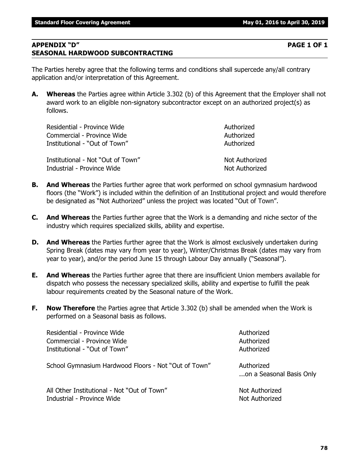## **APPENDIX "D" PAGE 1 OF 1 SEASONAL HARDWOOD SUBCONTRACTING**

The Parties hereby agree that the following terms and conditions shall supercede any/all contrary application and/or interpretation of this Agreement.

**A. Whereas** the Parties agree within Article 3.302 (b) of this Agreement that the Employer shall not award work to an eligible non-signatory subcontractor except on an authorized project(s) as follows.

| Residential - Province Wide       | Authorized     |
|-----------------------------------|----------------|
| Commercial - Province Wide        | Authorized     |
| Institutional - "Out of Town"     | Authorized     |
| Institutional - Not "Out of Town" | Not Authorized |
| Industrial - Province Wide        | Not Authorized |

- **B. And Whereas** the Parties further agree that work performed on school gymnasium hardwood floors (the "Work") is included within the definition of an Institutional project and would therefore be designated as "Not Authorized" unless the project was located "Out of Town".
- **C. And Whereas** the Parties further agree that the Work is a demanding and niche sector of the industry which requires specialized skills, ability and expertise.
- **D. And Whereas** the Parties further agree that the Work is almost exclusively undertaken during Spring Break (dates may vary from year to year), Winter/Christmas Break (dates may vary from year to year), and/or the period June 15 through Labour Day annually ("Seasonal").
- **E. And Whereas** the Parties further agree that there are insufficient Union members available for dispatch who possess the necessary specialized skills, ability and expertise to fulfill the peak labour requirements created by the Seasonal nature of the Work.
- **F. Now Therefore** the Parties agree that Article 3.302 (b) shall be amended when the Work is performed on a Seasonal basis as follows.

| Residential - Province Wide                          | Authorized                             |
|------------------------------------------------------|----------------------------------------|
| Commercial - Province Wide                           | Authorized                             |
| Institutional - "Out of Town"                        | Authorized                             |
| School Gymnasium Hardwood Floors - Not "Out of Town" | Authorized<br>on a Seasonal Basis Only |
| All Other Institutional - Not "Out of Town"          | Not Authorized                         |
| Industrial - Province Wide                           | Not Authorized                         |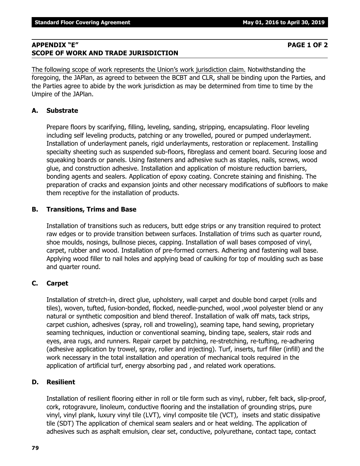# **APPENDIX "E" PAGE 1 OF 2 SCOPE OF WORK AND TRADE JURISDICTION**

The following scope of work represents the Union's work jurisdiction claim. Notwithstanding the foregoing, the JAPlan, as agreed to between the BCBT and CLR, shall be binding upon the Parties, and the Parties agree to abide by the work jurisdiction as may be determined from time to time by the Umpire of the JAPlan.

# **A. Substrate**

Prepare floors by scarifying, filling, leveling, sanding, stripping, encapsulating. Floor leveling including self leveling products, patching or any trowelled, poured or pumped underlayment. Installation of underlayment panels, rigid underlayments, restoration or replacement. Installing specialty sheeting such as suspended sub-floors, fibreglass and cement board. Securing loose and squeaking boards or panels. Using fasteners and adhesive such as staples, nails, screws, wood glue, and construction adhesive. Installation and application of moisture reduction barriers, bonding agents and sealers. Application of epoxy coating. Concrete staining and finishing. The preparation of cracks and expansion joints and other necessary modifications of subfloors to make them receptive for the installation of products.

# **B. Transitions, Trims and Base**

Installation of transitions such as reducers, butt edge strips or any transition required to protect raw edges or to provide transition between surfaces. Installation of trims such as quarter round, shoe moulds, nosings, bullnose pieces, capping. Installation of wall bases composed of vinyl, carpet, rubber and wood. Installation of pre-formed corners. Adhering and fastening wall base. Applying wood filler to nail holes and applying bead of caulking for top of moulding such as base and quarter round.

# **C. Carpet**

Installation of stretch-in, direct glue, upholstery, wall carpet and double bond carpet (rolls and tiles), woven, tufted, fusion-bonded, flocked, needle-punched, wool ,wool polyester blend or any natural or synthetic composition and blend thereof. Installation of walk off mats, tack strips, carpet cushion, adhesives (spray, roll and troweling), seaming tape, hand sewing, proprietary seaming techniques, induction or conventional seaming, binding tape, sealers, stair rods and eyes, area rugs, and runners. Repair carpet by patching, re-stretching, re-tufting, re-adhering (adhesive application by trowel, spray, roller and injecting). Turf, inserts, turf filler (infill) and the work necessary in the total installation and operation of mechanical tools required in the application of artificial turf, energy absorbing pad , and related work operations.

# **D. Resilient**

Installation of resilient flooring either in roll or tile form such as vinyl, rubber, felt back, slip-proof, cork, rotogravure, linoleum, conductive flooring and the installation of grounding strips, pure vinyl, vinyl plank, luxury vinyl tile (LVT), vinyl composite tile (VCT), insets and static dissipative tile (SDT) The application of chemical seam sealers and or heat welding. The application of adhesives such as asphalt emulsion, clear set, conductive, polyurethane, contact tape, contact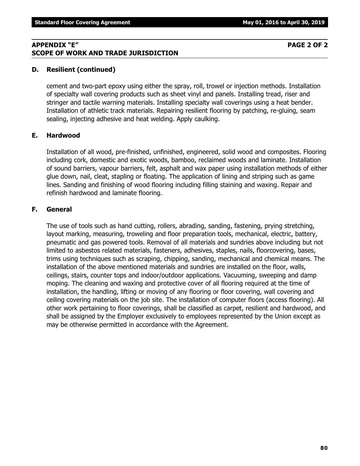### **APPENDIX "E" PAGE 2 OF 2 SCOPE OF WORK AND TRADE JURISDICTION**

### **D. Resilient (continued)**

cement and two-part epoxy using either the spray, roll, trowel or injection methods. Installation of specialty wall covering products such as sheet vinyl and panels. Installing tread, riser and stringer and tactile warning materials. Installing specialty wall coverings using a heat bender. Installation of athletic track materials. Repairing resilient flooring by patching, re-gluing, seam sealing, injecting adhesive and heat welding. Apply caulking.

### **E. Hardwood**

Installation of all wood, pre-finished, unfinished, engineered, solid wood and composites. Flooring including cork, domestic and exotic woods, bamboo, reclaimed woods and laminate. Installation of sound barriers, vapour barriers, felt, asphalt and wax paper using installation methods of either glue down, nail, cleat, stapling or floating. The application of lining and striping such as game lines. Sanding and finishing of wood flooring including filling staining and waxing. Repair and refinish hardwood and laminate flooring.

### **F. General**

The use of tools such as hand cutting, rollers, abrading, sanding, fastening, prying stretching, layout marking, measuring, troweling and floor preparation tools, mechanical, electric, battery, pneumatic and gas powered tools. Removal of all materials and sundries above including but not limited to asbestos related materials, fasteners, adhesives, staples, nails, floorcovering, bases, trims using techniques such as scraping, chipping, sanding, mechanical and chemical means. The installation of the above mentioned materials and sundries are installed on the floor, walls, ceilings, stairs, counter tops and indoor/outdoor applications. Vacuuming, sweeping and damp moping. The cleaning and waxing and protective cover of all flooring required at the time of installation, the handling, lifting or moving of any flooring or floor covering, wall covering and ceiling covering materials on the job site. The installation of computer floors (access flooring). All other work pertaining to floor coverings, shall be classified as carpet, resilient and hardwood, and shall be assigned by the Employer exclusively to employees represented by the Union except as may be otherwise permitted in accordance with the Agreement.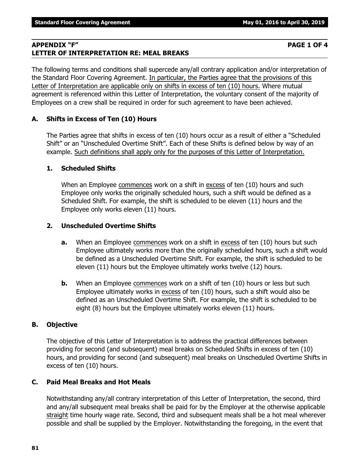# **APPENDIX "F" PAGE 1 OF 4 LETTER OF INTERPRETATION RE: MEAL BREAKS**

The following terms and conditions shall supercede any/all contrary application and/or interpretation of the Standard Floor Covering Agreement. In particular, the Parties agree that the provisions of this Letter of Interpretation are applicable only on shifts in excess of ten (10) hours. Where mutual agreement is referenced within this Letter of Interpretation, the voluntary consent of the majority of Employees on a crew shall be required in order for such agreement to have been achieved.

# **A. Shifts in Excess of Ten (10) Hours**

The Parties agree that shifts in excess of ten (10) hours occur as a result of either a "Scheduled Shift" or an "Unscheduled Overtime Shift". Each of these Shifts is defined below by way of an example. Such definitions shall apply only for the purposes of this Letter of Interpretation.

## **1. Scheduled Shifts**

When an Employee commences work on a shift in excess of ten (10) hours and such Employee only works the originally scheduled hours, such a shift would be defined as a Scheduled Shift. For example, the shift is scheduled to be eleven (11) hours and the Employee only works eleven (11) hours.

## **2. Unscheduled Overtime Shifts**

- **a.** When an Employee commences work on a shift in excess of ten (10) hours but such Employee ultimately works more than the originally scheduled hours, such a shift would be defined as a Unscheduled Overtime Shift. For example, the shift is scheduled to be eleven (11) hours but the Employee ultimately works twelve (12) hours.
- **b.** When an Employee commences work on a shift of ten (10) hours or less but such Employee ultimately works in excess of ten (10) hours, such a shift would also be defined as an Unscheduled Overtime Shift. For example, the shift is scheduled to be eight (8) hours but the Employee ultimately works eleven (11) hours.

## **B. Objective**

The objective of this Letter of Interpretation is to address the practical differences between providing for second (and subsequent) meal breaks on Scheduled Shifts in excess of ten (10) hours, and providing for second (and subsequent) meal breaks on Unscheduled Overtime Shifts in excess of ten (10) hours.

## **C. Paid Meal Breaks and Hot Meals**

Notwithstanding any/all contrary interpretation of this Letter of Interpretation, the second, third and any/all subsequent meal breaks shall be paid for by the Employer at the otherwise applicable straight time hourly wage rate. Second, third and subsequent meals shall be a hot meal wherever possible and shall be supplied by the Employer. Notwithstanding the foregoing, in the event that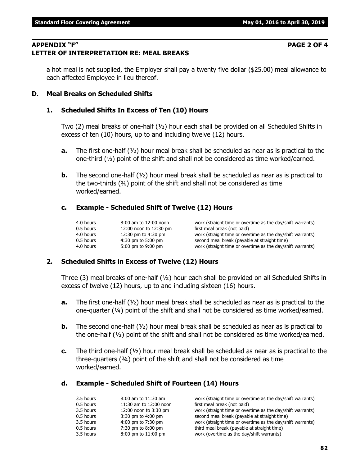### **APPENDIX "F" PAGE 2 OF 4 LETTER OF INTERPRETATION RE: MEAL BREAKS**

a hot meal is not supplied, the Employer shall pay a twenty five dollar (\$25.00) meal allowance to each affected Employee in lieu thereof.

### **D. Meal Breaks on Scheduled Shifts**

### **1. Scheduled Shifts In Excess of Ten (10) Hours**

Two (2) meal breaks of one-half (½) hour each shall be provided on all Scheduled Shifts in excess of ten (10) hours, up to and including twelve (12) hours.

- **a.** The first one-half (½) hour meal break shall be scheduled as near as is practical to the one-third  $(1/3)$  point of the shift and shall not be considered as time worked/earned.
- **b.** The second one-half ( $\frac{1}{2}$ ) hour meal break shall be scheduled as near as is practical to the two-thirds  $(2)$  point of the shift and shall not be considered as time worked/earned.

### **c. Example - Scheduled Shift of Twelve (12) Hours**

| 4.0 hours   | 8:00 am to 12:00 noon  | work (straight time or overtime as the day/shift warrants) |
|-------------|------------------------|------------------------------------------------------------|
| 0.5 hours   | 12:00 noon to 12:30 pm | first meal break (not paid)                                |
| 4.0 hours   | 12:30 pm to $4:30$ pm  | work (straight time or overtime as the day/shift warrants) |
| $0.5$ hours | $4:30$ pm to 5:00 pm   | second meal break (payable at straight time)               |
| 4.0 hours   | 5:00 pm to 9:00 pm     | work (straight time or overtime as the day/shift warrants) |

#### **2. Scheduled Shifts in Excess of Twelve (12) Hours**

Three (3) meal breaks of one-half ( $\frac{1}{2}$ ) hour each shall be provided on all Scheduled Shifts in excess of twelve (12) hours, up to and including sixteen (16) hours.

- **a.** The first one-half (½) hour meal break shall be scheduled as near as is practical to the one-quarter (¼) point of the shift and shall not be considered as time worked/earned.
- **b.** The second one-half ( $\frac{1}{2}$ ) hour meal break shall be scheduled as near as is practical to the one-half  $(V_2)$  point of the shift and shall not be considered as time worked/earned.
- **c.** The third one-half (½) hour meal break shall be scheduled as near as is practical to the three-quarters (¾) point of the shift and shall not be considered as time worked/earned.

#### **d. Example - Scheduled Shift of Fourteen (14) Hours**

| 3.5 hours | $8:00$ am to $11:30$ am | work (straight time or overtime as the day/shift warrants) |
|-----------|-------------------------|------------------------------------------------------------|
| 0.5 hours | 11:30 am to 12:00 noon  | first meal break (not paid)                                |
| 3.5 hours | 12:00 noon to 3:30 pm   | work (straight time or overtime as the day/shift warrants) |
| 0.5 hours | $3:30$ pm to $4:00$ pm  | second meal break (payable at straight time)               |
| 3.5 hours | 4:00 pm to 7:30 pm      | work (straight time or overtime as the day/shift warrants) |
| 0.5 hours | 7:30 pm to 8:00 pm      | third meal break (payable at straight time)                |
| 3.5 hours | 8:00 pm to 11:00 pm     | work (overtime as the day/shift warrants)                  |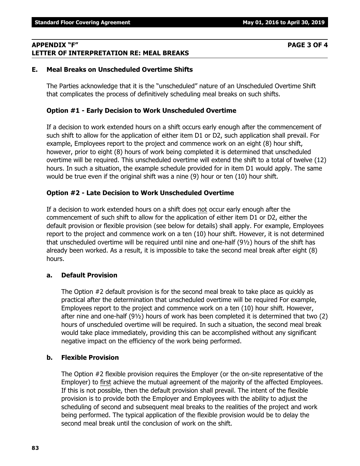## **APPENDIX "F" PAGE 3 OF 4 LETTER OF INTERPRETATION RE: MEAL BREAKS**

### **E. Meal Breaks on Unscheduled Overtime Shifts**

The Parties acknowledge that it is the "unscheduled" nature of an Unscheduled Overtime Shift that complicates the process of definitively scheduling meal breaks on such shifts.

### **Option #1 - Early Decision to Work Unscheduled Overtime**

If a decision to work extended hours on a shift occurs early enough after the commencement of such shift to allow for the application of either item D1 or D2, such application shall prevail. For example, Employees report to the project and commence work on an eight (8) hour shift, however, prior to eight (8) hours of work being completed it is determined that unscheduled overtime will be required. This unscheduled overtime will extend the shift to a total of twelve (12) hours. In such a situation, the example schedule provided for in item D1 would apply. The same would be true even if the original shift was a nine (9) hour or ten (10) hour shift.

### **Option #2 - Late Decision to Work Unscheduled Overtime**

If a decision to work extended hours on a shift does not occur early enough after the commencement of such shift to allow for the application of either item D1 or D2, either the default provision or flexible provision (see below for details) shall apply. For example, Employees report to the project and commence work on a ten (10) hour shift. However, it is not determined that unscheduled overtime will be required until nine and one-half (9½) hours of the shift has already been worked. As a result, it is impossible to take the second meal break after eight (8) hours.

#### **a. Default Provision**

The Option #2 default provision is for the second meal break to take place as quickly as practical after the determination that unscheduled overtime will be required For example, Employees report to the project and commence work on a ten (10) hour shift. However, after nine and one-half (9½) hours of work has been completed it is determined that two (2) hours of unscheduled overtime will be required. In such a situation, the second meal break would take place immediately, providing this can be accomplished without any significant negative impact on the efficiency of the work being performed.

## **b. Flexible Provision**

The Option #2 flexible provision requires the Employer (or the on-site representative of the Employer) to first achieve the mutual agreement of the majority of the affected Employees. If this is not possible, then the default provision shall prevail. The intent of the flexible provision is to provide both the Employer and Employees with the ability to adjust the scheduling of second and subsequent meal breaks to the realities of the project and work being performed. The typical application of the flexible provision would be to delay the second meal break until the conclusion of work on the shift.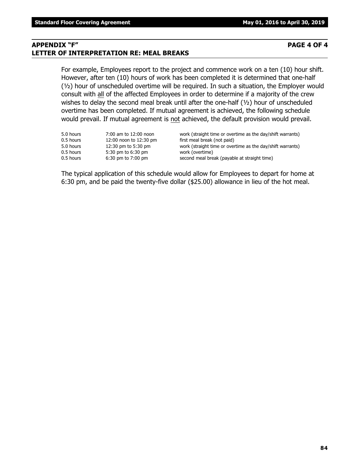# **APPENDIX "F" PAGE 4 OF 4 LETTER OF INTERPRETATION RE: MEAL BREAKS**

For example, Employees report to the project and commence work on a ten (10) hour shift. However, after ten (10) hours of work has been completed it is determined that one-half (½) hour of unscheduled overtime will be required. In such a situation, the Employer would consult with all of the affected Employees in order to determine if a majority of the crew wishes to delay the second meal break until after the one-half (1/2) hour of unscheduled overtime has been completed. If mutual agreement is achieved, the following schedule would prevail. If mutual agreement is not achieved, the default provision would prevail.

| 5.0 hours<br>0.5 hours<br>5.0 hours | 7:00 am to 12:00 noon<br>12:00 noon to 12:30 pm<br>12:30 pm to 5:30 pm | work (straight time or overtime as the day/shift warrants)<br>first meal break (not paid)<br>work (straight time or overtime as the day/shift warrants) |
|-------------------------------------|------------------------------------------------------------------------|---------------------------------------------------------------------------------------------------------------------------------------------------------|
| 0.5 hours                           | 5:30 pm to 6:30 pm                                                     | work (overtime)                                                                                                                                         |
| 0.5 hours                           | $6:30$ pm to $7:00$ pm                                                 | second meal break (payable at straight time)                                                                                                            |

The typical application of this schedule would allow for Employees to depart for home at 6:30 pm, and be paid the twenty-five dollar (\$25.00) allowance in lieu of the hot meal.